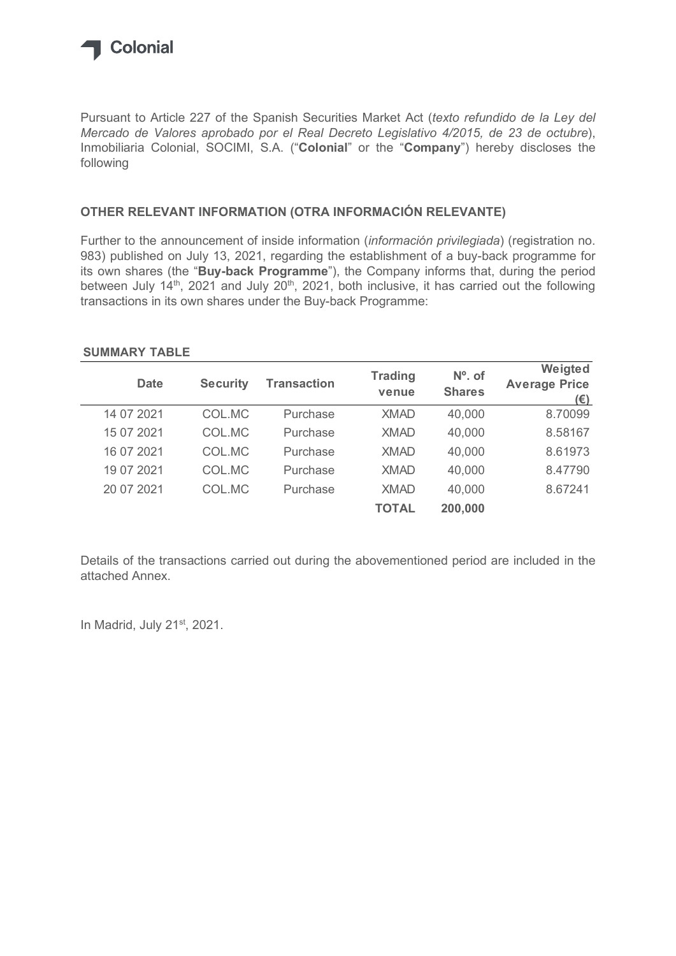

## OTHER RELEVANT INFORMATION (OTRA INFORMACIÓN RELEVANTE)

## SUMMARY TABLE

| following                                                                                                                                                                                                                                                                                                                                                                     |                 |                    |                |               |                                 |
|-------------------------------------------------------------------------------------------------------------------------------------------------------------------------------------------------------------------------------------------------------------------------------------------------------------------------------------------------------------------------------|-----------------|--------------------|----------------|---------------|---------------------------------|
| OTHER RELEVANT INFORMATION (OTRA INFORMACIÓN RELEVANTE)                                                                                                                                                                                                                                                                                                                       |                 |                    |                |               |                                 |
| 983) published on July 13, 2021, regarding the establishment of a buy-back programme for<br>its own shares (the "Buy-back Programme"), the Company informs that, during the period<br>between July 14 <sup>th</sup> , 2021 and July 20 <sup>th</sup> , 2021, both inclusive, it has carried out the following<br>transactions in its own shares under the Buy-back Programme: |                 |                    |                |               |                                 |
| <b>SUMMARY TABLE</b><br><b>Date</b>                                                                                                                                                                                                                                                                                                                                           | <b>Security</b> | <b>Transaction</b> | <b>Trading</b> | $No$ . of     | Weigted<br><b>Average Price</b> |
|                                                                                                                                                                                                                                                                                                                                                                               |                 |                    | venue          | <b>Shares</b> | (E)                             |
| 14 07 2021                                                                                                                                                                                                                                                                                                                                                                    | COL.MC          | Purchase           | <b>XMAD</b>    | 40,000        | 8.70099                         |
| 15 07 2021                                                                                                                                                                                                                                                                                                                                                                    | COL.MC          | Purchase           | <b>XMAD</b>    | 40,000        | 8.58167                         |
| 16 07 2021                                                                                                                                                                                                                                                                                                                                                                    | COL.MC          | Purchase           | <b>XMAD</b>    | 40,000        | 8.61973                         |
| 19 07 2021                                                                                                                                                                                                                                                                                                                                                                    | COL.MC          | Purchase           | <b>XMAD</b>    | 40,000        | 8.47790                         |
| 20 07 2021                                                                                                                                                                                                                                                                                                                                                                    | COL.MC          | Purchase           | <b>XMAD</b>    | 40,000        | 8.67241                         |

Details of the transactions carried out during the abovementioned period are included in the attached Annex.

In Madrid, July 21<sup>st</sup>, 2021.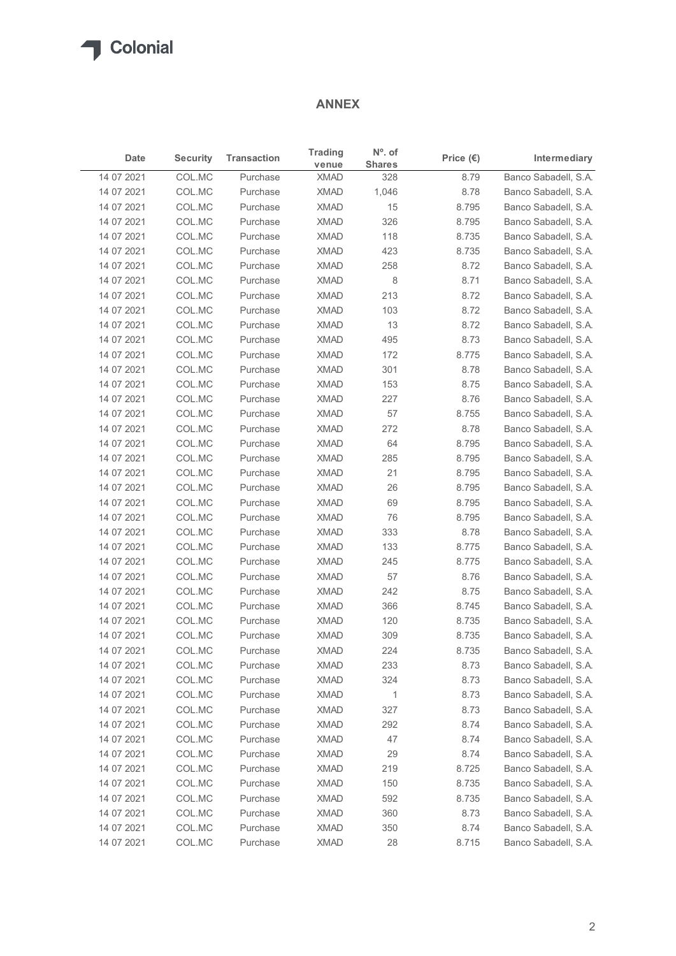## ANNEX

| $N^{\circ}$ . of<br><b>Trading</b><br><b>Security</b><br><b>Transaction</b><br>Intermediary<br>Date<br>Price $(\epsilon)$<br><b>Shares</b><br>venue<br>Banco Sabadell, S.A.<br>14 07 2021<br>COL.MC<br><b>XMAD</b><br>328<br>8.79<br>Purchase<br>COL.MC<br><b>XMAD</b><br>Banco Sabadell, S.A.<br>14 07 2021<br>Purchase<br>1,046<br>8.78<br>COL.MC<br><b>XMAD</b><br>15<br>Banco Sabadell, S.A.<br>14 07 2021<br>Purchase<br>8.795<br>COL.MC<br><b>XMAD</b><br>326<br>14 07 2021<br>Purchase<br>8.795<br>Banco Sabadell, S.A.<br>14 07 2021<br>COL.MC<br><b>XMAD</b><br>8.735<br>Banco Sabadell, S.A.<br>Purchase<br>118<br>14 07 2021<br>COL.MC<br><b>XMAD</b><br>423<br>8.735<br>Banco Sabadell, S.A.<br>Purchase<br>COL.MC<br><b>XMAD</b><br>8.72<br>14 07 2021<br>Purchase<br>258<br>Banco Sabadell, S.A.<br>COL.MC<br><b>XMAD</b><br>8<br>Banco Sabadell, S.A.<br>14 07 2021<br>Purchase<br>8.71<br>14 07 2021<br>COL.MC<br><b>XMAD</b><br>Banco Sabadell, S.A.<br>213<br>8.72<br>Purchase<br>14 07 2021<br>COL.MC<br>Purchase<br><b>XMAD</b><br>103<br>8.72<br>Banco Sabadell, S.A.<br>COL.MC<br><b>XMAD</b><br>13<br>14 07 2021<br>Purchase<br>8.72<br>Banco Sabadell, S.A.<br>COL.MC<br><b>XMAD</b><br>495<br>8.73<br>Banco Sabadell, S.A.<br>14 07 2021<br>Purchase<br>COL.MC<br><b>XMAD</b><br>172<br>8.775<br>Banco Sabadell, S.A.<br>14 07 2021<br>Purchase<br>301<br>14 07 2021<br>COL.MC<br>XMAD<br>8.78<br>Purchase<br>14 07 2021<br>COL.MC<br><b>XMAD</b><br>153<br>Banco Sabadell, S.A.<br>Purchase<br>8.75<br><b>XMAD</b><br>227<br>8.76<br>14 07 2021<br>COL.MC<br>Purchase<br>COL.MC<br><b>XMAD</b><br>57<br>8.755<br>14 07 2021<br>Purchase<br>COL.MC<br>Purchase<br><b>XMAD</b><br>272<br>8.78<br>14 07 2021<br>COL.MC<br>Purchase<br><b>XMAD</b><br>64<br>8.795<br>14 07 2021<br>COL.MC<br>8.795<br>14 07 2021<br>Purchase<br><b>XMAD</b><br>285<br><b>XMAD</b><br>21<br>8.795<br>14 07 2021<br>COL.MC<br>Purchase<br><b>XMAD</b><br>26<br>8.795<br>14 07 2021<br>COL.MC<br>Purchase<br>COL.MC<br><b>XMAD</b><br>69<br>8.795<br>14 07 2021<br>Purchase<br>14 07 2021<br>COL.MC<br>Purchase<br><b>XMAD</b><br>76<br>8.795<br>COL.MC<br><b>XMAD</b><br>333<br>8.78<br>14 07 2021<br>Purchase<br>14 07 2021<br>COL.MC<br>Purchase<br><b>XMAD</b><br>133<br>8.775<br>8.775<br>14 07 2021<br>COL.MC<br>Purchase<br><b>XMAD</b><br>245<br>COL.MC<br><b>XMAD</b><br>57<br>8.76<br>14 07 2021<br>Purchase<br>8.75<br>14 07 2021<br>COL.MC<br>Purchase<br><b>XMAD</b><br>242<br>COL.MC<br>Purchase<br><b>XMAD</b><br>366<br>8.745<br>14 07 2021<br>COL.MC<br>Purchase<br><b>XMAD</b><br>120<br>8.735<br>14 07 2021<br>COL.MC<br><b>XMAD</b><br>309<br>8.735<br>14 07 2021<br>Purchase<br><b>XMAD</b><br>224<br>8.735<br>14 07 2021<br>COL.MC<br>Purchase<br>COL.MC<br><b>XMAD</b><br>233<br>8.73<br>14 07 2021<br>Purchase<br>COL.MC<br><b>XMAD</b><br>324<br>8.73<br>14 07 2021<br>Purchase<br>COL.MC<br>Purchase<br><b>XMAD</b><br>8.73<br>14 07 2021<br>$\overline{1}$<br>COL.MC<br>327<br>14 07 2021<br>Purchase<br><b>XMAD</b><br>8.73<br>14 07 2021<br>COL.MC<br>Purchase<br><b>XMAD</b><br>292<br>8.74<br><b>XMAD</b><br>47<br>8.74<br>14 07 2021<br>COL.MC<br>Purchase<br>COL.MC<br><b>XMAD</b><br>29<br>8.74<br>14 07 2021<br>Purchase<br><b>XMAD</b><br>8.725<br>14 07 2021<br>COL.MC<br>Purchase<br>219<br>COL.MC<br>Purchase<br><b>XMAD</b><br>8.735<br>14 07 2021<br>150<br>COL.MC<br>592<br>8.735<br>14 07 2021<br>Purchase<br><b>XMAD</b><br>COL.MC<br><b>XMAD</b><br>360<br>8.73<br>14 07 2021<br>Purchase<br><b>XMAD</b><br>8.74<br>14 07 2021<br>COL.MC<br>Purchase<br>350 |            |        |          | <b>ANNEX</b> |    |       |                      |
|-------------------------------------------------------------------------------------------------------------------------------------------------------------------------------------------------------------------------------------------------------------------------------------------------------------------------------------------------------------------------------------------------------------------------------------------------------------------------------------------------------------------------------------------------------------------------------------------------------------------------------------------------------------------------------------------------------------------------------------------------------------------------------------------------------------------------------------------------------------------------------------------------------------------------------------------------------------------------------------------------------------------------------------------------------------------------------------------------------------------------------------------------------------------------------------------------------------------------------------------------------------------------------------------------------------------------------------------------------------------------------------------------------------------------------------------------------------------------------------------------------------------------------------------------------------------------------------------------------------------------------------------------------------------------------------------------------------------------------------------------------------------------------------------------------------------------------------------------------------------------------------------------------------------------------------------------------------------------------------------------------------------------------------------------------------------------------------------------------------------------------------------------------------------------------------------------------------------------------------------------------------------------------------------------------------------------------------------------------------------------------------------------------------------------------------------------------------------------------------------------------------------------------------------------------------------------------------------------------------------------------------------------------------------------------------------------------------------------------------------------------------------------------------------------------------------------------------------------------------------------------------------------------------------------------------------------------------------------------------------------------------------------------------------------------------------------------------------------------------------------------------------------------------------------------------------------------------------------------------------------------------------------------------------------------------------------------------------------------------------------------------------------------------------------------------------------------------------------------------------------------------------------------------------------------------------------------------------------------------|------------|--------|----------|--------------|----|-------|----------------------|
|                                                                                                                                                                                                                                                                                                                                                                                                                                                                                                                                                                                                                                                                                                                                                                                                                                                                                                                                                                                                                                                                                                                                                                                                                                                                                                                                                                                                                                                                                                                                                                                                                                                                                                                                                                                                                                                                                                                                                                                                                                                                                                                                                                                                                                                                                                                                                                                                                                                                                                                                                                                                                                                                                                                                                                                                                                                                                                                                                                                                                                                                                                                                                                                                                                                                                                                                                                                                                                                                                                                                                                                                             |            |        |          |              |    |       |                      |
|                                                                                                                                                                                                                                                                                                                                                                                                                                                                                                                                                                                                                                                                                                                                                                                                                                                                                                                                                                                                                                                                                                                                                                                                                                                                                                                                                                                                                                                                                                                                                                                                                                                                                                                                                                                                                                                                                                                                                                                                                                                                                                                                                                                                                                                                                                                                                                                                                                                                                                                                                                                                                                                                                                                                                                                                                                                                                                                                                                                                                                                                                                                                                                                                                                                                                                                                                                                                                                                                                                                                                                                                             |            |        |          |              |    |       |                      |
| Banco Sabadell, S.A.<br>Banco Sabadell, S.A.<br>Banco Sabadell, S.A.<br>Banco Sabadell, S.A.<br>Banco Sabadell, S.A.<br>Banco Sabadell, S.A.<br>Banco Sabadell, S.A.<br>Banco Sabadell, S.A.<br>Banco Sabadell, S.A.<br>Banco Sabadell, S.A.<br>Banco Sabadell, S.A.<br>Banco Sabadell, S.A.<br>Banco Sabadell, S.A.<br>Banco Sabadell, S.A.<br>Banco Sabadell, S.A.<br>Banco Sabadell, S.A.<br>Banco Sabadell, S.A.<br>Banco Sabadell, S.A.<br>Banco Sabadell, S.A.<br>Banco Sabadell, S.A.<br>Banco Sabadell, S.A.<br>Banco Sabadell, S.A.<br>Banco Sabadell, S.A.<br>Banco Sabadell, S.A.<br>Banco Sabadell, S.A.<br>Banco Sabadell, S.A.<br>Banco Sabadell, S.A.<br>Banco Sabadell, S.A.<br>Banco Sabadell, S.A.<br>Banco Sabadell, S.A.<br>Banco Sabadell, S.A.                                                                                                                                                                                                                                                                                                                                                                                                                                                                                                                                                                                                                                                                                                                                                                                                                                                                                                                                                                                                                                                                                                                                                                                                                                                                                                                                                                                                                                                                                                                                                                                                                                                                                                                                                                                                                                                                                                                                                                                                                                                                                                                                                                                                                                                                                                                                                                                                                                                                                                                                                                                                                                                                                                                                                                                                                                        |            |        |          |              |    |       |                      |
|                                                                                                                                                                                                                                                                                                                                                                                                                                                                                                                                                                                                                                                                                                                                                                                                                                                                                                                                                                                                                                                                                                                                                                                                                                                                                                                                                                                                                                                                                                                                                                                                                                                                                                                                                                                                                                                                                                                                                                                                                                                                                                                                                                                                                                                                                                                                                                                                                                                                                                                                                                                                                                                                                                                                                                                                                                                                                                                                                                                                                                                                                                                                                                                                                                                                                                                                                                                                                                                                                                                                                                                                             |            |        |          |              |    |       |                      |
|                                                                                                                                                                                                                                                                                                                                                                                                                                                                                                                                                                                                                                                                                                                                                                                                                                                                                                                                                                                                                                                                                                                                                                                                                                                                                                                                                                                                                                                                                                                                                                                                                                                                                                                                                                                                                                                                                                                                                                                                                                                                                                                                                                                                                                                                                                                                                                                                                                                                                                                                                                                                                                                                                                                                                                                                                                                                                                                                                                                                                                                                                                                                                                                                                                                                                                                                                                                                                                                                                                                                                                                                             |            |        |          |              |    |       |                      |
|                                                                                                                                                                                                                                                                                                                                                                                                                                                                                                                                                                                                                                                                                                                                                                                                                                                                                                                                                                                                                                                                                                                                                                                                                                                                                                                                                                                                                                                                                                                                                                                                                                                                                                                                                                                                                                                                                                                                                                                                                                                                                                                                                                                                                                                                                                                                                                                                                                                                                                                                                                                                                                                                                                                                                                                                                                                                                                                                                                                                                                                                                                                                                                                                                                                                                                                                                                                                                                                                                                                                                                                                             |            |        |          |              |    |       |                      |
|                                                                                                                                                                                                                                                                                                                                                                                                                                                                                                                                                                                                                                                                                                                                                                                                                                                                                                                                                                                                                                                                                                                                                                                                                                                                                                                                                                                                                                                                                                                                                                                                                                                                                                                                                                                                                                                                                                                                                                                                                                                                                                                                                                                                                                                                                                                                                                                                                                                                                                                                                                                                                                                                                                                                                                                                                                                                                                                                                                                                                                                                                                                                                                                                                                                                                                                                                                                                                                                                                                                                                                                                             |            |        |          |              |    |       |                      |
|                                                                                                                                                                                                                                                                                                                                                                                                                                                                                                                                                                                                                                                                                                                                                                                                                                                                                                                                                                                                                                                                                                                                                                                                                                                                                                                                                                                                                                                                                                                                                                                                                                                                                                                                                                                                                                                                                                                                                                                                                                                                                                                                                                                                                                                                                                                                                                                                                                                                                                                                                                                                                                                                                                                                                                                                                                                                                                                                                                                                                                                                                                                                                                                                                                                                                                                                                                                                                                                                                                                                                                                                             |            |        |          |              |    |       |                      |
|                                                                                                                                                                                                                                                                                                                                                                                                                                                                                                                                                                                                                                                                                                                                                                                                                                                                                                                                                                                                                                                                                                                                                                                                                                                                                                                                                                                                                                                                                                                                                                                                                                                                                                                                                                                                                                                                                                                                                                                                                                                                                                                                                                                                                                                                                                                                                                                                                                                                                                                                                                                                                                                                                                                                                                                                                                                                                                                                                                                                                                                                                                                                                                                                                                                                                                                                                                                                                                                                                                                                                                                                             |            |        |          |              |    |       |                      |
|                                                                                                                                                                                                                                                                                                                                                                                                                                                                                                                                                                                                                                                                                                                                                                                                                                                                                                                                                                                                                                                                                                                                                                                                                                                                                                                                                                                                                                                                                                                                                                                                                                                                                                                                                                                                                                                                                                                                                                                                                                                                                                                                                                                                                                                                                                                                                                                                                                                                                                                                                                                                                                                                                                                                                                                                                                                                                                                                                                                                                                                                                                                                                                                                                                                                                                                                                                                                                                                                                                                                                                                                             |            |        |          |              |    |       |                      |
|                                                                                                                                                                                                                                                                                                                                                                                                                                                                                                                                                                                                                                                                                                                                                                                                                                                                                                                                                                                                                                                                                                                                                                                                                                                                                                                                                                                                                                                                                                                                                                                                                                                                                                                                                                                                                                                                                                                                                                                                                                                                                                                                                                                                                                                                                                                                                                                                                                                                                                                                                                                                                                                                                                                                                                                                                                                                                                                                                                                                                                                                                                                                                                                                                                                                                                                                                                                                                                                                                                                                                                                                             |            |        |          |              |    |       |                      |
|                                                                                                                                                                                                                                                                                                                                                                                                                                                                                                                                                                                                                                                                                                                                                                                                                                                                                                                                                                                                                                                                                                                                                                                                                                                                                                                                                                                                                                                                                                                                                                                                                                                                                                                                                                                                                                                                                                                                                                                                                                                                                                                                                                                                                                                                                                                                                                                                                                                                                                                                                                                                                                                                                                                                                                                                                                                                                                                                                                                                                                                                                                                                                                                                                                                                                                                                                                                                                                                                                                                                                                                                             |            |        |          |              |    |       |                      |
|                                                                                                                                                                                                                                                                                                                                                                                                                                                                                                                                                                                                                                                                                                                                                                                                                                                                                                                                                                                                                                                                                                                                                                                                                                                                                                                                                                                                                                                                                                                                                                                                                                                                                                                                                                                                                                                                                                                                                                                                                                                                                                                                                                                                                                                                                                                                                                                                                                                                                                                                                                                                                                                                                                                                                                                                                                                                                                                                                                                                                                                                                                                                                                                                                                                                                                                                                                                                                                                                                                                                                                                                             |            |        |          |              |    |       |                      |
|                                                                                                                                                                                                                                                                                                                                                                                                                                                                                                                                                                                                                                                                                                                                                                                                                                                                                                                                                                                                                                                                                                                                                                                                                                                                                                                                                                                                                                                                                                                                                                                                                                                                                                                                                                                                                                                                                                                                                                                                                                                                                                                                                                                                                                                                                                                                                                                                                                                                                                                                                                                                                                                                                                                                                                                                                                                                                                                                                                                                                                                                                                                                                                                                                                                                                                                                                                                                                                                                                                                                                                                                             |            |        |          |              |    |       |                      |
|                                                                                                                                                                                                                                                                                                                                                                                                                                                                                                                                                                                                                                                                                                                                                                                                                                                                                                                                                                                                                                                                                                                                                                                                                                                                                                                                                                                                                                                                                                                                                                                                                                                                                                                                                                                                                                                                                                                                                                                                                                                                                                                                                                                                                                                                                                                                                                                                                                                                                                                                                                                                                                                                                                                                                                                                                                                                                                                                                                                                                                                                                                                                                                                                                                                                                                                                                                                                                                                                                                                                                                                                             |            |        |          |              |    |       |                      |
|                                                                                                                                                                                                                                                                                                                                                                                                                                                                                                                                                                                                                                                                                                                                                                                                                                                                                                                                                                                                                                                                                                                                                                                                                                                                                                                                                                                                                                                                                                                                                                                                                                                                                                                                                                                                                                                                                                                                                                                                                                                                                                                                                                                                                                                                                                                                                                                                                                                                                                                                                                                                                                                                                                                                                                                                                                                                                                                                                                                                                                                                                                                                                                                                                                                                                                                                                                                                                                                                                                                                                                                                             |            |        |          |              |    |       |                      |
|                                                                                                                                                                                                                                                                                                                                                                                                                                                                                                                                                                                                                                                                                                                                                                                                                                                                                                                                                                                                                                                                                                                                                                                                                                                                                                                                                                                                                                                                                                                                                                                                                                                                                                                                                                                                                                                                                                                                                                                                                                                                                                                                                                                                                                                                                                                                                                                                                                                                                                                                                                                                                                                                                                                                                                                                                                                                                                                                                                                                                                                                                                                                                                                                                                                                                                                                                                                                                                                                                                                                                                                                             |            |        |          |              |    |       |                      |
|                                                                                                                                                                                                                                                                                                                                                                                                                                                                                                                                                                                                                                                                                                                                                                                                                                                                                                                                                                                                                                                                                                                                                                                                                                                                                                                                                                                                                                                                                                                                                                                                                                                                                                                                                                                                                                                                                                                                                                                                                                                                                                                                                                                                                                                                                                                                                                                                                                                                                                                                                                                                                                                                                                                                                                                                                                                                                                                                                                                                                                                                                                                                                                                                                                                                                                                                                                                                                                                                                                                                                                                                             |            |        |          |              |    |       |                      |
|                                                                                                                                                                                                                                                                                                                                                                                                                                                                                                                                                                                                                                                                                                                                                                                                                                                                                                                                                                                                                                                                                                                                                                                                                                                                                                                                                                                                                                                                                                                                                                                                                                                                                                                                                                                                                                                                                                                                                                                                                                                                                                                                                                                                                                                                                                                                                                                                                                                                                                                                                                                                                                                                                                                                                                                                                                                                                                                                                                                                                                                                                                                                                                                                                                                                                                                                                                                                                                                                                                                                                                                                             |            |        |          |              |    |       |                      |
|                                                                                                                                                                                                                                                                                                                                                                                                                                                                                                                                                                                                                                                                                                                                                                                                                                                                                                                                                                                                                                                                                                                                                                                                                                                                                                                                                                                                                                                                                                                                                                                                                                                                                                                                                                                                                                                                                                                                                                                                                                                                                                                                                                                                                                                                                                                                                                                                                                                                                                                                                                                                                                                                                                                                                                                                                                                                                                                                                                                                                                                                                                                                                                                                                                                                                                                                                                                                                                                                                                                                                                                                             |            |        |          |              |    |       |                      |
|                                                                                                                                                                                                                                                                                                                                                                                                                                                                                                                                                                                                                                                                                                                                                                                                                                                                                                                                                                                                                                                                                                                                                                                                                                                                                                                                                                                                                                                                                                                                                                                                                                                                                                                                                                                                                                                                                                                                                                                                                                                                                                                                                                                                                                                                                                                                                                                                                                                                                                                                                                                                                                                                                                                                                                                                                                                                                                                                                                                                                                                                                                                                                                                                                                                                                                                                                                                                                                                                                                                                                                                                             |            |        |          |              |    |       |                      |
|                                                                                                                                                                                                                                                                                                                                                                                                                                                                                                                                                                                                                                                                                                                                                                                                                                                                                                                                                                                                                                                                                                                                                                                                                                                                                                                                                                                                                                                                                                                                                                                                                                                                                                                                                                                                                                                                                                                                                                                                                                                                                                                                                                                                                                                                                                                                                                                                                                                                                                                                                                                                                                                                                                                                                                                                                                                                                                                                                                                                                                                                                                                                                                                                                                                                                                                                                                                                                                                                                                                                                                                                             |            |        |          |              |    |       |                      |
|                                                                                                                                                                                                                                                                                                                                                                                                                                                                                                                                                                                                                                                                                                                                                                                                                                                                                                                                                                                                                                                                                                                                                                                                                                                                                                                                                                                                                                                                                                                                                                                                                                                                                                                                                                                                                                                                                                                                                                                                                                                                                                                                                                                                                                                                                                                                                                                                                                                                                                                                                                                                                                                                                                                                                                                                                                                                                                                                                                                                                                                                                                                                                                                                                                                                                                                                                                                                                                                                                                                                                                                                             |            |        |          |              |    |       |                      |
|                                                                                                                                                                                                                                                                                                                                                                                                                                                                                                                                                                                                                                                                                                                                                                                                                                                                                                                                                                                                                                                                                                                                                                                                                                                                                                                                                                                                                                                                                                                                                                                                                                                                                                                                                                                                                                                                                                                                                                                                                                                                                                                                                                                                                                                                                                                                                                                                                                                                                                                                                                                                                                                                                                                                                                                                                                                                                                                                                                                                                                                                                                                                                                                                                                                                                                                                                                                                                                                                                                                                                                                                             |            |        |          |              |    |       |                      |
|                                                                                                                                                                                                                                                                                                                                                                                                                                                                                                                                                                                                                                                                                                                                                                                                                                                                                                                                                                                                                                                                                                                                                                                                                                                                                                                                                                                                                                                                                                                                                                                                                                                                                                                                                                                                                                                                                                                                                                                                                                                                                                                                                                                                                                                                                                                                                                                                                                                                                                                                                                                                                                                                                                                                                                                                                                                                                                                                                                                                                                                                                                                                                                                                                                                                                                                                                                                                                                                                                                                                                                                                             |            |        |          |              |    |       |                      |
|                                                                                                                                                                                                                                                                                                                                                                                                                                                                                                                                                                                                                                                                                                                                                                                                                                                                                                                                                                                                                                                                                                                                                                                                                                                                                                                                                                                                                                                                                                                                                                                                                                                                                                                                                                                                                                                                                                                                                                                                                                                                                                                                                                                                                                                                                                                                                                                                                                                                                                                                                                                                                                                                                                                                                                                                                                                                                                                                                                                                                                                                                                                                                                                                                                                                                                                                                                                                                                                                                                                                                                                                             |            |        |          |              |    |       |                      |
|                                                                                                                                                                                                                                                                                                                                                                                                                                                                                                                                                                                                                                                                                                                                                                                                                                                                                                                                                                                                                                                                                                                                                                                                                                                                                                                                                                                                                                                                                                                                                                                                                                                                                                                                                                                                                                                                                                                                                                                                                                                                                                                                                                                                                                                                                                                                                                                                                                                                                                                                                                                                                                                                                                                                                                                                                                                                                                                                                                                                                                                                                                                                                                                                                                                                                                                                                                                                                                                                                                                                                                                                             |            |        |          |              |    |       |                      |
|                                                                                                                                                                                                                                                                                                                                                                                                                                                                                                                                                                                                                                                                                                                                                                                                                                                                                                                                                                                                                                                                                                                                                                                                                                                                                                                                                                                                                                                                                                                                                                                                                                                                                                                                                                                                                                                                                                                                                                                                                                                                                                                                                                                                                                                                                                                                                                                                                                                                                                                                                                                                                                                                                                                                                                                                                                                                                                                                                                                                                                                                                                                                                                                                                                                                                                                                                                                                                                                                                                                                                                                                             |            |        |          |              |    |       |                      |
|                                                                                                                                                                                                                                                                                                                                                                                                                                                                                                                                                                                                                                                                                                                                                                                                                                                                                                                                                                                                                                                                                                                                                                                                                                                                                                                                                                                                                                                                                                                                                                                                                                                                                                                                                                                                                                                                                                                                                                                                                                                                                                                                                                                                                                                                                                                                                                                                                                                                                                                                                                                                                                                                                                                                                                                                                                                                                                                                                                                                                                                                                                                                                                                                                                                                                                                                                                                                                                                                                                                                                                                                             |            |        |          |              |    |       |                      |
|                                                                                                                                                                                                                                                                                                                                                                                                                                                                                                                                                                                                                                                                                                                                                                                                                                                                                                                                                                                                                                                                                                                                                                                                                                                                                                                                                                                                                                                                                                                                                                                                                                                                                                                                                                                                                                                                                                                                                                                                                                                                                                                                                                                                                                                                                                                                                                                                                                                                                                                                                                                                                                                                                                                                                                                                                                                                                                                                                                                                                                                                                                                                                                                                                                                                                                                                                                                                                                                                                                                                                                                                             |            |        |          |              |    |       |                      |
|                                                                                                                                                                                                                                                                                                                                                                                                                                                                                                                                                                                                                                                                                                                                                                                                                                                                                                                                                                                                                                                                                                                                                                                                                                                                                                                                                                                                                                                                                                                                                                                                                                                                                                                                                                                                                                                                                                                                                                                                                                                                                                                                                                                                                                                                                                                                                                                                                                                                                                                                                                                                                                                                                                                                                                                                                                                                                                                                                                                                                                                                                                                                                                                                                                                                                                                                                                                                                                                                                                                                                                                                             |            |        |          |              |    |       |                      |
|                                                                                                                                                                                                                                                                                                                                                                                                                                                                                                                                                                                                                                                                                                                                                                                                                                                                                                                                                                                                                                                                                                                                                                                                                                                                                                                                                                                                                                                                                                                                                                                                                                                                                                                                                                                                                                                                                                                                                                                                                                                                                                                                                                                                                                                                                                                                                                                                                                                                                                                                                                                                                                                                                                                                                                                                                                                                                                                                                                                                                                                                                                                                                                                                                                                                                                                                                                                                                                                                                                                                                                                                             |            |        |          |              |    |       |                      |
|                                                                                                                                                                                                                                                                                                                                                                                                                                                                                                                                                                                                                                                                                                                                                                                                                                                                                                                                                                                                                                                                                                                                                                                                                                                                                                                                                                                                                                                                                                                                                                                                                                                                                                                                                                                                                                                                                                                                                                                                                                                                                                                                                                                                                                                                                                                                                                                                                                                                                                                                                                                                                                                                                                                                                                                                                                                                                                                                                                                                                                                                                                                                                                                                                                                                                                                                                                                                                                                                                                                                                                                                             |            |        |          |              |    |       |                      |
|                                                                                                                                                                                                                                                                                                                                                                                                                                                                                                                                                                                                                                                                                                                                                                                                                                                                                                                                                                                                                                                                                                                                                                                                                                                                                                                                                                                                                                                                                                                                                                                                                                                                                                                                                                                                                                                                                                                                                                                                                                                                                                                                                                                                                                                                                                                                                                                                                                                                                                                                                                                                                                                                                                                                                                                                                                                                                                                                                                                                                                                                                                                                                                                                                                                                                                                                                                                                                                                                                                                                                                                                             |            |        |          |              |    |       |                      |
|                                                                                                                                                                                                                                                                                                                                                                                                                                                                                                                                                                                                                                                                                                                                                                                                                                                                                                                                                                                                                                                                                                                                                                                                                                                                                                                                                                                                                                                                                                                                                                                                                                                                                                                                                                                                                                                                                                                                                                                                                                                                                                                                                                                                                                                                                                                                                                                                                                                                                                                                                                                                                                                                                                                                                                                                                                                                                                                                                                                                                                                                                                                                                                                                                                                                                                                                                                                                                                                                                                                                                                                                             |            |        |          |              |    |       |                      |
|                                                                                                                                                                                                                                                                                                                                                                                                                                                                                                                                                                                                                                                                                                                                                                                                                                                                                                                                                                                                                                                                                                                                                                                                                                                                                                                                                                                                                                                                                                                                                                                                                                                                                                                                                                                                                                                                                                                                                                                                                                                                                                                                                                                                                                                                                                                                                                                                                                                                                                                                                                                                                                                                                                                                                                                                                                                                                                                                                                                                                                                                                                                                                                                                                                                                                                                                                                                                                                                                                                                                                                                                             |            |        |          |              |    |       |                      |
|                                                                                                                                                                                                                                                                                                                                                                                                                                                                                                                                                                                                                                                                                                                                                                                                                                                                                                                                                                                                                                                                                                                                                                                                                                                                                                                                                                                                                                                                                                                                                                                                                                                                                                                                                                                                                                                                                                                                                                                                                                                                                                                                                                                                                                                                                                                                                                                                                                                                                                                                                                                                                                                                                                                                                                                                                                                                                                                                                                                                                                                                                                                                                                                                                                                                                                                                                                                                                                                                                                                                                                                                             |            |        |          |              |    |       |                      |
|                                                                                                                                                                                                                                                                                                                                                                                                                                                                                                                                                                                                                                                                                                                                                                                                                                                                                                                                                                                                                                                                                                                                                                                                                                                                                                                                                                                                                                                                                                                                                                                                                                                                                                                                                                                                                                                                                                                                                                                                                                                                                                                                                                                                                                                                                                                                                                                                                                                                                                                                                                                                                                                                                                                                                                                                                                                                                                                                                                                                                                                                                                                                                                                                                                                                                                                                                                                                                                                                                                                                                                                                             |            |        |          |              |    |       |                      |
|                                                                                                                                                                                                                                                                                                                                                                                                                                                                                                                                                                                                                                                                                                                                                                                                                                                                                                                                                                                                                                                                                                                                                                                                                                                                                                                                                                                                                                                                                                                                                                                                                                                                                                                                                                                                                                                                                                                                                                                                                                                                                                                                                                                                                                                                                                                                                                                                                                                                                                                                                                                                                                                                                                                                                                                                                                                                                                                                                                                                                                                                                                                                                                                                                                                                                                                                                                                                                                                                                                                                                                                                             |            |        |          |              |    |       |                      |
|                                                                                                                                                                                                                                                                                                                                                                                                                                                                                                                                                                                                                                                                                                                                                                                                                                                                                                                                                                                                                                                                                                                                                                                                                                                                                                                                                                                                                                                                                                                                                                                                                                                                                                                                                                                                                                                                                                                                                                                                                                                                                                                                                                                                                                                                                                                                                                                                                                                                                                                                                                                                                                                                                                                                                                                                                                                                                                                                                                                                                                                                                                                                                                                                                                                                                                                                                                                                                                                                                                                                                                                                             |            |        |          |              |    |       |                      |
|                                                                                                                                                                                                                                                                                                                                                                                                                                                                                                                                                                                                                                                                                                                                                                                                                                                                                                                                                                                                                                                                                                                                                                                                                                                                                                                                                                                                                                                                                                                                                                                                                                                                                                                                                                                                                                                                                                                                                                                                                                                                                                                                                                                                                                                                                                                                                                                                                                                                                                                                                                                                                                                                                                                                                                                                                                                                                                                                                                                                                                                                                                                                                                                                                                                                                                                                                                                                                                                                                                                                                                                                             |            |        |          |              |    |       |                      |
|                                                                                                                                                                                                                                                                                                                                                                                                                                                                                                                                                                                                                                                                                                                                                                                                                                                                                                                                                                                                                                                                                                                                                                                                                                                                                                                                                                                                                                                                                                                                                                                                                                                                                                                                                                                                                                                                                                                                                                                                                                                                                                                                                                                                                                                                                                                                                                                                                                                                                                                                                                                                                                                                                                                                                                                                                                                                                                                                                                                                                                                                                                                                                                                                                                                                                                                                                                                                                                                                                                                                                                                                             |            |        |          |              |    |       |                      |
|                                                                                                                                                                                                                                                                                                                                                                                                                                                                                                                                                                                                                                                                                                                                                                                                                                                                                                                                                                                                                                                                                                                                                                                                                                                                                                                                                                                                                                                                                                                                                                                                                                                                                                                                                                                                                                                                                                                                                                                                                                                                                                                                                                                                                                                                                                                                                                                                                                                                                                                                                                                                                                                                                                                                                                                                                                                                                                                                                                                                                                                                                                                                                                                                                                                                                                                                                                                                                                                                                                                                                                                                             |            |        |          |              |    |       |                      |
|                                                                                                                                                                                                                                                                                                                                                                                                                                                                                                                                                                                                                                                                                                                                                                                                                                                                                                                                                                                                                                                                                                                                                                                                                                                                                                                                                                                                                                                                                                                                                                                                                                                                                                                                                                                                                                                                                                                                                                                                                                                                                                                                                                                                                                                                                                                                                                                                                                                                                                                                                                                                                                                                                                                                                                                                                                                                                                                                                                                                                                                                                                                                                                                                                                                                                                                                                                                                                                                                                                                                                                                                             |            |        |          |              |    |       |                      |
|                                                                                                                                                                                                                                                                                                                                                                                                                                                                                                                                                                                                                                                                                                                                                                                                                                                                                                                                                                                                                                                                                                                                                                                                                                                                                                                                                                                                                                                                                                                                                                                                                                                                                                                                                                                                                                                                                                                                                                                                                                                                                                                                                                                                                                                                                                                                                                                                                                                                                                                                                                                                                                                                                                                                                                                                                                                                                                                                                                                                                                                                                                                                                                                                                                                                                                                                                                                                                                                                                                                                                                                                             |            |        |          |              |    |       |                      |
|                                                                                                                                                                                                                                                                                                                                                                                                                                                                                                                                                                                                                                                                                                                                                                                                                                                                                                                                                                                                                                                                                                                                                                                                                                                                                                                                                                                                                                                                                                                                                                                                                                                                                                                                                                                                                                                                                                                                                                                                                                                                                                                                                                                                                                                                                                                                                                                                                                                                                                                                                                                                                                                                                                                                                                                                                                                                                                                                                                                                                                                                                                                                                                                                                                                                                                                                                                                                                                                                                                                                                                                                             | 14 07 2021 | COL.MC | Purchase | <b>XMAD</b>  | 28 | 8.715 | Banco Sabadell, S.A. |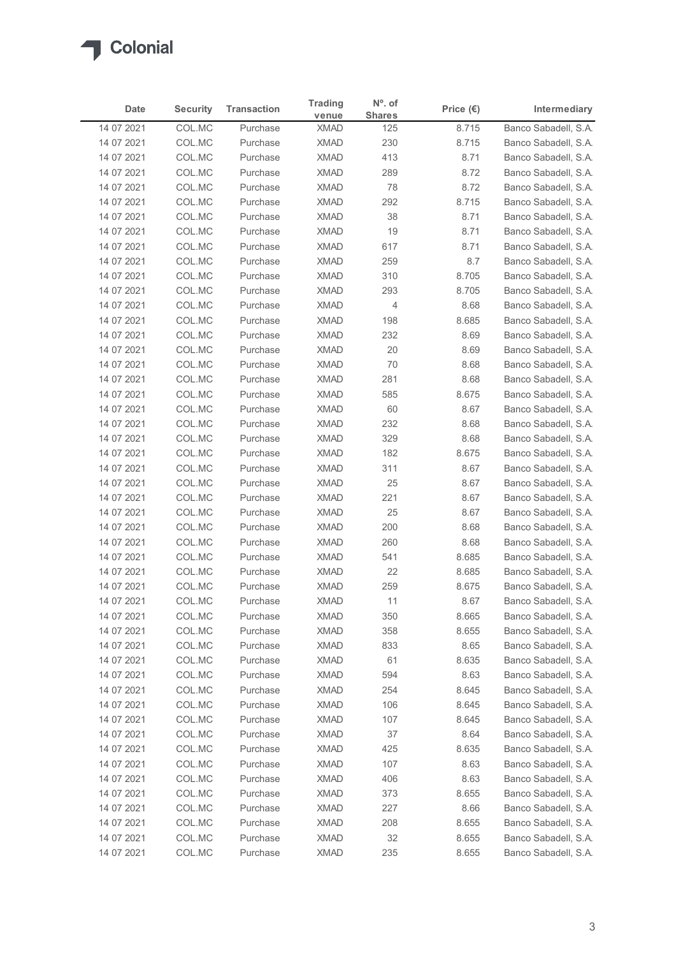

|                          |                  |                                | <b>Trading</b>             | $No$ . of     |                    |                                              |
|--------------------------|------------------|--------------------------------|----------------------------|---------------|--------------------|----------------------------------------------|
| Date<br>14 07 2021       | <b>Security</b>  | <b>Transaction</b><br>Purchase | venue                      | <b>Shares</b> | Price $(\epsilon)$ | Intermediary<br>Banco Sabadell, S.A.         |
| 14 07 2021               | COL.MC<br>COL.MC | Purchase                       | <b>XMAD</b><br><b>XMAD</b> | 125<br>230    | 8.715<br>8.715     | Banco Sabadell, S.A.                         |
| 14 07 2021               | COL.MC           | Purchase                       | <b>XMAD</b>                | 413           | 8.71               | Banco Sabadell, S.A.                         |
| 14 07 2021               | COL.MC           | Purchase                       | <b>XMAD</b>                | 289           | 8.72               | Banco Sabadell, S.A.                         |
| 14 07 2021               | COL.MC           | Purchase                       | <b>XMAD</b>                | 78            | 8.72               | Banco Sabadell, S.A.                         |
| 14 07 2021               | COL.MC           | Purchase                       | <b>XMAD</b>                | 292           | 8.715              | Banco Sabadell, S.A.                         |
| 14 07 2021               | COL.MC           | Purchase                       | <b>XMAD</b>                | 38            | 8.71               | Banco Sabadell, S.A.                         |
| 14 07 2021<br>14 07 2021 | COL.MC<br>COL.MC | Purchase<br>Purchase           | <b>XMAD</b><br><b>XMAD</b> | 19<br>617     | 8.71<br>8.71       | Banco Sabadell, S.A.<br>Banco Sabadell, S.A. |
| 14 07 2021               | COL.MC           | Purchase                       | <b>XMAD</b>                | 259           | 8.7                | Banco Sabadell, S.A.                         |
| 14 07 2021               | COL.MC           | Purchase                       | <b>XMAD</b>                | 310           | 8.705              | Banco Sabadell, S.A.                         |
| 14 07 2021               | COL.MC           | Purchase                       | <b>XMAD</b>                | 293           | 8.705              | Banco Sabadell, S.A.                         |
| 14 07 2021               | COL.MC           | Purchase                       | <b>XMAD</b>                | 4             | 8.68               | Banco Sabadell, S.A.                         |
| 14 07 2021               | COL.MC           | Purchase                       | XMAD                       | 198           | 8.685              | Banco Sabadell, S.A.                         |
| 14 07 2021               | COL.MC           | Purchase                       | XMAD                       | 232           | 8.69               | Banco Sabadell, S.A.                         |
| 14 07 2021               | COL.MC           | Purchase                       | XMAD                       | 20            | 8.69               | Banco Sabadell, S.A.                         |
| 14 07 2021<br>14 07 2021 | COL.MC<br>COL.MC | Purchase<br>Purchase           | <b>XMAD</b><br>XMAD        | 70            | 8.68               | Banco Sabadell, S.A.<br>Banco Sabadell, S.A. |
| 14 07 2021               | COL.MC           | Purchase                       | <b>XMAD</b>                | 281<br>585    | 8.68<br>8.675      | Banco Sabadell, S.A.                         |
| 14 07 2021               | COL.MC           | Purchase                       | <b>XMAD</b>                | 60            | 8.67               | Banco Sabadell, S.A.                         |
| 14 07 2021               | COL.MC           | Purchase                       | <b>XMAD</b>                | 232           | 8.68               | Banco Sabadell, S.A.                         |
| 14 07 2021               | COL.MC           | Purchase                       | XMAD                       | 329           | 8.68               | Banco Sabadell, S.A.                         |
| 14 07 2021               | COL.MC           | Purchase                       | XMAD                       | 182           | 8.675              | Banco Sabadell, S.A.                         |
| 14 07 2021               | COL.MC           | Purchase                       | <b>XMAD</b>                | 311           | 8.67               | Banco Sabadell, S.A.                         |
| 14 07 2021               | COL.MC           | Purchase                       | <b>XMAD</b>                | 25            | 8.67               | Banco Sabadell, S.A.                         |
| 14 07 2021               | COL.MC           | Purchase                       | <b>XMAD</b>                | 221<br>25     | 8.67               | Banco Sabadell, S.A.                         |
| 14 07 2021<br>14 07 2021 | COL.MC<br>COL.MC | Purchase<br>Purchase           | XMAD<br><b>XMAD</b>        | 200           | 8.67<br>8.68       | Banco Sabadell, S.A.<br>Banco Sabadell, S.A. |
| 14 07 2021               | COL.MC           | Purchase                       | XMAD                       | 260           | 8.68               | Banco Sabadell, S.A.                         |
| 14 07 2021               | COL.MC           | Purchase                       | <b>XMAD</b>                | 541           | 8.685              | Banco Sabadell, S.A.                         |
| 14 07 2021               | COL.MC           | Purchase                       | <b>XMAD</b>                | 22            | 8.685              | Banco Sabadell, S.A.                         |
| 14 07 2021               | COL.MC           | Purchase                       | <b>XMAD</b>                | 259           | 8.675              | Banco Sabadell, S.A.                         |
| 14 07 2021               | COL.MC           | Purchase                       | <b>XMAD</b>                | 11            | 8.67               | Banco Sabadell, S.A.                         |
| 14 07 2021               | COL.MC           | Purchase                       | <b>XMAD</b>                | 350           | 8.665              | Banco Sabadell, S.A.                         |
| 14 07 2021               | COL.MC           | Purchase                       | XMAD                       | 358           | 8.655              | Banco Sabadell, S.A.                         |
| 14 07 2021               | COL.MC           | Purchase                       | <b>XMAD</b>                | 833           | 8.65               | Banco Sabadell, S.A.                         |
| 14 07 2021<br>14 07 2021 | COL.MC<br>COL.MC | Purchase<br>Purchase           | <b>XMAD</b><br><b>XMAD</b> | 61<br>594     | 8.635<br>8.63      | Banco Sabadell, S.A.<br>Banco Sabadell, S.A. |
| 14 07 2021               | COL.MC           | Purchase                       | XMAD                       | 254           | 8.645              | Banco Sabadell, S.A.                         |
| 14 07 2021               | COL.MC           | Purchase                       | <b>XMAD</b>                | 106           | 8.645              | Banco Sabadell, S.A.                         |
| 14 07 2021               | COL.MC           | Purchase                       | <b>XMAD</b>                | 107           | 8.645              | Banco Sabadell, S.A.                         |
| 14 07 2021               | COL.MC           | Purchase                       | <b>XMAD</b>                | 37            | 8.64               | Banco Sabadell, S.A.                         |
| 14 07 2021               | COL.MC           | Purchase                       | <b>XMAD</b>                | 425           | 8.635              | Banco Sabadell, S.A.                         |
| 14 07 2021               | COL.MC           | Purchase                       | <b>XMAD</b>                | 107           | 8.63               | Banco Sabadell, S.A.                         |
| 14 07 2021               | COL.MC           | Purchase                       | XMAD                       | 406           | 8.63               | Banco Sabadell, S.A.                         |
| 14 07 2021               | COL.MC           | Purchase                       | XMAD                       | 373           | 8.655              | Banco Sabadell, S.A.                         |
| 14 07 2021<br>14 07 2021 | COL.MC<br>COL.MC | Purchase<br>Purchase           | <b>XMAD</b><br><b>XMAD</b> | 227<br>208    | 8.66<br>8.655      | Banco Sabadell, S.A.<br>Banco Sabadell, S.A. |
|                          | COL.MC           | Purchase                       | <b>XMAD</b>                | 32            | 8.655              | Banco Sabadell, S.A.                         |
| 14 07 2021               |                  |                                |                            |               |                    |                                              |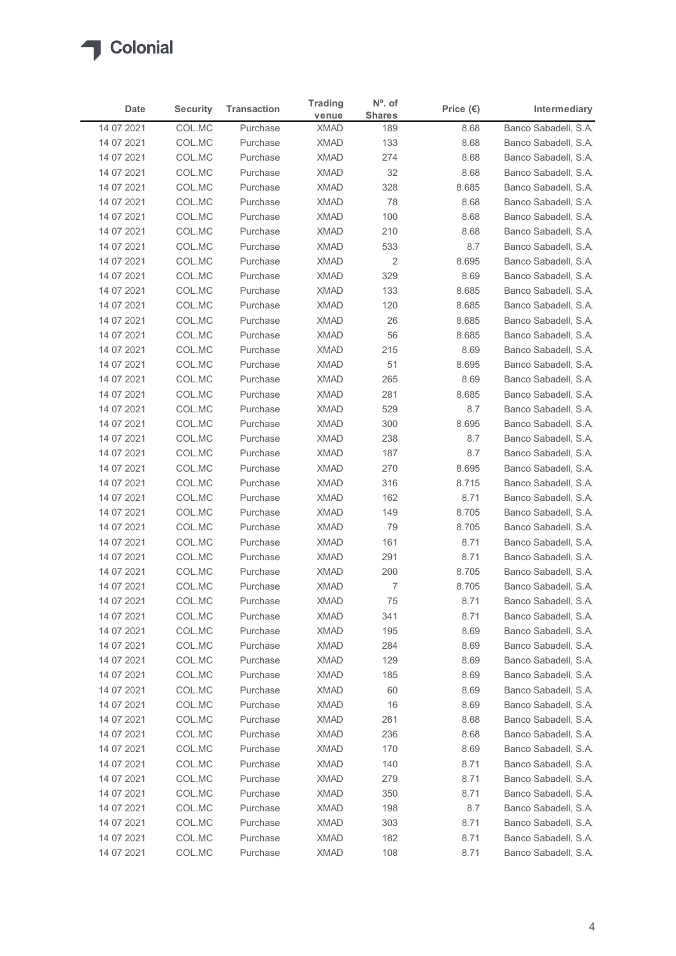

|                          |                  |                                | <b>Trading</b>             | $No$ . of             |                    |                                              |
|--------------------------|------------------|--------------------------------|----------------------------|-----------------------|--------------------|----------------------------------------------|
| Date                     | <b>Security</b>  | <b>Transaction</b><br>Purchase | venue                      | <b>Shares</b>         | Price $(\epsilon)$ | Intermediary<br>Banco Sabadell, S.A.         |
| 14 07 2021<br>14 07 2021 | COL.MC<br>COL.MC | Purchase                       | <b>XMAD</b><br><b>XMAD</b> | 189<br>133            | 8.68<br>8.68       | Banco Sabadell, S.A.                         |
| 14 07 2021               | COL.MC           | Purchase                       | <b>XMAD</b>                | 274                   | 8.68               | Banco Sabadell, S.A.                         |
| 14 07 2021               | COL.MC           | Purchase                       | <b>XMAD</b>                | 32                    | 8.68               | Banco Sabadell, S.A.                         |
| 14 07 2021               | COL.MC           | Purchase                       | <b>XMAD</b>                | 328                   | 8.685              | Banco Sabadell, S.A.                         |
| 14 07 2021               | COL.MC           | Purchase                       | <b>XMAD</b>                | 78                    | 8.68               | Banco Sabadell, S.A.                         |
| 14 07 2021               | COL.MC           | Purchase                       | <b>XMAD</b>                | 100                   | 8.68               | Banco Sabadell, S.A.                         |
| 14 07 2021               | COL.MC           | Purchase                       | <b>XMAD</b>                | 210                   | 8.68               | Banco Sabadell, S.A.                         |
| 14 07 2021<br>14 07 2021 | COL.MC<br>COL.MC | Purchase<br>Purchase           | <b>XMAD</b><br><b>XMAD</b> | 533<br>$\overline{2}$ | 8.7<br>8.695       | Banco Sabadell, S.A.<br>Banco Sabadell, S.A. |
| 14 07 2021               | COL.MC           | Purchase                       | <b>XMAD</b>                | 329                   | 8.69               | Banco Sabadell, S.A.                         |
| 14 07 2021               | COL.MC           | Purchase                       | <b>XMAD</b>                | 133                   | 8.685              | Banco Sabadell, S.A.                         |
| 14 07 2021               | COL.MC           | Purchase                       | <b>XMAD</b>                | 120                   | 8.685              | Banco Sabadell, S.A.                         |
| 14 07 2021               | COL.MC           | Purchase                       | XMAD                       | $26\,$                | 8.685              | Banco Sabadell, S.A.                         |
| 14 07 2021               | COL.MC           | Purchase                       | XMAD                       | 56                    | 8.685              | Banco Sabadell, S.A.                         |
| 14 07 2021               | COL.MC           | Purchase                       | XMAD                       | 215                   | 8.69               | Banco Sabadell, S.A.                         |
| 14 07 2021               | COL.MC           | Purchase                       | <b>XMAD</b>                | 51                    | 8.695              | Banco Sabadell, S.A.                         |
| 14 07 2021               | COL.MC           | Purchase                       | <b>XMAD</b>                | 265                   | 8.69               | Banco Sabadell, S.A.                         |
| 14 07 2021<br>14 07 2021 | COL.MC<br>COL.MC | Purchase<br>Purchase           | <b>XMAD</b><br><b>XMAD</b> | 281<br>529            | 8.685<br>8.7       | Banco Sabadell, S.A.<br>Banco Sabadell, S.A. |
| 14 07 2021               | COL.MC           | Purchase                       | <b>XMAD</b>                | 300                   | 8.695              | Banco Sabadell, S.A.                         |
| 14 07 2021               | COL.MC           | Purchase                       | XMAD                       | 238                   | 8.7                | Banco Sabadell, S.A.                         |
| 14 07 2021               | COL.MC           | Purchase                       | XMAD                       | 187                   | 8.7                | Banco Sabadell, S.A.                         |
| 14 07 2021               | COL.MC           | Purchase                       | <b>XMAD</b>                | 270                   | 8.695              | Banco Sabadell, S.A.                         |
| 14 07 2021               | COL.MC           | Purchase                       | <b>XMAD</b>                | 316                   | 8.715              | Banco Sabadell, S.A.                         |
| 14 07 2021               | COL.MC           | Purchase                       | <b>XMAD</b>                | 162                   | 8.71               | Banco Sabadell, S.A.                         |
| 14 07 2021               | COL.MC           | Purchase                       | <b>XMAD</b>                | 149                   | 8.705              | Banco Sabadell, S.A.                         |
| 14 07 2021               | COL.MC           | Purchase                       | <b>XMAD</b>                | 79                    | 8.705              | Banco Sabadell, S.A.                         |
| 14 07 2021               | COL.MC           | Purchase                       | XMAD                       | 161                   | 8.71               | Banco Sabadell, S.A.                         |
| 14 07 2021<br>14 07 2021 | COL.MC<br>COL.MC | Purchase<br>Purchase           | <b>XMAD</b><br><b>XMAD</b> | 291<br>200            | 8.71<br>8.705      | Banco Sabadell, S.A.<br>Banco Sabadell, S.A. |
| 14 07 2021               | COL.MC           | Purchase                       | <b>XMAD</b>                | 7                     | 8.705              | Banco Sabadell, S.A.                         |
| 14 07 2021               | COL.MC           | Purchase                       | <b>XMAD</b>                | 75                    | 8.71               | Banco Sabadell, S.A.                         |
| 14 07 2021               | COL.MC           | Purchase                       | <b>XMAD</b>                | 341                   | 8.71               | Banco Sabadell, S.A.                         |
| 14 07 2021               | COL.MC           | Purchase                       | XMAD                       | 195                   | 8.69               | Banco Sabadell, S.A.                         |
| 14 07 2021               | COL.MC           | Purchase                       | <b>XMAD</b>                | 284                   | 8.69               | Banco Sabadell, S.A.                         |
| 14 07 2021               | COL.MC           | Purchase                       | <b>XMAD</b>                | 129                   | 8.69               | Banco Sabadell, S.A.                         |
| 14 07 2021               | COL.MC           | Purchase                       | <b>XMAD</b>                | 185                   | 8.69               | Banco Sabadell, S.A.                         |
| 14 07 2021               | COL.MC           | Purchase                       | XMAD                       | 60                    | 8.69               | Banco Sabadell, S.A.                         |
| 14 07 2021               | COL.MC           | Purchase                       | <b>XMAD</b>                | 16                    | 8.69               | Banco Sabadell, S.A.                         |
| 14 07 2021<br>14 07 2021 | COL.MC<br>COL.MC | Purchase<br>Purchase           | <b>XMAD</b><br><b>XMAD</b> | 261<br>236            | 8.68<br>8.68       | Banco Sabadell, S.A.<br>Banco Sabadell, S.A. |
| 14 07 2021               | COL.MC           | Purchase                       | <b>XMAD</b>                | 170                   | 8.69               | Banco Sabadell, S.A.                         |
| 14 07 2021               | COL.MC           | Purchase                       | <b>XMAD</b>                | 140                   | 8.71               | Banco Sabadell, S.A.                         |
| 14 07 2021               | COL.MC           | Purchase                       | XMAD                       | 279                   | 8.71               | Banco Sabadell, S.A.                         |
| 14 07 2021               | COL.MC           | Purchase                       | XMAD                       | 350                   | 8.71               | Banco Sabadell, S.A.                         |
| 14 07 2021               | COL.MC           | Purchase                       | <b>XMAD</b>                | 198                   | 8.7                | Banco Sabadell, S.A.                         |
| 14 07 2021               | COL.MC           | Purchase                       | <b>XMAD</b>                | 303                   | 8.71               | Banco Sabadell, S.A.                         |
| 14 07 2021               | COL.MC           | Purchase                       | <b>XMAD</b>                | 182                   | 8.71               | Banco Sabadell, S.A.                         |
| 14 07 2021               | COL.MC           | Purchase                       | <b>XMAD</b>                | 108                   | 8.71               | Banco Sabadell, S.A.                         |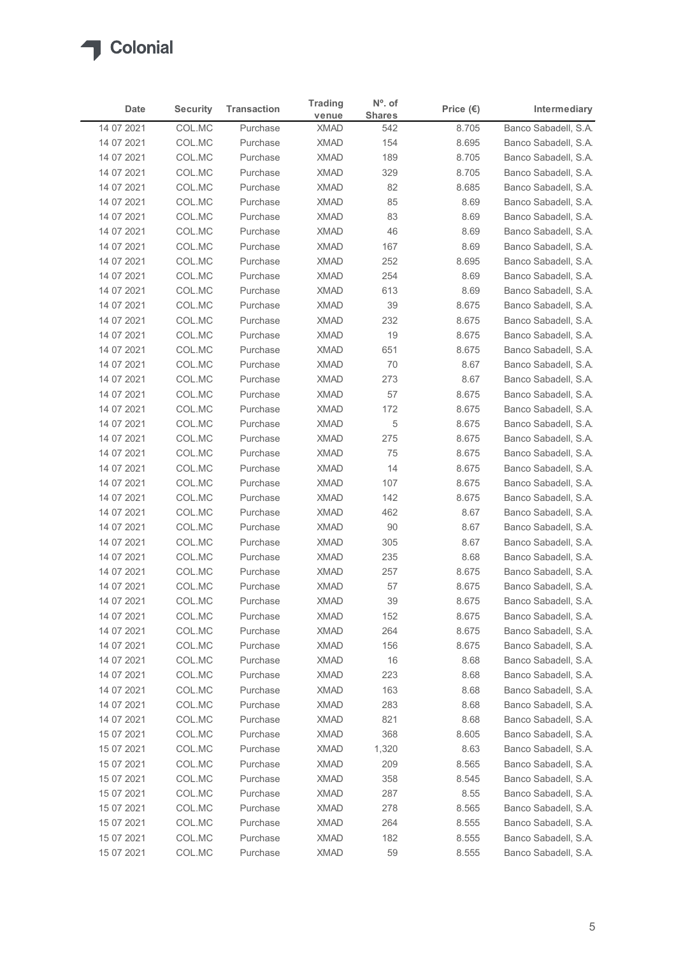

| Date                     | <b>Security</b>  | <b>Transaction</b>   | <b>Trading</b>             | $N^{\circ}$ . of     | Price $(\epsilon)$ | Intermediary                                 |
|--------------------------|------------------|----------------------|----------------------------|----------------------|--------------------|----------------------------------------------|
| 14 07 2021               | COL.MC           | Purchase             | venue<br><b>XMAD</b>       | <b>Shares</b><br>542 | 8.705              | Banco Sabadell, S.A.                         |
| 14 07 2021               | COL.MC           | Purchase             | <b>XMAD</b>                | 154                  | 8.695              | Banco Sabadell, S.A.                         |
| 14 07 2021               | COL.MC           | Purchase             | <b>XMAD</b>                | 189                  | 8.705              | Banco Sabadell, S.A.                         |
| 14 07 2021               | COL.MC           | Purchase             | <b>XMAD</b>                | 329                  | 8.705              | Banco Sabadell, S.A.                         |
| 14 07 2021               | COL.MC           | Purchase             | <b>XMAD</b>                | 82                   | 8.685              | Banco Sabadell, S.A.                         |
| 14 07 2021               | COL.MC           | Purchase             | <b>XMAD</b>                | 85                   | 8.69               | Banco Sabadell, S.A.                         |
| 14 07 2021<br>14 07 2021 | COL.MC<br>COL.MC | Purchase<br>Purchase | <b>XMAD</b><br><b>XMAD</b> | 83<br>46             | 8.69<br>8.69       | Banco Sabadell, S.A.<br>Banco Sabadell, S.A. |
| 14 07 2021               | COL.MC           | Purchase             | <b>XMAD</b>                | 167                  | 8.69               | Banco Sabadell, S.A.                         |
| 14 07 2021               | COL.MC           | Purchase             | <b>XMAD</b>                | 252                  | 8.695              | Banco Sabadell, S.A.                         |
| 14 07 2021               | COL.MC           | Purchase             | <b>XMAD</b>                | 254                  | 8.69               | Banco Sabadell, S.A.                         |
| 14 07 2021               | COL.MC           | Purchase             | <b>XMAD</b>                | 613                  | 8.69               | Banco Sabadell, S.A.                         |
| 14 07 2021               | COL.MC           | Purchase             | <b>XMAD</b>                | 39                   | 8.675              | Banco Sabadell, S.A.                         |
| 14 07 2021               | COL.MC           | Purchase             | XMAD                       | 232                  | 8.675              | Banco Sabadell, S.A.                         |
| 14 07 2021<br>14 07 2021 | COL.MC<br>COL.MC | Purchase<br>Purchase | <b>XMAD</b><br><b>XMAD</b> | 19<br>651            | 8.675<br>8.675     | Banco Sabadell, S.A.<br>Banco Sabadell, S.A. |
| 14 07 2021               | COL.MC           | Purchase             | XMAD                       | 70                   | 8.67               | Banco Sabadell, S.A.                         |
| 14 07 2021               | COL.MC           | Purchase             | <b>XMAD</b>                | 273                  | 8.67               | Banco Sabadell, S.A.                         |
| 14 07 2021               | COL.MC           | Purchase             | <b>XMAD</b>                | 57                   | 8.675              | Banco Sabadell, S.A.                         |
| 14 07 2021               | COL.MC           | Purchase             | <b>XMAD</b>                | 172                  | 8.675              | Banco Sabadell, S.A.                         |
| 14 07 2021               | COL.MC           | Purchase             | <b>XMAD</b>                | $\,$ 5 $\,$          | 8.675              | Banco Sabadell, S.A.                         |
| 14 07 2021               | COL.MC           | Purchase             | <b>XMAD</b>                | 275                  | 8.675              | Banco Sabadell, S.A.                         |
| 14 07 2021               | COL.MC           | Purchase             | XMAD                       | 75                   | 8.675              | Banco Sabadell, S.A.<br>Banco Sabadell, S.A. |
| 14 07 2021<br>14 07 2021 | COL.MC<br>COL.MC | Purchase<br>Purchase | <b>XMAD</b><br><b>XMAD</b> | 14<br>107            | 8.675<br>8.675     | Banco Sabadell, S.A.                         |
| 14 07 2021               | COL.MC           | Purchase             | <b>XMAD</b>                | 142                  | 8.675              | Banco Sabadell, S.A.                         |
| 14 07 2021               | COL.MC           | Purchase             | <b>XMAD</b>                | 462                  | 8.67               | Banco Sabadell, S.A.                         |
| 14 07 2021               | COL.MC           | Purchase             | XMAD                       | 90                   | 8.67               | Banco Sabadell, S.A.                         |
| 14 07 2021               | COL.MC           | Purchase             | <b>XMAD</b>                | 305                  | 8.67               | Banco Sabadell, S.A.                         |
| 14 07 2021               | COL.MC           | Purchase             | <b>XMAD</b>                | 235                  | 8.68               | Banco Sabadell, S.A.                         |
| 14 07 2021               | COL.MC           | Purchase             | <b>XMAD</b>                | 257                  | 8.675              | Banco Sabadell, S.A.                         |
| 14 07 2021               | COL.MC           | Purchase             | <b>XMAD</b>                | 57                   | 8.675              | Banco Sabadell, S.A.                         |
| 14 07 2021               | COL.MC           | Purchase             | XMAD                       | 39                   | 8.675              | Banco Sabadell, S.A.                         |
| 14 07 2021<br>14 07 2021 | COL.MC<br>COL.MC | Purchase<br>Purchase | <b>XMAD</b><br>XMAD        | 152<br>264           | 8.675<br>8.675     | Banco Sabadell, S.A.<br>Banco Sabadell, S.A. |
| 14 07 2021               | COL.MC           | Purchase             | <b>XMAD</b>                | 156                  | 8.675              | Banco Sabadell, S.A.                         |
| 14 07 2021               | COL.MC           | Purchase             | <b>XMAD</b>                | 16                   | 8.68               | Banco Sabadell, S.A.                         |
| 14 07 2021               | COL.MC           | Purchase             | <b>XMAD</b>                | 223                  | 8.68               | Banco Sabadell, S.A.                         |
| 14 07 2021               | COL.MC           | Purchase             | XMAD                       | 163                  | 8.68               | Banco Sabadell, S.A.                         |
| 14 07 2021               | COL.MC           | Purchase             | <b>XMAD</b>                | 283                  | 8.68               | Banco Sabadell, S.A.                         |
| 14 07 2021               | COL.MC           | Purchase             | <b>XMAD</b>                | 821                  | 8.68               | Banco Sabadell, S.A.                         |
| 15 07 2021               | COL.MC           | Purchase             | <b>XMAD</b>                | 368                  | 8.605              | Banco Sabadell, S.A.                         |
| 15 07 2021               | COL.MC           | Purchase             | <b>XMAD</b>                | 1,320                | 8.63               | Banco Sabadell, S.A.                         |
| 15 07 2021               | COL.MC<br>COL.MC | Purchase<br>Purchase | <b>XMAD</b><br><b>XMAD</b> | 209<br>358           | 8.565<br>8.545     | Banco Sabadell, S.A.<br>Banco Sabadell, S.A. |
| 15 07 2021<br>15 07 2021 | COL.MC           | Purchase             | XMAD                       | 287                  | 8.55               | Banco Sabadell, S.A.                         |
| 15 07 2021               | COL.MC           | Purchase             | <b>XMAD</b>                | 278                  | 8.565              | Banco Sabadell, S.A.                         |
| 15 07 2021               | COL.MC           | Purchase             | <b>XMAD</b>                | 264                  | 8.555              | Banco Sabadell, S.A.                         |
| 15 07 2021               | COL.MC           | Purchase             | <b>XMAD</b>                | 182                  | 8.555              | Banco Sabadell, S.A.                         |
|                          | COL.MC           | Purchase             | <b>XMAD</b>                | 59                   | 8.555              | Banco Sabadell, S.A.                         |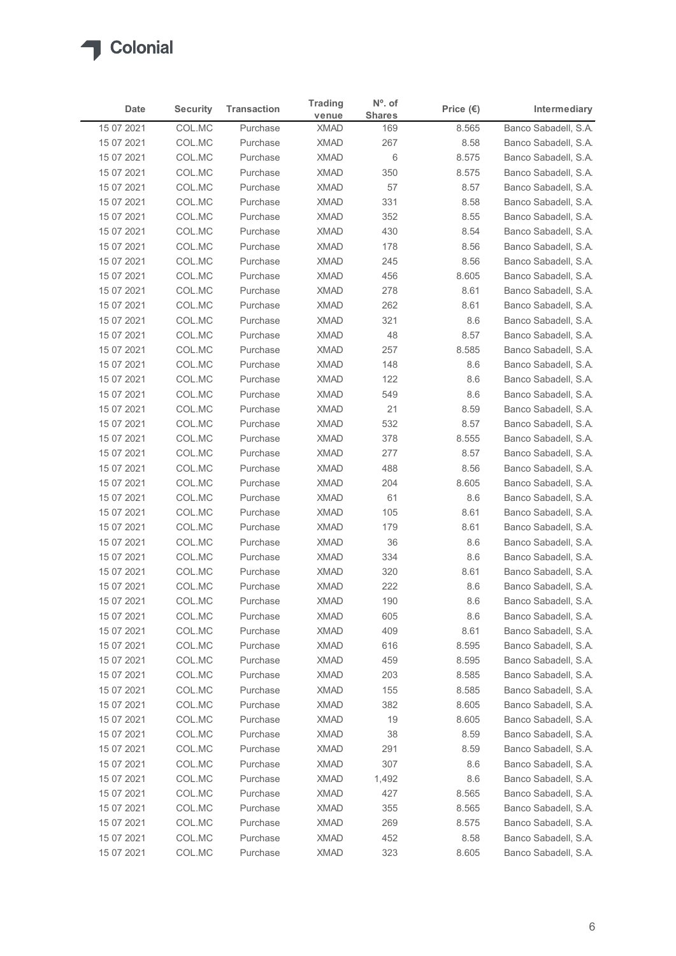

|                          |                  |                      | <b>Trading</b>             | $No$ . of     |                    |                                              |
|--------------------------|------------------|----------------------|----------------------------|---------------|--------------------|----------------------------------------------|
| <b>Date</b>              | <b>Security</b>  | <b>Transaction</b>   | venue                      | <b>Shares</b> | Price $(\epsilon)$ | Intermediary                                 |
| 15 07 2021               | COL.MC           | Purchase             | <b>XMAD</b>                | 169           | 8.565              | Banco Sabadell, S.A.                         |
| 15 07 2021<br>15 07 2021 | COL.MC<br>COL.MC | Purchase<br>Purchase | <b>XMAD</b><br><b>XMAD</b> | 267<br>6      | 8.58<br>8.575      | Banco Sabadell, S.A.<br>Banco Sabadell, S.A. |
| 15 07 2021               | COL.MC           | Purchase             | <b>XMAD</b>                | 350           | 8.575              | Banco Sabadell, S.A.                         |
| 15 07 2021               | COL.MC           | Purchase             | <b>XMAD</b>                | 57            | 8.57               | Banco Sabadell, S.A.                         |
| 15 07 2021               | COL.MC           | Purchase             | <b>XMAD</b>                | 331           | 8.58               | Banco Sabadell, S.A.                         |
| 15 07 2021               | COL.MC           | Purchase             | <b>XMAD</b>                | 352           | 8.55               | Banco Sabadell, S.A.                         |
| 15 07 2021               | COL.MC           | Purchase             | <b>XMAD</b>                | 430           | 8.54               | Banco Sabadell, S.A.                         |
| 15 07 2021<br>15 07 2021 | COL.MC<br>COL.MC | Purchase<br>Purchase | <b>XMAD</b><br><b>XMAD</b> | 178<br>245    | 8.56<br>8.56       | Banco Sabadell, S.A.<br>Banco Sabadell, S.A. |
| 15 07 2021               | COL.MC           | Purchase             | <b>XMAD</b>                | 456           | 8.605              | Banco Sabadell, S.A.                         |
| 15 07 2021               | COL.MC           | Purchase             | <b>XMAD</b>                | 278           | 8.61               | Banco Sabadell, S.A.                         |
| 15 07 2021               | COL.MC           | Purchase             | <b>XMAD</b>                | 262           | 8.61               | Banco Sabadell, S.A.                         |
| 15 07 2021               | COL.MC           | Purchase             | XMAD                       | 321           | 8.6                | Banco Sabadell, S.A.                         |
| 15 07 2021               | COL.MC           | Purchase             | <b>XMAD</b>                | 48            | 8.57               | Banco Sabadell, S.A.                         |
| 15 07 2021               | COL.MC           | Purchase             | <b>XMAD</b>                | 257           | 8.585              | Banco Sabadell, S.A.                         |
| 15 07 2021               | COL.MC           | Purchase             | <b>XMAD</b>                | 148           | 8.6                | Banco Sabadell, S.A.                         |
| 15 07 2021<br>15 07 2021 | COL.MC<br>COL.MC | Purchase<br>Purchase | <b>XMAD</b><br><b>XMAD</b> | 122<br>549    | 8.6<br>8.6         | Banco Sabadell, S.A.<br>Banco Sabadell, S.A. |
| 15 07 2021               | COL.MC           | Purchase             | <b>XMAD</b>                | 21            | 8.59               | Banco Sabadell, S.A.                         |
| 15 07 2021               | COL.MC           | Purchase             | <b>XMAD</b>                | 532           | 8.57               | Banco Sabadell, S.A.                         |
| 15 07 2021               | COL.MC           | Purchase             | XMAD                       | 378           | 8.555              | Banco Sabadell, S.A.                         |
| 15 07 2021               | COL.MC           | Purchase             | <b>XMAD</b>                | 277           | 8.57               | Banco Sabadell, S.A.                         |
| 15 07 2021               | COL.MC           | Purchase             | <b>XMAD</b>                | 488           | 8.56               | Banco Sabadell, S.A.                         |
| 15 07 2021               | COL.MC           | Purchase             | <b>XMAD</b>                | 204           | 8.605              | Banco Sabadell, S.A.                         |
| 15 07 2021               | COL.MC           | Purchase             | <b>XMAD</b>                | 61            | $8.6\,$            | Banco Sabadell, S.A.                         |
| 15 07 2021<br>15 07 2021 | COL.MC<br>COL.MC | Purchase<br>Purchase | <b>XMAD</b><br><b>XMAD</b> | 105<br>179    | 8.61<br>8.61       | Banco Sabadell, S.A.<br>Banco Sabadell, S.A. |
| 15 07 2021               | COL.MC           | Purchase             | <b>XMAD</b>                | 36            | $8.6\,$            | Banco Sabadell, S.A.                         |
| 15 07 2021               | COL.MC           | Purchase             | <b>XMAD</b>                | 334           | 8.6                | Banco Sabadell, S.A.                         |
| 15 07 2021               | COL.MC           | Purchase             | <b>XMAD</b>                | 320           | 8.61               | Banco Sabadell, S.A.                         |
| 15 07 2021               | COL.MC           | Purchase             | <b>XMAD</b>                | 222           | 8.6                | Banco Sabadell, S.A.                         |
| 15 07 2021               | COL.MC           | Purchase             | <b>XMAD</b>                | 190           | 8.6                | Banco Sabadell, S.A.                         |
| 15 07 2021               | COL.MC           | Purchase             | <b>XMAD</b>                | 605           | 8.6                | Banco Sabadell, S.A.                         |
| 15 07 2021               | COL.MC           | Purchase             | <b>XMAD</b>                | 409           | 8.61               | Banco Sabadell, S.A.                         |
| 15 07 2021               | COL.MC           | Purchase             | <b>XMAD</b>                | 616           | 8.595              | Banco Sabadell, S.A.                         |
| 15 07 2021<br>15 07 2021 | COL.MC<br>COL.MC | Purchase<br>Purchase | <b>XMAD</b><br><b>XMAD</b> | 459<br>203    | 8.595<br>8.585     | Banco Sabadell, S.A.<br>Banco Sabadell, S.A. |
| 15 07 2021               | COL.MC           | Purchase             | <b>XMAD</b>                | 155           | 8.585              | Banco Sabadell, S.A.                         |
| 15 07 2021               | COL.MC           | Purchase             | <b>XMAD</b>                | 382           | 8.605              | Banco Sabadell, S.A.                         |
| 15 07 2021               | COL.MC           | Purchase             | <b>XMAD</b>                | 19            | 8.605              | Banco Sabadell, S.A.                         |
| 15 07 2021               | COL.MC           | Purchase             | <b>XMAD</b>                | 38            | 8.59               | Banco Sabadell, S.A.                         |
| 15 07 2021               | COL.MC           | Purchase             | <b>XMAD</b>                | 291           | 8.59               | Banco Sabadell, S.A.                         |
| 15 07 2021               | COL.MC           | Purchase             | <b>XMAD</b>                | 307           | 8.6                | Banco Sabadell, S.A.                         |
| 15 07 2021               | COL.MC           | Purchase             | <b>XMAD</b>                | 1,492         | 8.6                | Banco Sabadell, S.A.                         |
| 15 07 2021               | COL.MC           | Purchase<br>Purchase | <b>XMAD</b><br><b>XMAD</b> | 427<br>355    | 8.565<br>8.565     | Banco Sabadell, S.A.<br>Banco Sabadell, S.A. |
| 15 07 2021<br>15 07 2021 | COL.MC<br>COL.MC | Purchase             | <b>XMAD</b>                | 269           | 8.575              | Banco Sabadell, S.A.                         |
|                          | COL.MC           | Purchase             | <b>XMAD</b>                | 452           | 8.58               | Banco Sabadell, S.A.                         |
| 15 07 2021               |                  |                      |                            |               |                    |                                              |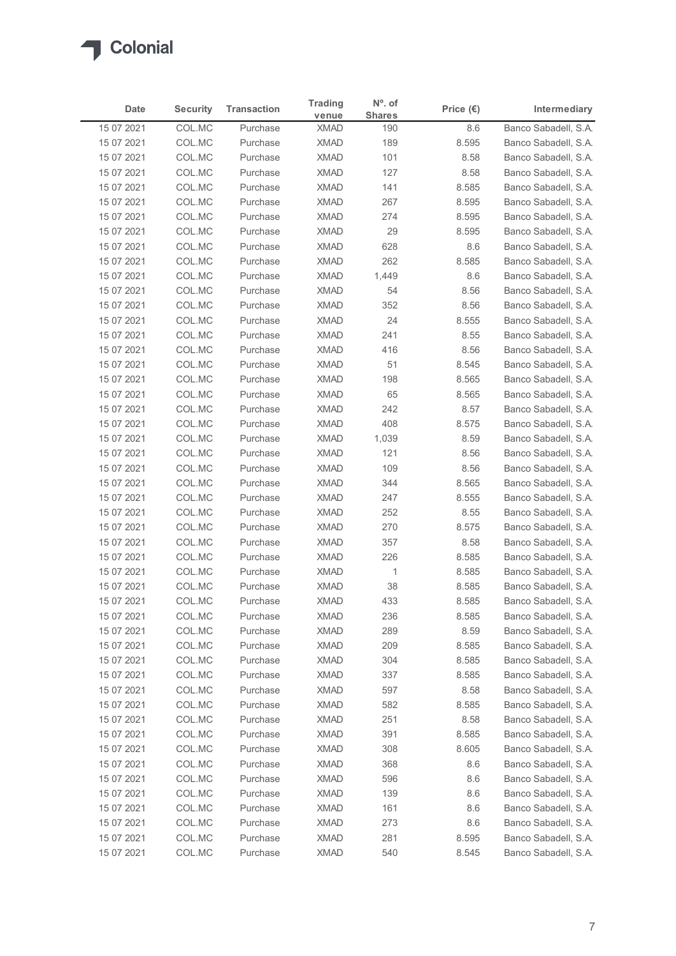

|                          |                  |                      | <b>Trading</b>             | $No$ . of      |                    |                                              |
|--------------------------|------------------|----------------------|----------------------------|----------------|--------------------|----------------------------------------------|
| Date                     | <b>Security</b>  | <b>Transaction</b>   | venue                      | <b>Shares</b>  | Price $(\epsilon)$ | Intermediary                                 |
| 15 07 2021<br>15 07 2021 | COL.MC<br>COL.MC | Purchase<br>Purchase | <b>XMAD</b><br><b>XMAD</b> | 190<br>189     | 8.6<br>8.595       | Banco Sabadell, S.A.<br>Banco Sabadell, S.A. |
| 15 07 2021               | COL.MC           | Purchase             | <b>XMAD</b>                | 101            | 8.58               | Banco Sabadell, S.A.                         |
| 15 07 2021               | COL.MC           | Purchase             | <b>XMAD</b>                | 127            | 8.58               | Banco Sabadell, S.A.                         |
| 15 07 2021               | COL.MC           | Purchase             | <b>XMAD</b>                | 141            | 8.585              | Banco Sabadell, S.A.                         |
| 15 07 2021               | COL.MC           | Purchase             | <b>XMAD</b>                | 267            | 8.595              | Banco Sabadell, S.A.                         |
| 15 07 2021               | COL.MC           | Purchase             | <b>XMAD</b>                | 274            | 8.595              | Banco Sabadell, S.A.                         |
| 15 07 2021<br>15 07 2021 | COL.MC<br>COL.MC | Purchase<br>Purchase | <b>XMAD</b><br><b>XMAD</b> | 29<br>628      | 8.595<br>8.6       | Banco Sabadell, S.A.<br>Banco Sabadell, S.A. |
| 15 07 2021               | COL.MC           | Purchase             | <b>XMAD</b>                | 262            | 8.585              | Banco Sabadell, S.A.                         |
| 15 07 2021               | COL.MC           | Purchase             | <b>XMAD</b>                | 1,449          | 8.6                | Banco Sabadell, S.A.                         |
| 15 07 2021               | COL.MC           | Purchase             | <b>XMAD</b>                | 54             | 8.56               | Banco Sabadell, S.A.                         |
| 15 07 2021               | COL.MC           | Purchase             | <b>XMAD</b>                | 352            | 8.56               | Banco Sabadell, S.A.                         |
| 15 07 2021               | COL.MC           | Purchase             | XMAD                       | 24             | 8.555              | Banco Sabadell, S.A.                         |
| 15 07 2021               | COL.MC           | Purchase             | <b>XMAD</b>                | 241            | 8.55               | Banco Sabadell, S.A.                         |
| 15 07 2021               | COL.MC           | Purchase             | <b>XMAD</b>                | 416            | 8.56               | Banco Sabadell, S.A.                         |
| 15 07 2021<br>15 07 2021 | COL.MC<br>COL.MC | Purchase<br>Purchase | XMAD<br>XMAD               | 51<br>198      | 8.545<br>8.565     | Banco Sabadell, S.A.<br>Banco Sabadell, S.A. |
| 15 07 2021               | COL.MC           | Purchase             | <b>XMAD</b>                | 65             | 8.565              | Banco Sabadell, S.A.                         |
| 15 07 2021               | COL.MC           | Purchase             | <b>XMAD</b>                | 242            | 8.57               | Banco Sabadell, S.A.                         |
| 15 07 2021               | COL.MC           | Purchase             | <b>XMAD</b>                | 408            | 8.575              | Banco Sabadell, S.A.                         |
| 15 07 2021               | COL.MC           | Purchase             | XMAD                       | 1,039          | 8.59               | Banco Sabadell, S.A.                         |
| 15 07 2021               | COL.MC           | Purchase             | <b>XMAD</b>                | 121            | 8.56               | Banco Sabadell, S.A.                         |
| 15 07 2021               | COL.MC           | Purchase             | <b>XMAD</b>                | 109            | 8.56               | Banco Sabadell, S.A.                         |
| 15 07 2021               | COL.MC           | Purchase             | XMAD                       | 344            | 8.565              | Banco Sabadell, S.A.                         |
| 15 07 2021               | COL.MC           | Purchase             | <b>XMAD</b>                | 247            | 8.555              | Banco Sabadell, S.A.                         |
| 15 07 2021<br>15 07 2021 | COL.MC<br>COL.MC | Purchase<br>Purchase | <b>XMAD</b><br><b>XMAD</b> | 252<br>270     | 8.55<br>8.575      | Banco Sabadell, S.A.<br>Banco Sabadell, S.A. |
| 15 07 2021               | COL.MC           | Purchase             | <b>XMAD</b>                | 357            | 8.58               | Banco Sabadell, S.A.                         |
| 15 07 2021               | COL.MC           | Purchase             | <b>XMAD</b>                | 226            | 8.585              | Banco Sabadell, S.A.                         |
| 15 07 2021               | COL.MC           | Purchase             | <b>XMAD</b>                | $\overline{1}$ | 8.585              | Banco Sabadell, S.A.                         |
| 15 07 2021               | COL.MC           | Purchase             | <b>XMAD</b>                | 38             | 8.585              | Banco Sabadell, S.A.                         |
| 15 07 2021               | COL.MC           | Purchase             | <b>XMAD</b>                | 433            | 8.585              | Banco Sabadell, S.A.                         |
| 15 07 2021               | COL.MC           | Purchase             | <b>XMAD</b>                | 236            | 8.585              | Banco Sabadell, S.A.                         |
| 15 07 2021               | COL.MC           | Purchase             | <b>XMAD</b>                | 289            | 8.59               | Banco Sabadell, S.A.                         |
| 15 07 2021               | COL.MC           | Purchase             | <b>XMAD</b>                | 209            | 8.585              | Banco Sabadell, S.A.                         |
| 15 07 2021<br>15 07 2021 | COL.MC<br>COL.MC | Purchase<br>Purchase | <b>XMAD</b><br><b>XMAD</b> | 304<br>337     | 8.585<br>8.585     | Banco Sabadell, S.A.<br>Banco Sabadell, S.A. |
| 15 07 2021               | COL.MC           | Purchase             | <b>XMAD</b>                | 597            | 8.58               | Banco Sabadell, S.A.                         |
| 15 07 2021               | COL.MC           | Purchase             | <b>XMAD</b>                | 582            | 8.585              | Banco Sabadell, S.A.                         |
| 15 07 2021               | COL.MC           | Purchase             | <b>XMAD</b>                | 251            | 8.58               | Banco Sabadell, S.A.                         |
| 15 07 2021               | COL.MC           | Purchase             | <b>XMAD</b>                | 391            | 8.585              | Banco Sabadell, S.A.                         |
| 15 07 2021               | COL.MC           | Purchase             | <b>XMAD</b>                | 308            | 8.605              | Banco Sabadell, S.A.                         |
| 15 07 2021               | COL.MC           | Purchase             | <b>XMAD</b>                | 368            | 8.6                | Banco Sabadell, S.A.                         |
| 15 07 2021               | COL.MC           | Purchase             | <b>XMAD</b>                | 596            | 8.6                | Banco Sabadell, S.A.                         |
| 15 07 2021               | COL.MC           | Purchase<br>Purchase | <b>XMAD</b><br><b>XMAD</b> | 139<br>161     | 8.6<br>8.6         | Banco Sabadell, S.A.<br>Banco Sabadell, S.A. |
| 15 07 2021<br>15 07 2021 | COL.MC<br>COL.MC | Purchase             | <b>XMAD</b>                | 273            | 8.6                | Banco Sabadell, S.A.                         |
|                          | COL.MC           | Purchase             | <b>XMAD</b>                | 281            | 8.595              | Banco Sabadell, S.A.                         |
| 15 07 2021               |                  | Purchase             | XMAD                       | 540            | 8.545              | Banco Sabadell, S.A.                         |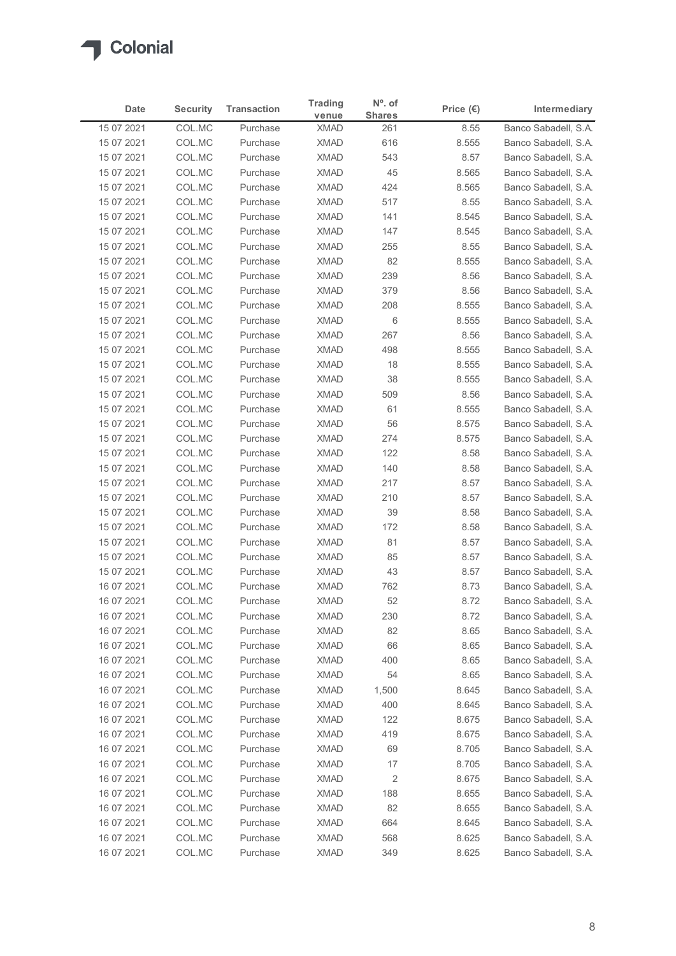

|                          |                  |                      | <b>Trading</b>             | $No$ . of     |                    |                                              |
|--------------------------|------------------|----------------------|----------------------------|---------------|--------------------|----------------------------------------------|
| Date                     | <b>Security</b>  | <b>Transaction</b>   | venue                      | <b>Shares</b> | Price $(\epsilon)$ | Intermediary                                 |
| 15 07 2021<br>15 07 2021 | COL.MC<br>COL.MC | Purchase<br>Purchase | <b>XMAD</b><br><b>XMAD</b> | 261<br>616    | 8.55<br>8.555      | Banco Sabadell, S.A.<br>Banco Sabadell, S.A. |
| 15 07 2021               | COL.MC           | Purchase             | <b>XMAD</b>                | 543           | 8.57               | Banco Sabadell, S.A.                         |
| 15 07 2021               | COL.MC           | Purchase             | <b>XMAD</b>                | 45            | 8.565              | Banco Sabadell, S.A.                         |
| 15 07 2021               | COL.MC           | Purchase             | <b>XMAD</b>                | 424           | 8.565              | Banco Sabadell, S.A.                         |
| 15 07 2021               | COL.MC           | Purchase             | <b>XMAD</b>                | 517           | 8.55               | Banco Sabadell, S.A.                         |
| 15 07 2021<br>15 07 2021 | COL.MC<br>COL.MC | Purchase<br>Purchase | <b>XMAD</b><br><b>XMAD</b> | 141<br>147    | 8.545<br>8.545     | Banco Sabadell, S.A.<br>Banco Sabadell, S.A. |
| 15 07 2021               | COL.MC           | Purchase             | <b>XMAD</b>                | 255           | 8.55               | Banco Sabadell, S.A.                         |
| 15 07 2021               | COL.MC           | Purchase             | <b>XMAD</b>                | 82            | 8.555              | Banco Sabadell, S.A.                         |
| 15 07 2021               | COL.MC           | Purchase             | <b>XMAD</b>                | 239           | 8.56               | Banco Sabadell, S.A.                         |
| 15 07 2021               | COL.MC           | Purchase             | <b>XMAD</b>                | 379           | 8.56               | Banco Sabadell, S.A.                         |
| 15 07 2021               | COL.MC           | Purchase             | <b>XMAD</b>                | 208           | 8.555              | Banco Sabadell, S.A.                         |
| 15 07 2021               | COL.MC           | Purchase             | XMAD                       | 6             | 8.555              | Banco Sabadell, S.A.                         |
| 15 07 2021<br>15 07 2021 | COL.MC<br>COL.MC | Purchase<br>Purchase | <b>XMAD</b><br><b>XMAD</b> | 267<br>498    | 8.56<br>8.555      | Banco Sabadell, S.A.<br>Banco Sabadell, S.A. |
| 15 07 2021               | COL.MC           | Purchase             | <b>XMAD</b>                | 18            | 8.555              | Banco Sabadell, S.A.                         |
| 15 07 2021               | COL.MC           | Purchase             | XMAD                       | 38            | 8.555              | Banco Sabadell, S.A.                         |
| 15 07 2021               | COL.MC           | Purchase             | <b>XMAD</b>                | 509           | 8.56               | Banco Sabadell, S.A.                         |
| 15 07 2021               | COL.MC           | Purchase             | <b>XMAD</b>                | 61            | 8.555              | Banco Sabadell, S.A.                         |
| 15 07 2021               | COL.MC           | Purchase             | <b>XMAD</b>                | 56            | 8.575              | Banco Sabadell, S.A.                         |
| 15 07 2021               | COL.MC           | Purchase             | XMAD                       | 274           | 8.575              | Banco Sabadell, S.A.                         |
| 15 07 2021<br>15 07 2021 | COL.MC<br>COL.MC | Purchase<br>Purchase | <b>XMAD</b><br><b>XMAD</b> | 122<br>140    | 8.58<br>8.58       | Banco Sabadell, S.A.<br>Banco Sabadell, S.A. |
| 15 07 2021               | COL.MC           | Purchase             | XMAD                       | 217           | 8.57               | Banco Sabadell, S.A.                         |
| 15 07 2021               | COL.MC           | Purchase             | <b>XMAD</b>                | 210           | 8.57               | Banco Sabadell, S.A.                         |
| 15 07 2021               | COL.MC           | Purchase             | <b>XMAD</b>                | 39            | 8.58               | Banco Sabadell, S.A.                         |
| 15 07 2021               | COL.MC           | Purchase             | <b>XMAD</b>                | 172           | 8.58               | Banco Sabadell, S.A.                         |
| 15 07 2021               | COL.MC           | Purchase             | <b>XMAD</b>                | 81            | 8.57               | Banco Sabadell, S.A.                         |
| 15 07 2021               | COL.MC           | Purchase             | <b>XMAD</b>                | 85            | 8.57               | Banco Sabadell, S.A.                         |
| 15 07 2021               | COL.MC           | Purchase             | <b>XMAD</b>                | 43            | 8.57               | Banco Sabadell, S.A.                         |
| 16 07 2021               | COL.MC           | Purchase<br>Purchase | <b>XMAD</b><br><b>XMAD</b> | 762<br>52     | 8.73               | Banco Sabadell, S.A.                         |
| 16 07 2021<br>16 07 2021 | COL.MC<br>COL.MC | Purchase             | <b>XMAD</b>                | 230           | 8.72<br>8.72       | Banco Sabadell, S.A.<br>Banco Sabadell, S.A. |
| 16 07 2021               | COL.MC           | Purchase             | <b>XMAD</b>                | 82            | 8.65               | Banco Sabadell, S.A.                         |
| 16 07 2021               | COL.MC           | Purchase             | XMAD                       | 66            | 8.65               | Banco Sabadell, S.A.                         |
| 16 07 2021               | COL.MC           | Purchase             | <b>XMAD</b>                | 400           | 8.65               | Banco Sabadell, S.A.                         |
| 16 07 2021               | COL.MC           | Purchase             | <b>XMAD</b>                | 54            | 8.65               | Banco Sabadell, S.A.                         |
| 16 07 2021               | COL.MC           | Purchase             | <b>XMAD</b>                | 1,500         | 8.645              | Banco Sabadell, S.A.                         |
| 16 07 2021               | COL.MC           | Purchase             | <b>XMAD</b>                | 400           | 8.645              | Banco Sabadell, S.A.                         |
| 16 07 2021               | COL.MC           | Purchase             | <b>XMAD</b>                | 122           | 8.675              | Banco Sabadell, S.A.                         |
| 16 07 2021               | COL.MC           | Purchase             | <b>XMAD</b>                | 419           | 8.675              | Banco Sabadell, S.A.<br>Banco Sabadell, S.A. |
| 16 07 2021<br>16 07 2021 | COL.MC<br>COL.MC | Purchase<br>Purchase | <b>XMAD</b><br><b>XMAD</b> | 69<br>17      | 8.705<br>8.705     | Banco Sabadell, S.A.                         |
| 16 07 2021               | COL.MC           | Purchase             | <b>XMAD</b>                | 2             | 8.675              | Banco Sabadell, S.A.                         |
| 16 07 2021               | COL.MC           | Purchase             | <b>XMAD</b>                | 188           | 8.655              | Banco Sabadell, S.A.                         |
| 16 07 2021               | COL.MC           | Purchase             | <b>XMAD</b>                | 82            | 8.655              | Banco Sabadell, S.A.                         |
| 16 07 2021               | COL.MC           | Purchase             | <b>XMAD</b>                | 664           | 8.645              | Banco Sabadell, S.A.                         |
| 16 07 2021               | COL.MC           | Purchase             | <b>XMAD</b>                | 568           | 8.625              | Banco Sabadell, S.A.                         |
| 16 07 2021               | COL.MC           | Purchase             | XMAD                       | 349           | 8.625              | Banco Sabadell, S.A.                         |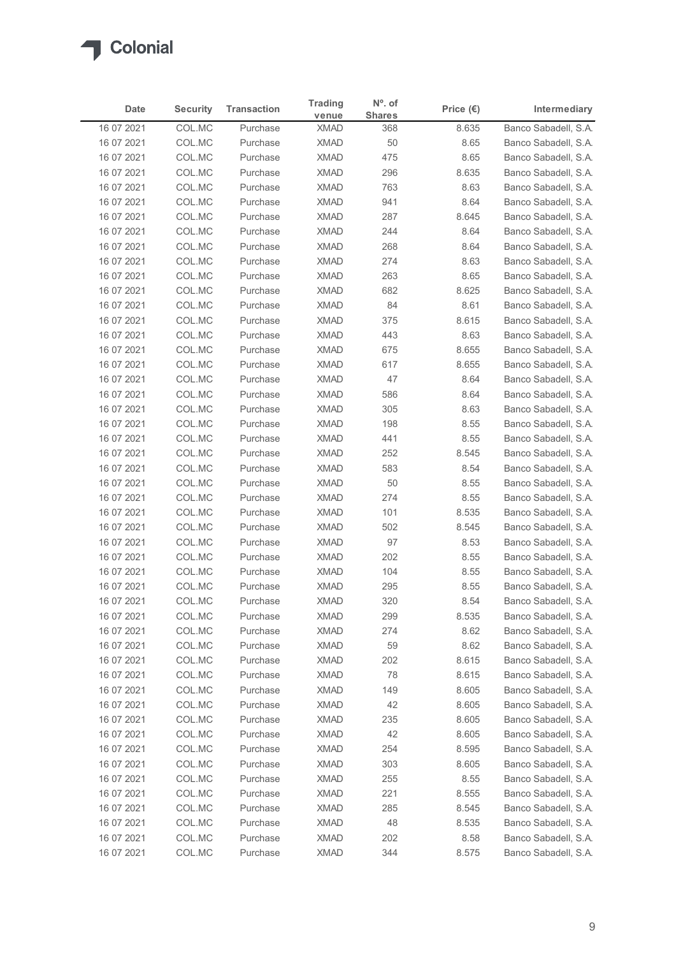

|                          |                  |                      | <b>Trading</b>             | $No$ . of     |                    |                                              |
|--------------------------|------------------|----------------------|----------------------------|---------------|--------------------|----------------------------------------------|
| Date                     | <b>Security</b>  | <b>Transaction</b>   | venue                      | <b>Shares</b> | Price $(\epsilon)$ | Intermediary                                 |
| 16 07 2021<br>16 07 2021 | COL.MC<br>COL.MC | Purchase<br>Purchase | <b>XMAD</b><br><b>XMAD</b> | 368<br>50     | 8.635<br>8.65      | Banco Sabadell, S.A.<br>Banco Sabadell, S.A. |
| 16 07 2021               | COL.MC           | Purchase             | <b>XMAD</b>                | 475           | 8.65               | Banco Sabadell, S.A.                         |
| 16 07 2021               | COL.MC           | Purchase             | <b>XMAD</b>                | 296           | 8.635              | Banco Sabadell, S.A.                         |
| 16 07 2021               | COL.MC           | Purchase             | <b>XMAD</b>                | 763           | 8.63               | Banco Sabadell, S.A.                         |
| 16 07 2021               | COL.MC           | Purchase             | <b>XMAD</b>                | 941           | 8.64               | Banco Sabadell, S.A.                         |
| 16 07 2021               | COL.MC           | Purchase             | <b>XMAD</b>                | 287           | 8.645              | Banco Sabadell, S.A.                         |
| 16 07 2021<br>16 07 2021 | COL.MC<br>COL.MC | Purchase<br>Purchase | <b>XMAD</b><br><b>XMAD</b> | 244<br>268    | 8.64<br>8.64       | Banco Sabadell, S.A.<br>Banco Sabadell, S.A. |
| 16 07 2021               | COL.MC           | Purchase             | <b>XMAD</b>                | 274           | 8.63               | Banco Sabadell, S.A.                         |
| 16 07 2021               | COL.MC           | Purchase             | <b>XMAD</b>                | 263           | 8.65               | Banco Sabadell, S.A.                         |
| 16 07 2021               | COL.MC           | Purchase             | <b>XMAD</b>                | 682           | 8.625              | Banco Sabadell, S.A.                         |
| 16 07 2021               | COL.MC           | Purchase             | <b>XMAD</b>                | 84            | 8.61               | Banco Sabadell, S.A.                         |
| 16 07 2021               | COL.MC           | Purchase             | XMAD                       | 375           | 8.615              | Banco Sabadell, S.A.                         |
| 16 07 2021               | COL.MC           | Purchase             | XMAD                       | 443           | 8.63               | Banco Sabadell, S.A.                         |
| 16 07 2021               | COL.MC           | Purchase             | XMAD                       | 675           | 8.655              | Banco Sabadell, S.A.                         |
| 16 07 2021<br>16 07 2021 | COL.MC<br>COL.MC | Purchase<br>Purchase | <b>XMAD</b><br><b>XMAD</b> | 617<br>47     | 8.655<br>8.64      | Banco Sabadell, S.A.<br>Banco Sabadell, S.A. |
| 16 07 2021               | COL.MC           | Purchase             | <b>XMAD</b>                | 586           | 8.64               | Banco Sabadell, S.A.                         |
| 16 07 2021               | COL.MC           | Purchase             | <b>XMAD</b>                | 305           | 8.63               | Banco Sabadell, S.A.                         |
| 16 07 2021               | COL.MC           | Purchase             | <b>XMAD</b>                | 198           | 8.55               | Banco Sabadell, S.A.                         |
| 16 07 2021               | COL.MC           | Purchase             | XMAD                       | 441           | 8.55               | Banco Sabadell, S.A.                         |
| 16 07 2021               | COL.MC           | Purchase             | XMAD                       | 252           | 8.545              | Banco Sabadell, S.A.                         |
| 16 07 2021               | COL.MC           | Purchase             | <b>XMAD</b>                | 583           | 8.54               | Banco Sabadell, S.A.                         |
| 16 07 2021               | COL.MC           | Purchase             | <b>XMAD</b>                | 50            | 8.55               | Banco Sabadell, S.A.                         |
| 16 07 2021<br>16 07 2021 | COL.MC<br>COL.MC | Purchase<br>Purchase | <b>XMAD</b><br>XMAD        | 274<br>101    | 8.55<br>8.535      | Banco Sabadell, S.A.<br>Banco Sabadell, S.A. |
| 16 07 2021               | COL.MC           | Purchase             | <b>XMAD</b>                | 502           | 8.545              | Banco Sabadell, S.A.                         |
| 16 07 2021               | COL.MC           | Purchase             | XMAD                       | 97            | 8.53               | Banco Sabadell, S.A.                         |
| 16 07 2021               | COL.MC           | Purchase             | <b>XMAD</b>                | 202           | 8.55               | Banco Sabadell, S.A.                         |
| 16 07 2021               | COL.MC           | Purchase             | <b>XMAD</b>                | 104           | 8.55               | Banco Sabadell, S.A.                         |
| 16 07 2021               | COL.MC           | Purchase             | <b>XMAD</b>                | 295           | 8.55               | Banco Sabadell, S.A.                         |
| 16 07 2021               | COL.MC           | Purchase             | <b>XMAD</b>                | 320           | 8.54               | Banco Sabadell, S.A.                         |
| 16 07 2021               | COL.MC           | Purchase             | <b>XMAD</b>                | 299           | 8.535              | Banco Sabadell, S.A.                         |
| 16 07 2021               | COL.MC           | Purchase             | XMAD                       | 274           | 8.62               | Banco Sabadell, S.A.                         |
| 16 07 2021<br>16 07 2021 | COL.MC<br>COL.MC | Purchase<br>Purchase | XMAD<br><b>XMAD</b>        | 59<br>202     | 8.62<br>8.615      | Banco Sabadell, S.A.<br>Banco Sabadell, S.A. |
| 16 07 2021               | COL.MC           | Purchase             | <b>XMAD</b>                | 78            | 8.615              | Banco Sabadell, S.A.                         |
| 16 07 2021               | COL.MC           | Purchase             | XMAD                       | 149           | 8.605              | Banco Sabadell, S.A.                         |
| 16 07 2021               | COL.MC           | Purchase             | <b>XMAD</b>                | 42            | 8.605              | Banco Sabadell, S.A.                         |
| 16 07 2021               | COL.MC           | Purchase             | <b>XMAD</b>                | 235           | 8.605              | Banco Sabadell, S.A.                         |
| 16 07 2021               | COL.MC           | Purchase             | <b>XMAD</b>                | 42            | 8.605              | Banco Sabadell, S.A.                         |
| 16 07 2021               | COL.MC           | Purchase             | <b>XMAD</b>                | 254           | 8.595              | Banco Sabadell, S.A.                         |
| 16 07 2021               | COL.MC           | Purchase             | <b>XMAD</b>                | 303           | 8.605              | Banco Sabadell, S.A.                         |
| 16 07 2021               | COL.MC           | Purchase             | XMAD                       | 255           | 8.55               | Banco Sabadell, S.A.                         |
| 16 07 2021<br>16 07 2021 | COL.MC<br>COL.MC | Purchase<br>Purchase | XMAD<br><b>XMAD</b>        | 221<br>285    | 8.555<br>8.545     | Banco Sabadell, S.A.<br>Banco Sabadell, S.A. |
| 16 07 2021               | COL.MC           | Purchase             | <b>XMAD</b>                | 48            | 8.535              | Banco Sabadell, S.A.                         |
|                          | COL.MC           | Purchase             | <b>XMAD</b>                | 202           | 8.58               | Banco Sabadell, S.A.                         |
| 16 07 2021               |                  | Purchase             | <b>XMAD</b>                | 344           | 8.575              | Banco Sabadell, S.A.                         |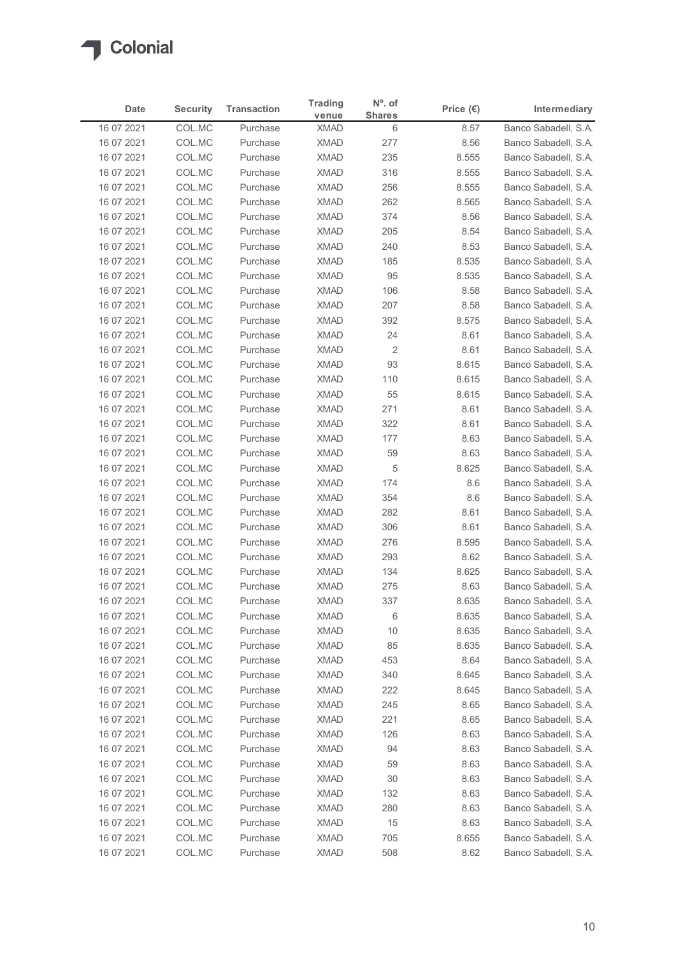

| <b>Shares</b><br>venue<br>Banco Sabadell, S.A.<br>16 07 2021<br>COL.MC<br><b>XMAD</b><br>6<br>Purchase<br>8.57<br>16 07 2021<br>COL.MC<br><b>XMAD</b><br>277<br>Banco Sabadell, S.A.<br>Purchase<br>8.56<br>COL.MC<br><b>XMAD</b><br>235<br>Banco Sabadell, S.A.<br>16 07 2021<br>Purchase<br>8.555<br><b>XMAD</b><br>316<br>16 07 2021<br>COL.MC<br>Purchase<br>8.555<br>Banco Sabadell, S.A.<br>COL.MC<br><b>XMAD</b><br>256<br>16 07 2021<br>Purchase<br>8.555<br>Banco Sabadell, S.A.<br>16 07 2021<br>COL.MC<br><b>XMAD</b><br>Banco Sabadell, S.A.<br>Purchase<br>262<br>8.565<br>16 07 2021<br>COL.MC<br><b>XMAD</b><br>374<br>Banco Sabadell, S.A.<br>Purchase<br>8.56<br>16 07 2021<br>COL.MC<br>Purchase<br><b>XMAD</b><br>205<br>8.54<br>Banco Sabadell, S.A.<br>COL.MC<br>240<br>16 07 2021<br><b>XMAD</b><br>8.53<br>Banco Sabadell, S.A.<br>Purchase<br>COL.MC<br><b>XMAD</b><br>8.535<br>16 07 2021<br>Purchase<br>185<br>Banco Sabadell, S.A.<br>COL.MC<br><b>XMAD</b><br>95<br>8.535<br>16 07 2021<br>Purchase<br>Banco Sabadell, S.A.<br>COL.MC<br><b>XMAD</b><br>Banco Sabadell, S.A.<br>16 07 2021<br>Purchase<br>106<br>8.58<br><b>XMAD</b><br>207<br>16 07 2021<br>COL.MC<br>Purchase<br>8.58<br>Banco Sabadell, S.A.<br>392<br>16 07 2021<br>COL.MC<br>XMAD<br>8.575<br>Banco Sabadell, S.A.<br>Purchase<br><b>XMAD</b><br>Banco Sabadell, S.A.<br>16 07 2021<br>COL.MC<br>Purchase<br>24<br>8.61<br>XMAD<br>$\overline{2}$<br>8.61<br>16 07 2021<br>COL.MC<br>Purchase<br>Banco Sabadell, S.A.<br><b>XMAD</b><br>93<br>8.615<br>16 07 2021<br>COL.MC<br>Purchase<br>Banco Sabadell, S.A.<br>COL.MC<br><b>XMAD</b><br>8.615<br>16 07 2021<br>Purchase<br>110<br>Banco Sabadell, S.A.<br><b>XMAD</b><br>55<br>Banco Sabadell, S.A.<br>16 07 2021<br>COL.MC<br>Purchase<br>8.615<br>16 07 2021<br>COL.MC<br>Purchase<br><b>XMAD</b><br>271<br>8.61<br>Banco Sabadell, S.A.<br>16 07 2021<br>COL.MC<br><b>XMAD</b><br>322<br>8.61<br>Banco Sabadell, S.A.<br>Purchase<br><b>XMAD</b><br>177<br>8.63<br>Banco Sabadell, S.A.<br>16 07 2021<br>COL.MC<br>Purchase<br>16 07 2021<br>COL.MC<br>Purchase<br>XMAD<br>59<br>8.63<br>Banco Sabadell, S.A.<br>5<br>16 07 2021<br>COL.MC<br><b>XMAD</b><br>8.625<br>Banco Sabadell, S.A.<br>Purchase<br>8.6<br>16 07 2021<br>COL.MC<br>Purchase<br><b>XMAD</b><br>174<br>Banco Sabadell, S.A.<br>COL.MC<br>8.6<br>16 07 2021<br><b>XMAD</b><br>354<br>Banco Sabadell, S.A.<br>Purchase<br>282<br>16 07 2021<br>COL.MC<br>XMAD<br>8.61<br>Banco Sabadell, S.A.<br>Purchase<br><b>XMAD</b><br>306<br>16 07 2021<br>COL.MC<br>8.61<br>Banco Sabadell, S.A.<br>Purchase<br>XMAD<br>8.595<br>Banco Sabadell, S.A.<br>16 07 2021<br>COL.MC<br>Purchase<br>276<br>COL.MC<br><b>XMAD</b><br>16 07 2021<br>Purchase<br>293<br>8.62<br>Banco Sabadell, S.A.<br>16 07 2021<br>COL.MC<br>Purchase<br><b>XMAD</b><br>134<br>8.625<br>Banco Sabadell, S.A.<br>275<br>8.63<br>16 07 2021<br>COL.MC<br><b>XMAD</b><br>Banco Sabadell, S.A.<br>Purchase<br><b>XMAD</b><br>8.635<br>16 07 2021<br>COL.MC<br>Purchase<br>337<br>Banco Sabadell, S.A.<br><b>XMAD</b><br>8.635<br>16 07 2021<br>COL.MC<br>Purchase<br>6<br>Banco Sabadell, S.A.<br>10<br>16 07 2021<br>COL.MC<br>Purchase<br>XMAD<br>8.635<br>Banco Sabadell, S.A.<br>16 07 2021<br>COL.MC<br>Purchase<br>XMAD<br>85<br>8.635<br>Banco Sabadell, S.A.<br>16 07 2021<br>COL.MC<br>Purchase<br><b>XMAD</b><br>453<br>8.64<br>Banco Sabadell, S.A.<br>COL.MC<br>340<br>8.645<br>16 07 2021<br><b>XMAD</b><br>Banco Sabadell, S.A.<br>Purchase<br>16 07 2021<br>COL.MC<br>XMAD<br>222<br>8.645<br>Banco Sabadell, S.A.<br>Purchase<br><b>XMAD</b><br>16 07 2021<br>COL.MC<br>Purchase<br>245<br>8.65<br>Banco Sabadell, S.A.<br>COL.MC<br><b>XMAD</b><br>221<br>Banco Sabadell, S.A.<br>16 07 2021<br>Purchase<br>8.65<br>16 07 2021<br>COL.MC<br>Purchase<br><b>XMAD</b><br>126<br>8.63<br>Banco Sabadell, S.A.<br>16 07 2021<br>COL.MC<br>Purchase<br><b>XMAD</b><br>94<br>8.63<br>Banco Sabadell, S.A.<br>59<br>16 07 2021<br>COL.MC<br><b>XMAD</b><br>8.63<br>Banco Sabadell, S.A.<br>Purchase<br>XMAD<br>30<br>16 07 2021<br>COL.MC<br>Purchase<br>8.63<br>Banco Sabadell, S.A.<br>16 07 2021<br>COL.MC<br>XMAD<br>132<br>8.63<br>Banco Sabadell, S.A.<br>Purchase<br>16 07 2021<br>COL.MC<br>Purchase<br><b>XMAD</b><br>280<br>8.63<br>Banco Sabadell, S.A.<br><b>XMAD</b><br>16 07 2021<br>COL.MC<br>Purchase<br>15<br>8.63<br>Banco Sabadell, S.A.<br>16 07 2021<br>COL.MC<br>Purchase<br><b>XMAD</b><br>705<br>8.655<br>Banco Sabadell, S.A. |      |                 |                    | <b>Trading</b> | $No$ . of |                    |                      |
|--------------------------------------------------------------------------------------------------------------------------------------------------------------------------------------------------------------------------------------------------------------------------------------------------------------------------------------------------------------------------------------------------------------------------------------------------------------------------------------------------------------------------------------------------------------------------------------------------------------------------------------------------------------------------------------------------------------------------------------------------------------------------------------------------------------------------------------------------------------------------------------------------------------------------------------------------------------------------------------------------------------------------------------------------------------------------------------------------------------------------------------------------------------------------------------------------------------------------------------------------------------------------------------------------------------------------------------------------------------------------------------------------------------------------------------------------------------------------------------------------------------------------------------------------------------------------------------------------------------------------------------------------------------------------------------------------------------------------------------------------------------------------------------------------------------------------------------------------------------------------------------------------------------------------------------------------------------------------------------------------------------------------------------------------------------------------------------------------------------------------------------------------------------------------------------------------------------------------------------------------------------------------------------------------------------------------------------------------------------------------------------------------------------------------------------------------------------------------------------------------------------------------------------------------------------------------------------------------------------------------------------------------------------------------------------------------------------------------------------------------------------------------------------------------------------------------------------------------------------------------------------------------------------------------------------------------------------------------------------------------------------------------------------------------------------------------------------------------------------------------------------------------------------------------------------------------------------------------------------------------------------------------------------------------------------------------------------------------------------------------------------------------------------------------------------------------------------------------------------------------------------------------------------------------------------------------------------------------------------------------------------------------------------------------------------------------------------------------------------------------------------------------------------------------------------------------------------------------------------------------------------------------------------------------------------------------------------------------------------------------------------------------------------------------------------------------------------------------------------------------------------------------------------------------------------------------------------------------------------------------------------------------------------------------------------------------------------------------------------------------------------------------------------------------------------------------------------------------------------------------------------------------------------------------------|------|-----------------|--------------------|----------------|-----------|--------------------|----------------------|
|                                                                                                                                                                                                                                                                                                                                                                                                                                                                                                                                                                                                                                                                                                                                                                                                                                                                                                                                                                                                                                                                                                                                                                                                                                                                                                                                                                                                                                                                                                                                                                                                                                                                                                                                                                                                                                                                                                                                                                                                                                                                                                                                                                                                                                                                                                                                                                                                                                                                                                                                                                                                                                                                                                                                                                                                                                                                                                                                                                                                                                                                                                                                                                                                                                                                                                                                                                                                                                                                                                                                                                                                                                                                                                                                                                                                                                                                                                                                                                                                                                                                                                                                                                                                                                                                                                                                                                                                                                                                                                                                                        | Date | <b>Security</b> | <b>Transaction</b> |                |           | Price $(\epsilon)$ | Intermediary         |
|                                                                                                                                                                                                                                                                                                                                                                                                                                                                                                                                                                                                                                                                                                                                                                                                                                                                                                                                                                                                                                                                                                                                                                                                                                                                                                                                                                                                                                                                                                                                                                                                                                                                                                                                                                                                                                                                                                                                                                                                                                                                                                                                                                                                                                                                                                                                                                                                                                                                                                                                                                                                                                                                                                                                                                                                                                                                                                                                                                                                                                                                                                                                                                                                                                                                                                                                                                                                                                                                                                                                                                                                                                                                                                                                                                                                                                                                                                                                                                                                                                                                                                                                                                                                                                                                                                                                                                                                                                                                                                                                                        |      |                 |                    |                |           |                    |                      |
|                                                                                                                                                                                                                                                                                                                                                                                                                                                                                                                                                                                                                                                                                                                                                                                                                                                                                                                                                                                                                                                                                                                                                                                                                                                                                                                                                                                                                                                                                                                                                                                                                                                                                                                                                                                                                                                                                                                                                                                                                                                                                                                                                                                                                                                                                                                                                                                                                                                                                                                                                                                                                                                                                                                                                                                                                                                                                                                                                                                                                                                                                                                                                                                                                                                                                                                                                                                                                                                                                                                                                                                                                                                                                                                                                                                                                                                                                                                                                                                                                                                                                                                                                                                                                                                                                                                                                                                                                                                                                                                                                        |      |                 |                    |                |           |                    |                      |
|                                                                                                                                                                                                                                                                                                                                                                                                                                                                                                                                                                                                                                                                                                                                                                                                                                                                                                                                                                                                                                                                                                                                                                                                                                                                                                                                                                                                                                                                                                                                                                                                                                                                                                                                                                                                                                                                                                                                                                                                                                                                                                                                                                                                                                                                                                                                                                                                                                                                                                                                                                                                                                                                                                                                                                                                                                                                                                                                                                                                                                                                                                                                                                                                                                                                                                                                                                                                                                                                                                                                                                                                                                                                                                                                                                                                                                                                                                                                                                                                                                                                                                                                                                                                                                                                                                                                                                                                                                                                                                                                                        |      |                 |                    |                |           |                    |                      |
|                                                                                                                                                                                                                                                                                                                                                                                                                                                                                                                                                                                                                                                                                                                                                                                                                                                                                                                                                                                                                                                                                                                                                                                                                                                                                                                                                                                                                                                                                                                                                                                                                                                                                                                                                                                                                                                                                                                                                                                                                                                                                                                                                                                                                                                                                                                                                                                                                                                                                                                                                                                                                                                                                                                                                                                                                                                                                                                                                                                                                                                                                                                                                                                                                                                                                                                                                                                                                                                                                                                                                                                                                                                                                                                                                                                                                                                                                                                                                                                                                                                                                                                                                                                                                                                                                                                                                                                                                                                                                                                                                        |      |                 |                    |                |           |                    |                      |
|                                                                                                                                                                                                                                                                                                                                                                                                                                                                                                                                                                                                                                                                                                                                                                                                                                                                                                                                                                                                                                                                                                                                                                                                                                                                                                                                                                                                                                                                                                                                                                                                                                                                                                                                                                                                                                                                                                                                                                                                                                                                                                                                                                                                                                                                                                                                                                                                                                                                                                                                                                                                                                                                                                                                                                                                                                                                                                                                                                                                                                                                                                                                                                                                                                                                                                                                                                                                                                                                                                                                                                                                                                                                                                                                                                                                                                                                                                                                                                                                                                                                                                                                                                                                                                                                                                                                                                                                                                                                                                                                                        |      |                 |                    |                |           |                    |                      |
|                                                                                                                                                                                                                                                                                                                                                                                                                                                                                                                                                                                                                                                                                                                                                                                                                                                                                                                                                                                                                                                                                                                                                                                                                                                                                                                                                                                                                                                                                                                                                                                                                                                                                                                                                                                                                                                                                                                                                                                                                                                                                                                                                                                                                                                                                                                                                                                                                                                                                                                                                                                                                                                                                                                                                                                                                                                                                                                                                                                                                                                                                                                                                                                                                                                                                                                                                                                                                                                                                                                                                                                                                                                                                                                                                                                                                                                                                                                                                                                                                                                                                                                                                                                                                                                                                                                                                                                                                                                                                                                                                        |      |                 |                    |                |           |                    |                      |
|                                                                                                                                                                                                                                                                                                                                                                                                                                                                                                                                                                                                                                                                                                                                                                                                                                                                                                                                                                                                                                                                                                                                                                                                                                                                                                                                                                                                                                                                                                                                                                                                                                                                                                                                                                                                                                                                                                                                                                                                                                                                                                                                                                                                                                                                                                                                                                                                                                                                                                                                                                                                                                                                                                                                                                                                                                                                                                                                                                                                                                                                                                                                                                                                                                                                                                                                                                                                                                                                                                                                                                                                                                                                                                                                                                                                                                                                                                                                                                                                                                                                                                                                                                                                                                                                                                                                                                                                                                                                                                                                                        |      |                 |                    |                |           |                    |                      |
|                                                                                                                                                                                                                                                                                                                                                                                                                                                                                                                                                                                                                                                                                                                                                                                                                                                                                                                                                                                                                                                                                                                                                                                                                                                                                                                                                                                                                                                                                                                                                                                                                                                                                                                                                                                                                                                                                                                                                                                                                                                                                                                                                                                                                                                                                                                                                                                                                                                                                                                                                                                                                                                                                                                                                                                                                                                                                                                                                                                                                                                                                                                                                                                                                                                                                                                                                                                                                                                                                                                                                                                                                                                                                                                                                                                                                                                                                                                                                                                                                                                                                                                                                                                                                                                                                                                                                                                                                                                                                                                                                        |      |                 |                    |                |           |                    |                      |
|                                                                                                                                                                                                                                                                                                                                                                                                                                                                                                                                                                                                                                                                                                                                                                                                                                                                                                                                                                                                                                                                                                                                                                                                                                                                                                                                                                                                                                                                                                                                                                                                                                                                                                                                                                                                                                                                                                                                                                                                                                                                                                                                                                                                                                                                                                                                                                                                                                                                                                                                                                                                                                                                                                                                                                                                                                                                                                                                                                                                                                                                                                                                                                                                                                                                                                                                                                                                                                                                                                                                                                                                                                                                                                                                                                                                                                                                                                                                                                                                                                                                                                                                                                                                                                                                                                                                                                                                                                                                                                                                                        |      |                 |                    |                |           |                    |                      |
|                                                                                                                                                                                                                                                                                                                                                                                                                                                                                                                                                                                                                                                                                                                                                                                                                                                                                                                                                                                                                                                                                                                                                                                                                                                                                                                                                                                                                                                                                                                                                                                                                                                                                                                                                                                                                                                                                                                                                                                                                                                                                                                                                                                                                                                                                                                                                                                                                                                                                                                                                                                                                                                                                                                                                                                                                                                                                                                                                                                                                                                                                                                                                                                                                                                                                                                                                                                                                                                                                                                                                                                                                                                                                                                                                                                                                                                                                                                                                                                                                                                                                                                                                                                                                                                                                                                                                                                                                                                                                                                                                        |      |                 |                    |                |           |                    |                      |
|                                                                                                                                                                                                                                                                                                                                                                                                                                                                                                                                                                                                                                                                                                                                                                                                                                                                                                                                                                                                                                                                                                                                                                                                                                                                                                                                                                                                                                                                                                                                                                                                                                                                                                                                                                                                                                                                                                                                                                                                                                                                                                                                                                                                                                                                                                                                                                                                                                                                                                                                                                                                                                                                                                                                                                                                                                                                                                                                                                                                                                                                                                                                                                                                                                                                                                                                                                                                                                                                                                                                                                                                                                                                                                                                                                                                                                                                                                                                                                                                                                                                                                                                                                                                                                                                                                                                                                                                                                                                                                                                                        |      |                 |                    |                |           |                    |                      |
|                                                                                                                                                                                                                                                                                                                                                                                                                                                                                                                                                                                                                                                                                                                                                                                                                                                                                                                                                                                                                                                                                                                                                                                                                                                                                                                                                                                                                                                                                                                                                                                                                                                                                                                                                                                                                                                                                                                                                                                                                                                                                                                                                                                                                                                                                                                                                                                                                                                                                                                                                                                                                                                                                                                                                                                                                                                                                                                                                                                                                                                                                                                                                                                                                                                                                                                                                                                                                                                                                                                                                                                                                                                                                                                                                                                                                                                                                                                                                                                                                                                                                                                                                                                                                                                                                                                                                                                                                                                                                                                                                        |      |                 |                    |                |           |                    |                      |
|                                                                                                                                                                                                                                                                                                                                                                                                                                                                                                                                                                                                                                                                                                                                                                                                                                                                                                                                                                                                                                                                                                                                                                                                                                                                                                                                                                                                                                                                                                                                                                                                                                                                                                                                                                                                                                                                                                                                                                                                                                                                                                                                                                                                                                                                                                                                                                                                                                                                                                                                                                                                                                                                                                                                                                                                                                                                                                                                                                                                                                                                                                                                                                                                                                                                                                                                                                                                                                                                                                                                                                                                                                                                                                                                                                                                                                                                                                                                                                                                                                                                                                                                                                                                                                                                                                                                                                                                                                                                                                                                                        |      |                 |                    |                |           |                    |                      |
|                                                                                                                                                                                                                                                                                                                                                                                                                                                                                                                                                                                                                                                                                                                                                                                                                                                                                                                                                                                                                                                                                                                                                                                                                                                                                                                                                                                                                                                                                                                                                                                                                                                                                                                                                                                                                                                                                                                                                                                                                                                                                                                                                                                                                                                                                                                                                                                                                                                                                                                                                                                                                                                                                                                                                                                                                                                                                                                                                                                                                                                                                                                                                                                                                                                                                                                                                                                                                                                                                                                                                                                                                                                                                                                                                                                                                                                                                                                                                                                                                                                                                                                                                                                                                                                                                                                                                                                                                                                                                                                                                        |      |                 |                    |                |           |                    |                      |
|                                                                                                                                                                                                                                                                                                                                                                                                                                                                                                                                                                                                                                                                                                                                                                                                                                                                                                                                                                                                                                                                                                                                                                                                                                                                                                                                                                                                                                                                                                                                                                                                                                                                                                                                                                                                                                                                                                                                                                                                                                                                                                                                                                                                                                                                                                                                                                                                                                                                                                                                                                                                                                                                                                                                                                                                                                                                                                                                                                                                                                                                                                                                                                                                                                                                                                                                                                                                                                                                                                                                                                                                                                                                                                                                                                                                                                                                                                                                                                                                                                                                                                                                                                                                                                                                                                                                                                                                                                                                                                                                                        |      |                 |                    |                |           |                    |                      |
|                                                                                                                                                                                                                                                                                                                                                                                                                                                                                                                                                                                                                                                                                                                                                                                                                                                                                                                                                                                                                                                                                                                                                                                                                                                                                                                                                                                                                                                                                                                                                                                                                                                                                                                                                                                                                                                                                                                                                                                                                                                                                                                                                                                                                                                                                                                                                                                                                                                                                                                                                                                                                                                                                                                                                                                                                                                                                                                                                                                                                                                                                                                                                                                                                                                                                                                                                                                                                                                                                                                                                                                                                                                                                                                                                                                                                                                                                                                                                                                                                                                                                                                                                                                                                                                                                                                                                                                                                                                                                                                                                        |      |                 |                    |                |           |                    |                      |
|                                                                                                                                                                                                                                                                                                                                                                                                                                                                                                                                                                                                                                                                                                                                                                                                                                                                                                                                                                                                                                                                                                                                                                                                                                                                                                                                                                                                                                                                                                                                                                                                                                                                                                                                                                                                                                                                                                                                                                                                                                                                                                                                                                                                                                                                                                                                                                                                                                                                                                                                                                                                                                                                                                                                                                                                                                                                                                                                                                                                                                                                                                                                                                                                                                                                                                                                                                                                                                                                                                                                                                                                                                                                                                                                                                                                                                                                                                                                                                                                                                                                                                                                                                                                                                                                                                                                                                                                                                                                                                                                                        |      |                 |                    |                |           |                    |                      |
|                                                                                                                                                                                                                                                                                                                                                                                                                                                                                                                                                                                                                                                                                                                                                                                                                                                                                                                                                                                                                                                                                                                                                                                                                                                                                                                                                                                                                                                                                                                                                                                                                                                                                                                                                                                                                                                                                                                                                                                                                                                                                                                                                                                                                                                                                                                                                                                                                                                                                                                                                                                                                                                                                                                                                                                                                                                                                                                                                                                                                                                                                                                                                                                                                                                                                                                                                                                                                                                                                                                                                                                                                                                                                                                                                                                                                                                                                                                                                                                                                                                                                                                                                                                                                                                                                                                                                                                                                                                                                                                                                        |      |                 |                    |                |           |                    |                      |
|                                                                                                                                                                                                                                                                                                                                                                                                                                                                                                                                                                                                                                                                                                                                                                                                                                                                                                                                                                                                                                                                                                                                                                                                                                                                                                                                                                                                                                                                                                                                                                                                                                                                                                                                                                                                                                                                                                                                                                                                                                                                                                                                                                                                                                                                                                                                                                                                                                                                                                                                                                                                                                                                                                                                                                                                                                                                                                                                                                                                                                                                                                                                                                                                                                                                                                                                                                                                                                                                                                                                                                                                                                                                                                                                                                                                                                                                                                                                                                                                                                                                                                                                                                                                                                                                                                                                                                                                                                                                                                                                                        |      |                 |                    |                |           |                    |                      |
|                                                                                                                                                                                                                                                                                                                                                                                                                                                                                                                                                                                                                                                                                                                                                                                                                                                                                                                                                                                                                                                                                                                                                                                                                                                                                                                                                                                                                                                                                                                                                                                                                                                                                                                                                                                                                                                                                                                                                                                                                                                                                                                                                                                                                                                                                                                                                                                                                                                                                                                                                                                                                                                                                                                                                                                                                                                                                                                                                                                                                                                                                                                                                                                                                                                                                                                                                                                                                                                                                                                                                                                                                                                                                                                                                                                                                                                                                                                                                                                                                                                                                                                                                                                                                                                                                                                                                                                                                                                                                                                                                        |      |                 |                    |                |           |                    |                      |
|                                                                                                                                                                                                                                                                                                                                                                                                                                                                                                                                                                                                                                                                                                                                                                                                                                                                                                                                                                                                                                                                                                                                                                                                                                                                                                                                                                                                                                                                                                                                                                                                                                                                                                                                                                                                                                                                                                                                                                                                                                                                                                                                                                                                                                                                                                                                                                                                                                                                                                                                                                                                                                                                                                                                                                                                                                                                                                                                                                                                                                                                                                                                                                                                                                                                                                                                                                                                                                                                                                                                                                                                                                                                                                                                                                                                                                                                                                                                                                                                                                                                                                                                                                                                                                                                                                                                                                                                                                                                                                                                                        |      |                 |                    |                |           |                    |                      |
|                                                                                                                                                                                                                                                                                                                                                                                                                                                                                                                                                                                                                                                                                                                                                                                                                                                                                                                                                                                                                                                                                                                                                                                                                                                                                                                                                                                                                                                                                                                                                                                                                                                                                                                                                                                                                                                                                                                                                                                                                                                                                                                                                                                                                                                                                                                                                                                                                                                                                                                                                                                                                                                                                                                                                                                                                                                                                                                                                                                                                                                                                                                                                                                                                                                                                                                                                                                                                                                                                                                                                                                                                                                                                                                                                                                                                                                                                                                                                                                                                                                                                                                                                                                                                                                                                                                                                                                                                                                                                                                                                        |      |                 |                    |                |           |                    |                      |
|                                                                                                                                                                                                                                                                                                                                                                                                                                                                                                                                                                                                                                                                                                                                                                                                                                                                                                                                                                                                                                                                                                                                                                                                                                                                                                                                                                                                                                                                                                                                                                                                                                                                                                                                                                                                                                                                                                                                                                                                                                                                                                                                                                                                                                                                                                                                                                                                                                                                                                                                                                                                                                                                                                                                                                                                                                                                                                                                                                                                                                                                                                                                                                                                                                                                                                                                                                                                                                                                                                                                                                                                                                                                                                                                                                                                                                                                                                                                                                                                                                                                                                                                                                                                                                                                                                                                                                                                                                                                                                                                                        |      |                 |                    |                |           |                    |                      |
|                                                                                                                                                                                                                                                                                                                                                                                                                                                                                                                                                                                                                                                                                                                                                                                                                                                                                                                                                                                                                                                                                                                                                                                                                                                                                                                                                                                                                                                                                                                                                                                                                                                                                                                                                                                                                                                                                                                                                                                                                                                                                                                                                                                                                                                                                                                                                                                                                                                                                                                                                                                                                                                                                                                                                                                                                                                                                                                                                                                                                                                                                                                                                                                                                                                                                                                                                                                                                                                                                                                                                                                                                                                                                                                                                                                                                                                                                                                                                                                                                                                                                                                                                                                                                                                                                                                                                                                                                                                                                                                                                        |      |                 |                    |                |           |                    |                      |
|                                                                                                                                                                                                                                                                                                                                                                                                                                                                                                                                                                                                                                                                                                                                                                                                                                                                                                                                                                                                                                                                                                                                                                                                                                                                                                                                                                                                                                                                                                                                                                                                                                                                                                                                                                                                                                                                                                                                                                                                                                                                                                                                                                                                                                                                                                                                                                                                                                                                                                                                                                                                                                                                                                                                                                                                                                                                                                                                                                                                                                                                                                                                                                                                                                                                                                                                                                                                                                                                                                                                                                                                                                                                                                                                                                                                                                                                                                                                                                                                                                                                                                                                                                                                                                                                                                                                                                                                                                                                                                                                                        |      |                 |                    |                |           |                    |                      |
|                                                                                                                                                                                                                                                                                                                                                                                                                                                                                                                                                                                                                                                                                                                                                                                                                                                                                                                                                                                                                                                                                                                                                                                                                                                                                                                                                                                                                                                                                                                                                                                                                                                                                                                                                                                                                                                                                                                                                                                                                                                                                                                                                                                                                                                                                                                                                                                                                                                                                                                                                                                                                                                                                                                                                                                                                                                                                                                                                                                                                                                                                                                                                                                                                                                                                                                                                                                                                                                                                                                                                                                                                                                                                                                                                                                                                                                                                                                                                                                                                                                                                                                                                                                                                                                                                                                                                                                                                                                                                                                                                        |      |                 |                    |                |           |                    |                      |
|                                                                                                                                                                                                                                                                                                                                                                                                                                                                                                                                                                                                                                                                                                                                                                                                                                                                                                                                                                                                                                                                                                                                                                                                                                                                                                                                                                                                                                                                                                                                                                                                                                                                                                                                                                                                                                                                                                                                                                                                                                                                                                                                                                                                                                                                                                                                                                                                                                                                                                                                                                                                                                                                                                                                                                                                                                                                                                                                                                                                                                                                                                                                                                                                                                                                                                                                                                                                                                                                                                                                                                                                                                                                                                                                                                                                                                                                                                                                                                                                                                                                                                                                                                                                                                                                                                                                                                                                                                                                                                                                                        |      |                 |                    |                |           |                    |                      |
|                                                                                                                                                                                                                                                                                                                                                                                                                                                                                                                                                                                                                                                                                                                                                                                                                                                                                                                                                                                                                                                                                                                                                                                                                                                                                                                                                                                                                                                                                                                                                                                                                                                                                                                                                                                                                                                                                                                                                                                                                                                                                                                                                                                                                                                                                                                                                                                                                                                                                                                                                                                                                                                                                                                                                                                                                                                                                                                                                                                                                                                                                                                                                                                                                                                                                                                                                                                                                                                                                                                                                                                                                                                                                                                                                                                                                                                                                                                                                                                                                                                                                                                                                                                                                                                                                                                                                                                                                                                                                                                                                        |      |                 |                    |                |           |                    |                      |
|                                                                                                                                                                                                                                                                                                                                                                                                                                                                                                                                                                                                                                                                                                                                                                                                                                                                                                                                                                                                                                                                                                                                                                                                                                                                                                                                                                                                                                                                                                                                                                                                                                                                                                                                                                                                                                                                                                                                                                                                                                                                                                                                                                                                                                                                                                                                                                                                                                                                                                                                                                                                                                                                                                                                                                                                                                                                                                                                                                                                                                                                                                                                                                                                                                                                                                                                                                                                                                                                                                                                                                                                                                                                                                                                                                                                                                                                                                                                                                                                                                                                                                                                                                                                                                                                                                                                                                                                                                                                                                                                                        |      |                 |                    |                |           |                    |                      |
|                                                                                                                                                                                                                                                                                                                                                                                                                                                                                                                                                                                                                                                                                                                                                                                                                                                                                                                                                                                                                                                                                                                                                                                                                                                                                                                                                                                                                                                                                                                                                                                                                                                                                                                                                                                                                                                                                                                                                                                                                                                                                                                                                                                                                                                                                                                                                                                                                                                                                                                                                                                                                                                                                                                                                                                                                                                                                                                                                                                                                                                                                                                                                                                                                                                                                                                                                                                                                                                                                                                                                                                                                                                                                                                                                                                                                                                                                                                                                                                                                                                                                                                                                                                                                                                                                                                                                                                                                                                                                                                                                        |      |                 |                    |                |           |                    |                      |
|                                                                                                                                                                                                                                                                                                                                                                                                                                                                                                                                                                                                                                                                                                                                                                                                                                                                                                                                                                                                                                                                                                                                                                                                                                                                                                                                                                                                                                                                                                                                                                                                                                                                                                                                                                                                                                                                                                                                                                                                                                                                                                                                                                                                                                                                                                                                                                                                                                                                                                                                                                                                                                                                                                                                                                                                                                                                                                                                                                                                                                                                                                                                                                                                                                                                                                                                                                                                                                                                                                                                                                                                                                                                                                                                                                                                                                                                                                                                                                                                                                                                                                                                                                                                                                                                                                                                                                                                                                                                                                                                                        |      |                 |                    |                |           |                    |                      |
|                                                                                                                                                                                                                                                                                                                                                                                                                                                                                                                                                                                                                                                                                                                                                                                                                                                                                                                                                                                                                                                                                                                                                                                                                                                                                                                                                                                                                                                                                                                                                                                                                                                                                                                                                                                                                                                                                                                                                                                                                                                                                                                                                                                                                                                                                                                                                                                                                                                                                                                                                                                                                                                                                                                                                                                                                                                                                                                                                                                                                                                                                                                                                                                                                                                                                                                                                                                                                                                                                                                                                                                                                                                                                                                                                                                                                                                                                                                                                                                                                                                                                                                                                                                                                                                                                                                                                                                                                                                                                                                                                        |      |                 |                    |                |           |                    |                      |
|                                                                                                                                                                                                                                                                                                                                                                                                                                                                                                                                                                                                                                                                                                                                                                                                                                                                                                                                                                                                                                                                                                                                                                                                                                                                                                                                                                                                                                                                                                                                                                                                                                                                                                                                                                                                                                                                                                                                                                                                                                                                                                                                                                                                                                                                                                                                                                                                                                                                                                                                                                                                                                                                                                                                                                                                                                                                                                                                                                                                                                                                                                                                                                                                                                                                                                                                                                                                                                                                                                                                                                                                                                                                                                                                                                                                                                                                                                                                                                                                                                                                                                                                                                                                                                                                                                                                                                                                                                                                                                                                                        |      |                 |                    |                |           |                    |                      |
|                                                                                                                                                                                                                                                                                                                                                                                                                                                                                                                                                                                                                                                                                                                                                                                                                                                                                                                                                                                                                                                                                                                                                                                                                                                                                                                                                                                                                                                                                                                                                                                                                                                                                                                                                                                                                                                                                                                                                                                                                                                                                                                                                                                                                                                                                                                                                                                                                                                                                                                                                                                                                                                                                                                                                                                                                                                                                                                                                                                                                                                                                                                                                                                                                                                                                                                                                                                                                                                                                                                                                                                                                                                                                                                                                                                                                                                                                                                                                                                                                                                                                                                                                                                                                                                                                                                                                                                                                                                                                                                                                        |      |                 |                    |                |           |                    |                      |
|                                                                                                                                                                                                                                                                                                                                                                                                                                                                                                                                                                                                                                                                                                                                                                                                                                                                                                                                                                                                                                                                                                                                                                                                                                                                                                                                                                                                                                                                                                                                                                                                                                                                                                                                                                                                                                                                                                                                                                                                                                                                                                                                                                                                                                                                                                                                                                                                                                                                                                                                                                                                                                                                                                                                                                                                                                                                                                                                                                                                                                                                                                                                                                                                                                                                                                                                                                                                                                                                                                                                                                                                                                                                                                                                                                                                                                                                                                                                                                                                                                                                                                                                                                                                                                                                                                                                                                                                                                                                                                                                                        |      |                 |                    |                |           |                    |                      |
|                                                                                                                                                                                                                                                                                                                                                                                                                                                                                                                                                                                                                                                                                                                                                                                                                                                                                                                                                                                                                                                                                                                                                                                                                                                                                                                                                                                                                                                                                                                                                                                                                                                                                                                                                                                                                                                                                                                                                                                                                                                                                                                                                                                                                                                                                                                                                                                                                                                                                                                                                                                                                                                                                                                                                                                                                                                                                                                                                                                                                                                                                                                                                                                                                                                                                                                                                                                                                                                                                                                                                                                                                                                                                                                                                                                                                                                                                                                                                                                                                                                                                                                                                                                                                                                                                                                                                                                                                                                                                                                                                        |      |                 |                    |                |           |                    |                      |
|                                                                                                                                                                                                                                                                                                                                                                                                                                                                                                                                                                                                                                                                                                                                                                                                                                                                                                                                                                                                                                                                                                                                                                                                                                                                                                                                                                                                                                                                                                                                                                                                                                                                                                                                                                                                                                                                                                                                                                                                                                                                                                                                                                                                                                                                                                                                                                                                                                                                                                                                                                                                                                                                                                                                                                                                                                                                                                                                                                                                                                                                                                                                                                                                                                                                                                                                                                                                                                                                                                                                                                                                                                                                                                                                                                                                                                                                                                                                                                                                                                                                                                                                                                                                                                                                                                                                                                                                                                                                                                                                                        |      |                 |                    |                |           |                    |                      |
|                                                                                                                                                                                                                                                                                                                                                                                                                                                                                                                                                                                                                                                                                                                                                                                                                                                                                                                                                                                                                                                                                                                                                                                                                                                                                                                                                                                                                                                                                                                                                                                                                                                                                                                                                                                                                                                                                                                                                                                                                                                                                                                                                                                                                                                                                                                                                                                                                                                                                                                                                                                                                                                                                                                                                                                                                                                                                                                                                                                                                                                                                                                                                                                                                                                                                                                                                                                                                                                                                                                                                                                                                                                                                                                                                                                                                                                                                                                                                                                                                                                                                                                                                                                                                                                                                                                                                                                                                                                                                                                                                        |      |                 |                    |                |           |                    |                      |
|                                                                                                                                                                                                                                                                                                                                                                                                                                                                                                                                                                                                                                                                                                                                                                                                                                                                                                                                                                                                                                                                                                                                                                                                                                                                                                                                                                                                                                                                                                                                                                                                                                                                                                                                                                                                                                                                                                                                                                                                                                                                                                                                                                                                                                                                                                                                                                                                                                                                                                                                                                                                                                                                                                                                                                                                                                                                                                                                                                                                                                                                                                                                                                                                                                                                                                                                                                                                                                                                                                                                                                                                                                                                                                                                                                                                                                                                                                                                                                                                                                                                                                                                                                                                                                                                                                                                                                                                                                                                                                                                                        |      |                 |                    |                |           |                    |                      |
|                                                                                                                                                                                                                                                                                                                                                                                                                                                                                                                                                                                                                                                                                                                                                                                                                                                                                                                                                                                                                                                                                                                                                                                                                                                                                                                                                                                                                                                                                                                                                                                                                                                                                                                                                                                                                                                                                                                                                                                                                                                                                                                                                                                                                                                                                                                                                                                                                                                                                                                                                                                                                                                                                                                                                                                                                                                                                                                                                                                                                                                                                                                                                                                                                                                                                                                                                                                                                                                                                                                                                                                                                                                                                                                                                                                                                                                                                                                                                                                                                                                                                                                                                                                                                                                                                                                                                                                                                                                                                                                                                        |      |                 |                    |                |           |                    |                      |
|                                                                                                                                                                                                                                                                                                                                                                                                                                                                                                                                                                                                                                                                                                                                                                                                                                                                                                                                                                                                                                                                                                                                                                                                                                                                                                                                                                                                                                                                                                                                                                                                                                                                                                                                                                                                                                                                                                                                                                                                                                                                                                                                                                                                                                                                                                                                                                                                                                                                                                                                                                                                                                                                                                                                                                                                                                                                                                                                                                                                                                                                                                                                                                                                                                                                                                                                                                                                                                                                                                                                                                                                                                                                                                                                                                                                                                                                                                                                                                                                                                                                                                                                                                                                                                                                                                                                                                                                                                                                                                                                                        |      |                 |                    |                |           |                    |                      |
|                                                                                                                                                                                                                                                                                                                                                                                                                                                                                                                                                                                                                                                                                                                                                                                                                                                                                                                                                                                                                                                                                                                                                                                                                                                                                                                                                                                                                                                                                                                                                                                                                                                                                                                                                                                                                                                                                                                                                                                                                                                                                                                                                                                                                                                                                                                                                                                                                                                                                                                                                                                                                                                                                                                                                                                                                                                                                                                                                                                                                                                                                                                                                                                                                                                                                                                                                                                                                                                                                                                                                                                                                                                                                                                                                                                                                                                                                                                                                                                                                                                                                                                                                                                                                                                                                                                                                                                                                                                                                                                                                        |      |                 |                    |                |           |                    |                      |
| 16 07 2021<br>COL.MC<br><b>XMAD</b><br>Purchase                                                                                                                                                                                                                                                                                                                                                                                                                                                                                                                                                                                                                                                                                                                                                                                                                                                                                                                                                                                                                                                                                                                                                                                                                                                                                                                                                                                                                                                                                                                                                                                                                                                                                                                                                                                                                                                                                                                                                                                                                                                                                                                                                                                                                                                                                                                                                                                                                                                                                                                                                                                                                                                                                                                                                                                                                                                                                                                                                                                                                                                                                                                                                                                                                                                                                                                                                                                                                                                                                                                                                                                                                                                                                                                                                                                                                                                                                                                                                                                                                                                                                                                                                                                                                                                                                                                                                                                                                                                                                                        |      |                 |                    |                | 508       | 8.62               | Banco Sabadell, S.A. |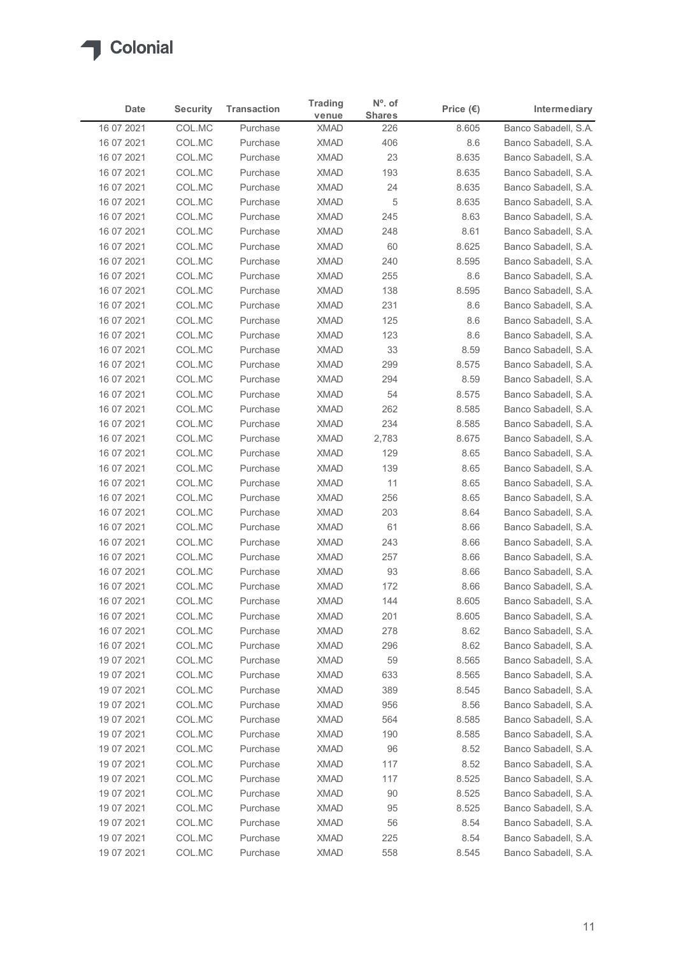

| Date                     | <b>Security</b>  | <b>Transaction</b>   | <b>Trading</b>             | $No$ . of     | Price $(\epsilon)$ | Intermediary                                 |
|--------------------------|------------------|----------------------|----------------------------|---------------|--------------------|----------------------------------------------|
| 16 07 2021               | COL.MC           | Purchase             | venue<br><b>XMAD</b>       | <b>Shares</b> |                    | Banco Sabadell, S.A.                         |
| 16 07 2021               | COL.MC           | Purchase             | <b>XMAD</b>                | 226<br>406    | 8.605<br>8.6       | Banco Sabadell, S.A.                         |
| 16 07 2021               | COL.MC           | Purchase             | <b>XMAD</b>                | 23            | 8.635              | Banco Sabadell, S.A.                         |
| 16 07 2021               | COL.MC           | Purchase             | <b>XMAD</b>                | 193           | 8.635              | Banco Sabadell, S.A.                         |
| 16 07 2021               | COL.MC           | Purchase             | <b>XMAD</b>                | 24            | 8.635              | Banco Sabadell, S.A.                         |
| 16 07 2021               | COL.MC           | Purchase             | <b>XMAD</b>                | 5             | 8.635              | Banco Sabadell, S.A.                         |
| 16 07 2021               | COL.MC           | Purchase             | <b>XMAD</b>                | 245           | 8.63               | Banco Sabadell, S.A.                         |
| 16 07 2021<br>16 07 2021 | COL.MC<br>COL.MC | Purchase<br>Purchase | <b>XMAD</b><br><b>XMAD</b> | 248<br>60     | 8.61<br>8.625      | Banco Sabadell, S.A.<br>Banco Sabadell, S.A. |
| 16 07 2021               | COL.MC           | Purchase             | <b>XMAD</b>                | 240           | 8.595              | Banco Sabadell, S.A.                         |
| 16 07 2021               | COL.MC           | Purchase             | <b>XMAD</b>                | 255           | 8.6                | Banco Sabadell, S.A.                         |
| 16 07 2021               | COL.MC           | Purchase             | <b>XMAD</b>                | 138           | 8.595              | Banco Sabadell, S.A.                         |
| 16 07 2021               | COL.MC           | Purchase             | <b>XMAD</b>                | 231           | 8.6                | Banco Sabadell, S.A.                         |
| 16 07 2021               | COL.MC           | Purchase             | XMAD                       | 125           | 8.6                | Banco Sabadell, S.A.                         |
| 16 07 2021               | COL.MC<br>COL.MC | Purchase             | XMAD<br>XMAD               | 123<br>33     | 8.6<br>8.59        | Banco Sabadell, S.A.                         |
| 16 07 2021<br>16 07 2021 | COL.MC           | Purchase<br>Purchase | <b>XMAD</b>                | 299           | 8.575              | Banco Sabadell, S.A.<br>Banco Sabadell, S.A. |
| 16 07 2021               | COL.MC           | Purchase             | <b>XMAD</b>                | 294           | 8.59               | Banco Sabadell, S.A.                         |
| 16 07 2021               | COL.MC           | Purchase             | <b>XMAD</b>                | 54            | 8.575              | Banco Sabadell, S.A.                         |
| 16 07 2021               | COL.MC           | Purchase             | <b>XMAD</b>                | 262           | 8.585              | Banco Sabadell, S.A.                         |
| 16 07 2021               | COL.MC           | Purchase             | <b>XMAD</b>                | 234           | 8.585              | Banco Sabadell, S.A.                         |
| 16 07 2021               | COL.MC           | Purchase             | XMAD                       | 2,783         | 8.675              | Banco Sabadell, S.A.                         |
| 16 07 2021               | COL.MC           | Purchase             | <b>XMAD</b>                | 129           | 8.65               | Banco Sabadell, S.A.                         |
| 16 07 2021<br>16 07 2021 | COL.MC<br>COL.MC | Purchase<br>Purchase | <b>XMAD</b><br><b>XMAD</b> | 139<br>11     | 8.65<br>8.65       | Banco Sabadell, S.A.<br>Banco Sabadell, S.A. |
| 16 07 2021               | COL.MC           | Purchase             | <b>XMAD</b>                | 256           | 8.65               | Banco Sabadell, S.A.                         |
| 16 07 2021               | COL.MC           | Purchase             | <b>XMAD</b>                | 203           | 8.64               | Banco Sabadell, S.A.                         |
| 16 07 2021               | COL.MC           | Purchase             | <b>XMAD</b>                | 61            | 8.66               | Banco Sabadell, S.A.                         |
| 16 07 2021               | COL.MC           | Purchase             | XMAD                       | 243           | 8.66               | Banco Sabadell, S.A.                         |
| 16 07 2021               | COL.MC           | Purchase             | <b>XMAD</b>                | 257           | 8.66               | Banco Sabadell, S.A.                         |
| 16 07 2021               | COL.MC           | Purchase             | <b>XMAD</b>                | 93            | 8.66               | Banco Sabadell, S.A.                         |
| 16 07 2021               | COL.MC           | Purchase             | <b>XMAD</b>                | 172           | 8.66               | Banco Sabadell, S.A.                         |
| 16 07 2021<br>16 07 2021 | COL.MC<br>COL.MC | Purchase<br>Purchase | <b>XMAD</b><br><b>XMAD</b> | 144<br>201    | 8.605<br>8.605     | Banco Sabadell, S.A.<br>Banco Sabadell, S.A. |
| 16 07 2021               | COL.MC           | Purchase             | XMAD                       | 278           | 8.62               | Banco Sabadell, S.A.                         |
| 16 07 2021               | COL.MC           | Purchase             | <b>XMAD</b>                | 296           | 8.62               | Banco Sabadell, S.A.                         |
| 19 07 2021               | COL.MC           | Purchase             | <b>XMAD</b>                | 59            | 8.565              | Banco Sabadell, S.A.                         |
| 19 07 2021               | COL.MC           | Purchase             | <b>XMAD</b>                | 633           | 8.565              | Banco Sabadell, S.A.                         |
| 19 07 2021               | COL.MC           | Purchase             | XMAD                       | 389           | 8.545              | Banco Sabadell, S.A.                         |
| 19 07 2021               | COL.MC           | Purchase             | <b>XMAD</b>                | 956           | 8.56               | Banco Sabadell, S.A.                         |
| 19 07 2021               | COL.MC           | Purchase             | <b>XMAD</b>                | 564           | 8.585              | Banco Sabadell, S.A.                         |
| 19 07 2021<br>19 07 2021 | COL.MC           | Purchase             | <b>XMAD</b>                | 190           | 8.585              | Banco Sabadell, S.A.                         |
| 19 07 2021               | COL.MC<br>COL.MC | Purchase<br>Purchase | <b>XMAD</b><br><b>XMAD</b> | 96<br>117     | 8.52<br>8.52       | Banco Sabadell, S.A.<br>Banco Sabadell, S.A. |
| 19 07 2021               | COL.MC           | Purchase             | XMAD                       | 117           | 8.525              | Banco Sabadell, S.A.                         |
| 19 07 2021               | COL.MC           | Purchase             | <b>XMAD</b>                | 90            | 8.525              | Banco Sabadell, S.A.                         |
| 19 07 2021               | COL.MC           | Purchase             | <b>XMAD</b>                | 95            | 8.525              | Banco Sabadell, S.A.                         |
| 19 07 2021               | COL.MC           | Purchase             | <b>XMAD</b>                | 56            | 8.54               | Banco Sabadell, S.A.                         |
| 19 07 2021               | COL.MC           | Purchase             | <b>XMAD</b>                | 225           | 8.54               | Banco Sabadell, S.A.                         |
| 19 07 2021               | COL.MC           | Purchase             | <b>XMAD</b>                | 558           | 8.545              | Banco Sabadell, S.A.                         |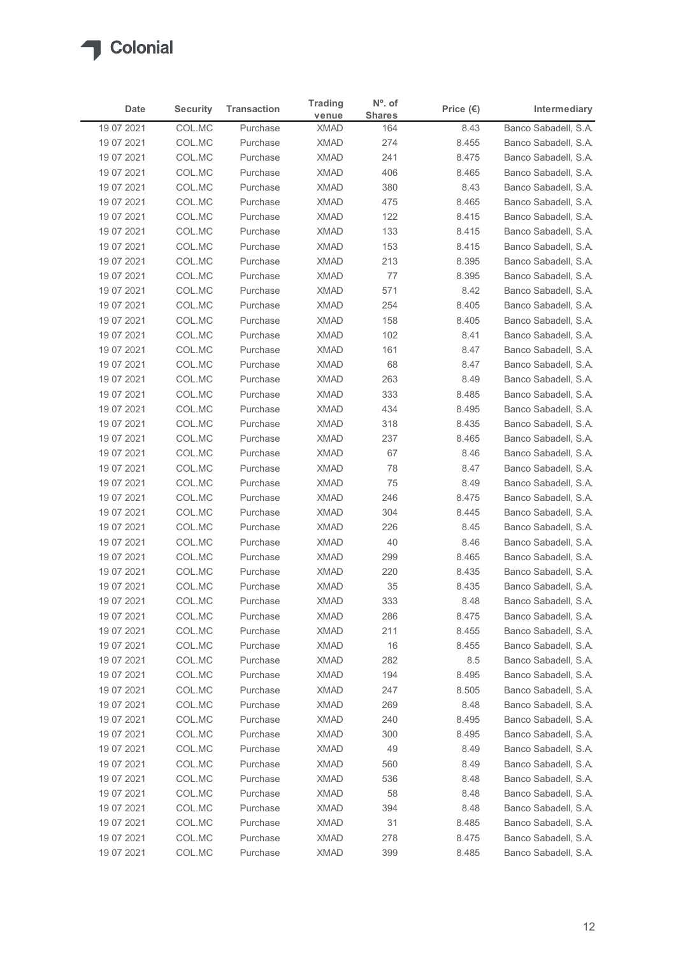

|                          |                  |                      | <b>Trading</b>             | $No$ . of     |                    |                                              |
|--------------------------|------------------|----------------------|----------------------------|---------------|--------------------|----------------------------------------------|
| Date                     | <b>Security</b>  | <b>Transaction</b>   | venue                      | <b>Shares</b> | Price $(\epsilon)$ | Intermediary                                 |
| 19 07 2021<br>19 07 2021 | COL.MC<br>COL.MC | Purchase<br>Purchase | <b>XMAD</b><br><b>XMAD</b> | 164<br>274    | 8.43<br>8.455      | Banco Sabadell, S.A.<br>Banco Sabadell, S.A. |
| 19 07 2021               | COL.MC           | Purchase             | <b>XMAD</b>                | 241           | 8.475              | Banco Sabadell, S.A.                         |
| 19 07 2021               | COL.MC           | Purchase             | <b>XMAD</b>                | 406           | 8.465              | Banco Sabadell, S.A.                         |
| 19 07 2021               | COL.MC           | Purchase             | <b>XMAD</b>                | 380           | 8.43               | Banco Sabadell, S.A.                         |
| 19 07 2021               | COL.MC           | Purchase             | <b>XMAD</b>                | 475           | 8.465              | Banco Sabadell, S.A.                         |
| 19 07 2021               | COL.MC           | Purchase             | <b>XMAD</b>                | 122           | 8.415              | Banco Sabadell, S.A.                         |
| 19 07 2021               | COL.MC           | Purchase             | <b>XMAD</b>                | 133           | 8.415              | Banco Sabadell, S.A.                         |
| 19 07 2021<br>19 07 2021 | COL.MC<br>COL.MC | Purchase<br>Purchase | <b>XMAD</b><br><b>XMAD</b> | 153<br>213    | 8.415<br>8.395     | Banco Sabadell, S.A.<br>Banco Sabadell, S.A. |
| 19 07 2021               | COL.MC           | Purchase             | <b>XMAD</b>                | 77            | 8.395              | Banco Sabadell, S.A.                         |
| 19 07 2021               | COL.MC           | Purchase             | <b>XMAD</b>                | 571           | 8.42               | Banco Sabadell, S.A.                         |
| 19 07 2021               | COL.MC           | Purchase             | <b>XMAD</b>                | 254           | 8.405              | Banco Sabadell, S.A.                         |
| 19 07 2021               | COL.MC           | Purchase             | XMAD                       | 158           | 8.405              | Banco Sabadell, S.A.                         |
| 19 07 2021               | COL.MC           | Purchase             | <b>XMAD</b>                | 102           | 8.41               | Banco Sabadell, S.A.                         |
| 19 07 2021               | COL.MC           | Purchase             | XMAD                       | 161           | 8.47               | Banco Sabadell, S.A.                         |
| 19 07 2021               | COL.MC           | Purchase             | <b>XMAD</b>                | 68            | 8.47               | Banco Sabadell, S.A.                         |
| 19 07 2021<br>19 07 2021 | COL.MC<br>COL.MC | Purchase<br>Purchase | <b>XMAD</b><br><b>XMAD</b> | 263<br>333    | 8.49<br>8.485      | Banco Sabadell, S.A.<br>Banco Sabadell, S.A. |
| 19 07 2021               | COL.MC           | Purchase             | <b>XMAD</b>                | 434           | 8.495              | Banco Sabadell, S.A.                         |
| 19 07 2021               | COL.MC           | Purchase             | <b>XMAD</b>                | 318           | 8.435              | Banco Sabadell, S.A.                         |
| 19 07 2021               | COL.MC           | Purchase             | XMAD                       | 237           | 8.465              | Banco Sabadell, S.A.                         |
| 19 07 2021               | COL.MC           | Purchase             | XMAD                       | 67            | 8.46               | Banco Sabadell, S.A.                         |
| 19 07 2021               | COL.MC           | Purchase             | <b>XMAD</b>                | 78            | 8.47               | Banco Sabadell, S.A.                         |
| 19 07 2021               | COL.MC           | Purchase             | <b>XMAD</b>                | 75            | 8.49               | Banco Sabadell, S.A.                         |
| 19 07 2021               | COL.MC           | Purchase             | <b>XMAD</b>                | 246           | 8.475              | Banco Sabadell, S.A.                         |
| 19 07 2021               | COL.MC           | Purchase             | XMAD                       | 304           | 8.445              | Banco Sabadell, S.A.                         |
| 19 07 2021<br>19 07 2021 | COL.MC<br>COL.MC | Purchase<br>Purchase | <b>XMAD</b><br>XMAD        | 226<br>40     | 8.45<br>8.46       | Banco Sabadell, S.A.<br>Banco Sabadell, S.A. |
| 19 07 2021               | COL.MC           | Purchase             | <b>XMAD</b>                | 299           | 8.465              | Banco Sabadell, S.A.                         |
| 19 07 2021               | COL.MC           | Purchase             | <b>XMAD</b>                | 220           | 8.435              | Banco Sabadell, S.A.                         |
| 19 07 2021               | COL.MC           | Purchase             | <b>XMAD</b>                | $35\,$        | 8.435              | Banco Sabadell, S.A.                         |
| 19 07 2021               | COL.MC           | Purchase             | <b>XMAD</b>                | 333           | 8.48               | Banco Sabadell, S.A.                         |
| 19 07 2021               | COL.MC           | Purchase             | <b>XMAD</b>                | 286           | 8.475              | Banco Sabadell, S.A.                         |
| 19 07 2021               | COL.MC           | Purchase             | XMAD                       | 211           | 8.455              | Banco Sabadell, S.A.                         |
| 19 07 2021               | COL.MC           | Purchase             | XMAD                       | 16            | 8.455              | Banco Sabadell, S.A.                         |
| 19 07 2021               | COL.MC           | Purchase             | <b>XMAD</b>                | 282           | 8.5                | Banco Sabadell, S.A.                         |
| 19 07 2021<br>19 07 2021 | COL.MC<br>COL.MC | Purchase<br>Purchase | <b>XMAD</b><br>XMAD        | 194<br>247    | 8.495<br>8.505     | Banco Sabadell, S.A.<br>Banco Sabadell, S.A. |
| 19 07 2021               | COL.MC           | Purchase             | <b>XMAD</b>                | 269           | 8.48               | Banco Sabadell, S.A.                         |
| 19 07 2021               | COL.MC           | Purchase             | <b>XMAD</b>                | 240           | 8.495              | Banco Sabadell, S.A.                         |
| 19 07 2021               | COL.MC           | Purchase             | <b>XMAD</b>                | 300           | 8.495              | Banco Sabadell, S.A.                         |
| 19 07 2021               | COL.MC           | Purchase             | <b>XMAD</b>                | 49            | 8.49               | Banco Sabadell, S.A.                         |
| 19 07 2021               | COL.MC           | Purchase             | <b>XMAD</b>                | 560           | 8.49               | Banco Sabadell, S.A.                         |
| 19 07 2021               | COL.MC           | Purchase             | XMAD                       | 536           | 8.48               | Banco Sabadell, S.A.                         |
| 19 07 2021               | COL.MC           | Purchase             | XMAD                       | 58            | 8.48               | Banco Sabadell, S.A.                         |
| 19 07 2021               | COL.MC           | Purchase             | <b>XMAD</b>                | 394           | 8.48               | Banco Sabadell, S.A.                         |
| 19 07 2021               | COL.MC<br>COL.MC | Purchase             | <b>XMAD</b>                | 31            | 8.485              | Banco Sabadell, S.A.                         |
| 19 07 2021               |                  | Purchase             | <b>XMAD</b>                | 278           | 8.475              | Banco Sabadell, S.A.                         |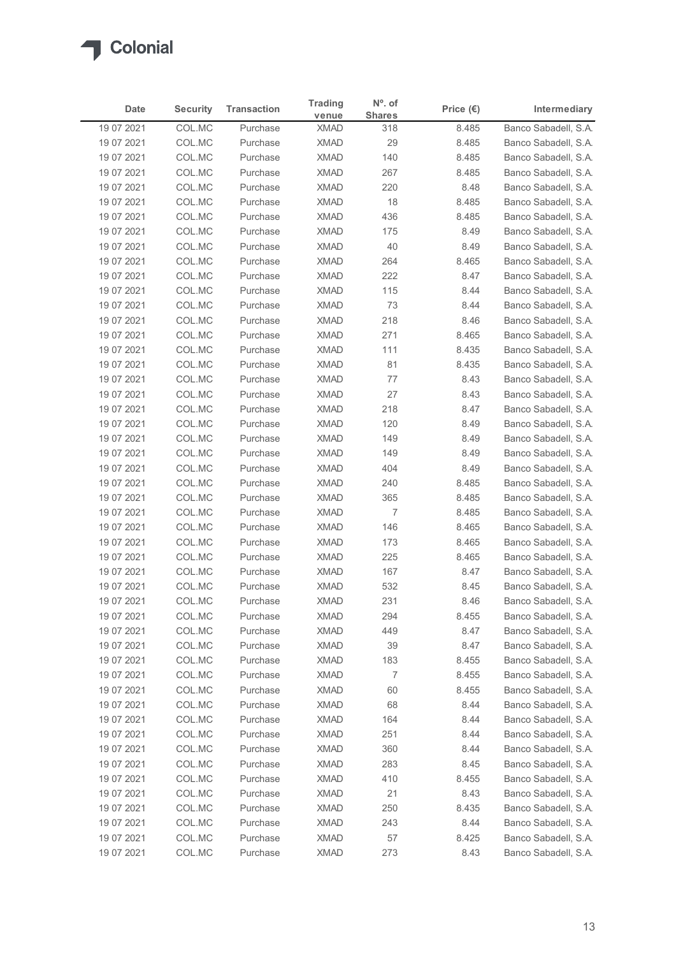

| Date                     |                  |                      | <b>Trading</b>             | $No$ . of     |                    |                                              |
|--------------------------|------------------|----------------------|----------------------------|---------------|--------------------|----------------------------------------------|
|                          | <b>Security</b>  | <b>Transaction</b>   | venue                      | <b>Shares</b> | Price $(\epsilon)$ | Intermediary                                 |
| 19 07 2021<br>19 07 2021 | COL.MC<br>COL.MC | Purchase<br>Purchase | <b>XMAD</b><br><b>XMAD</b> | 318<br>29     | 8.485<br>8.485     | Banco Sabadell, S.A.<br>Banco Sabadell, S.A. |
| 19 07 2021               | COL.MC           | Purchase             | <b>XMAD</b>                | 140           | 8.485              | Banco Sabadell, S.A.                         |
| 19 07 2021               | COL.MC           | Purchase             | <b>XMAD</b>                | 267           | 8.485              | Banco Sabadell, S.A.                         |
| 19 07 2021               | COL.MC           | Purchase             | <b>XMAD</b>                | 220           | 8.48               | Banco Sabadell, S.A.                         |
| 19 07 2021               | COL.MC           | Purchase             | <b>XMAD</b>                | 18            | 8.485              | Banco Sabadell, S.A.                         |
| 19 07 2021               | COL.MC           | Purchase             | <b>XMAD</b>                | 436           | 8.485              | Banco Sabadell, S.A.                         |
| 19 07 2021               | COL.MC           | Purchase             | <b>XMAD</b>                | 175           | 8.49               | Banco Sabadell, S.A.                         |
| 19 07 2021<br>19 07 2021 | COL.MC<br>COL.MC | Purchase<br>Purchase | <b>XMAD</b><br><b>XMAD</b> | 40<br>264     | 8.49<br>8.465      | Banco Sabadell, S.A.<br>Banco Sabadell, S.A. |
| 19 07 2021               | COL.MC           | Purchase             | <b>XMAD</b>                | 222           | 8.47               | Banco Sabadell, S.A.                         |
| 19 07 2021               | COL.MC           | Purchase             | <b>XMAD</b>                | 115           | 8.44               | Banco Sabadell, S.A.                         |
| 19 07 2021               | COL.MC           | Purchase             | <b>XMAD</b>                | 73            | 8.44               | Banco Sabadell, S.A.                         |
| 19 07 2021               | COL.MC           | Purchase             | XMAD                       | 218           | 8.46               | Banco Sabadell, S.A.                         |
| 19 07 2021               | COL.MC           | Purchase             | XMAD                       | 271           | 8.465              | Banco Sabadell, S.A.                         |
| 19 07 2021               | COL.MC           | Purchase             | XMAD                       | 111           | 8.435              | Banco Sabadell, S.A.                         |
| 19 07 2021               | COL.MC           | Purchase             | <b>XMAD</b>                | 81            | 8.435              | Banco Sabadell, S.A.                         |
| 19 07 2021<br>19 07 2021 | COL.MC<br>COL.MC | Purchase<br>Purchase | <b>XMAD</b><br><b>XMAD</b> | 77<br>27      | 8.43<br>8.43       | Banco Sabadell, S.A.<br>Banco Sabadell, S.A. |
| 19 07 2021               | COL.MC           | Purchase             | <b>XMAD</b>                | 218           | 8.47               | Banco Sabadell, S.A.                         |
| 19 07 2021               | COL.MC           | Purchase             | <b>XMAD</b>                | 120           | 8.49               | Banco Sabadell, S.A.                         |
| 19 07 2021               | COL.MC           | Purchase             | XMAD                       | 149           | 8.49               | Banco Sabadell, S.A.                         |
| 19 07 2021               | COL.MC           | Purchase             | XMAD                       | 149           | 8.49               | Banco Sabadell, S.A.                         |
| 19 07 2021               | COL.MC           | Purchase             | <b>XMAD</b>                | 404           | 8.49               | Banco Sabadell, S.A.                         |
| 19 07 2021               | COL.MC           | Purchase             | <b>XMAD</b>                | 240           | 8.485              | Banco Sabadell, S.A.                         |
| 19 07 2021               | COL.MC           | Purchase             | <b>XMAD</b>                | 365           | 8.485              | Banco Sabadell, S.A.                         |
| 19 07 2021               | COL.MC           | Purchase             | XMAD                       | 7             | 8.485              | Banco Sabadell, S.A.                         |
| 19 07 2021               | COL.MC           | Purchase             | XMAD                       | 146           | 8.465              | Banco Sabadell, S.A.                         |
| 19 07 2021<br>19 07 2021 | COL.MC<br>COL.MC | Purchase<br>Purchase | XMAD<br><b>XMAD</b>        | 173<br>225    | 8.465<br>8.465     | Banco Sabadell, S.A.<br>Banco Sabadell, S.A. |
| 19 07 2021               | COL.MC           | Purchase             | <b>XMAD</b>                | 167           | 8.47               | Banco Sabadell, S.A.                         |
| 19 07 2021               | COL.MC           | Purchase             | XMAD                       | 532           | 8.45               | Banco Sabadell, S.A.                         |
| 19 07 2021               | COL.MC           | Purchase             | <b>XMAD</b>                | 231           | 8.46               | Banco Sabadell, S.A.                         |
| 19 07 2021               | COL.MC           | Purchase             | <b>XMAD</b>                | 294           | 8.455              | Banco Sabadell, S.A.                         |
| 19 07 2021               | COL.MC           | Purchase             | XMAD                       | 449           | 8.47               | Banco Sabadell, S.A.                         |
| 19 07 2021               | COL.MC           | Purchase             | XMAD                       | 39            | 8.47               | Banco Sabadell, S.A.                         |
| 19 07 2021               | COL.MC           | Purchase             | <b>XMAD</b>                | 183           | 8.455              | Banco Sabadell, S.A.                         |
| 19 07 2021               | COL.MC           | Purchase             | <b>XMAD</b>                | 7             | 8.455              | Banco Sabadell, S.A.                         |
| 19 07 2021<br>19 07 2021 | COL.MC<br>COL.MC | Purchase<br>Purchase | XMAD<br><b>XMAD</b>        | 60<br>68      | 8.455<br>8.44      | Banco Sabadell, S.A.<br>Banco Sabadell, S.A. |
| 19 07 2021               | COL.MC           | Purchase             | <b>XMAD</b>                | 164           | 8.44               | Banco Sabadell, S.A.                         |
| 19 07 2021               | COL.MC           | Purchase             | <b>XMAD</b>                | 251           | 8.44               | Banco Sabadell, S.A.                         |
| 19 07 2021               | COL.MC           | Purchase             | <b>XMAD</b>                | 360           | 8.44               | Banco Sabadell, S.A.                         |
| 19 07 2021               | COL.MC           | Purchase             | <b>XMAD</b>                | 283           | 8.45               | Banco Sabadell, S.A.                         |
| 19 07 2021               | COL.MC           | Purchase             | XMAD                       | 410           | 8.455              | Banco Sabadell, S.A.                         |
| 19 07 2021               | COL.MC           | Purchase             | XMAD                       | 21            | 8.43               | Banco Sabadell, S.A.                         |
| 19 07 2021               | COL.MC           | Purchase             | <b>XMAD</b>                | 250           | 8.435              | Banco Sabadell, S.A.                         |
| 19 07 2021               | COL.MC           | Purchase             | <b>XMAD</b>                | 243           | 8.44               | Banco Sabadell, S.A.                         |
| 19 07 2021               | COL.MC<br>COL.MC | Purchase<br>Purchase | <b>XMAD</b><br><b>XMAD</b> | 57<br>273     | 8.425<br>8.43      | Banco Sabadell, S.A.<br>Banco Sabadell, S.A. |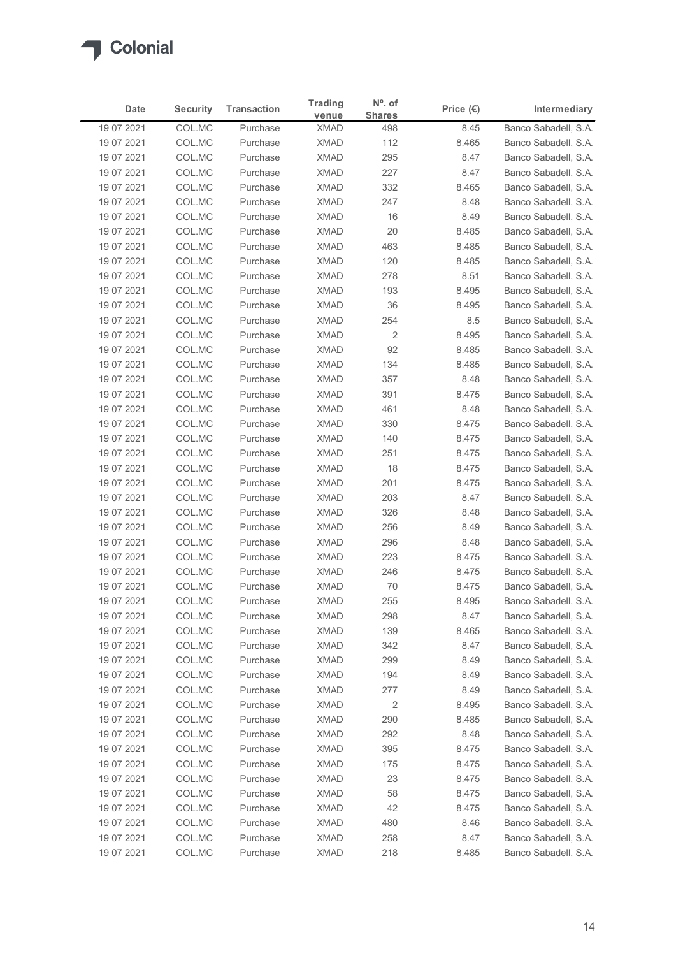

| Date<br>19 07 2021<br>19 07 2021<br>19 07 2021<br>19 07 2021<br>19 07 2021<br>19 07 2021<br>19 07 2021 | <b>Security</b><br>COL.MC<br>COL.MC | <b>Transaction</b>   | <b>Trading</b>             | $No$ . of      |                    |                                              |
|--------------------------------------------------------------------------------------------------------|-------------------------------------|----------------------|----------------------------|----------------|--------------------|----------------------------------------------|
|                                                                                                        |                                     |                      | venue                      | <b>Shares</b>  | Price $(\epsilon)$ | Intermediary                                 |
|                                                                                                        |                                     | Purchase<br>Purchase | <b>XMAD</b><br><b>XMAD</b> | 498<br>112     | 8.45<br>8.465      | Banco Sabadell, S.A.<br>Banco Sabadell, S.A. |
|                                                                                                        | COL.MC                              | Purchase             | <b>XMAD</b>                | 295            | 8.47               | Banco Sabadell, S.A.                         |
|                                                                                                        | COL.MC                              | Purchase             | <b>XMAD</b>                | 227            | 8.47               | Banco Sabadell, S.A.                         |
|                                                                                                        | COL.MC                              | Purchase             | <b>XMAD</b>                | 332            | 8.465              | Banco Sabadell, S.A.                         |
|                                                                                                        | COL.MC                              | Purchase             | <b>XMAD</b>                | 247            | 8.48               | Banco Sabadell, S.A.                         |
|                                                                                                        | COL.MC                              | Purchase             | <b>XMAD</b>                | 16             | 8.49               | Banco Sabadell, S.A.                         |
| 19 07 2021<br>19 07 2021                                                                               | COL.MC<br>COL.MC                    | Purchase<br>Purchase | <b>XMAD</b><br><b>XMAD</b> | 20<br>463      | 8.485<br>8.485     | Banco Sabadell, S.A.<br>Banco Sabadell, S.A. |
| 19 07 2021                                                                                             | COL.MC                              | Purchase             | <b>XMAD</b>                | 120            | 8.485              | Banco Sabadell, S.A.                         |
| 19 07 2021                                                                                             | COL.MC                              | Purchase             | <b>XMAD</b>                | 278            | 8.51               | Banco Sabadell, S.A.                         |
| 19 07 2021                                                                                             | COL.MC                              | Purchase             | <b>XMAD</b>                | 193            | 8.495              | Banco Sabadell, S.A.                         |
| 19 07 2021                                                                                             | COL.MC                              | Purchase             | <b>XMAD</b>                | 36             | 8.495              | Banco Sabadell, S.A.                         |
| 19 07 2021                                                                                             | COL.MC                              | Purchase             | XMAD                       | 254            | 8.5                | Banco Sabadell, S.A.                         |
| 19 07 2021<br>19 07 2021                                                                               | COL.MC<br>COL.MC                    | Purchase<br>Purchase | <b>XMAD</b><br><b>XMAD</b> | 2<br>92        | 8.495<br>8.485     | Banco Sabadell, S.A.<br>Banco Sabadell, S.A. |
| 19 07 2021                                                                                             | COL.MC                              | Purchase             | XMAD                       | 134            | 8.485              | Banco Sabadell, S.A.                         |
| 19 07 2021                                                                                             | COL.MC                              | Purchase             | XMAD                       | 357            | 8.48               | Banco Sabadell, S.A.                         |
| 19 07 2021                                                                                             | COL.MC                              | Purchase             | <b>XMAD</b>                | 391            | 8.475              | Banco Sabadell, S.A.                         |
| 19 07 2021                                                                                             | COL.MC                              | Purchase             | <b>XMAD</b>                | 461            | 8.48               | Banco Sabadell, S.A.                         |
| 19 07 2021                                                                                             | COL.MC                              | Purchase             | <b>XMAD</b>                | 330            | 8.475              | Banco Sabadell, S.A.                         |
| 19 07 2021                                                                                             | COL.MC                              | Purchase             | XMAD                       | 140            | 8.475              | Banco Sabadell, S.A.                         |
| 19 07 2021<br>19 07 2021                                                                               | COL.MC<br>COL.MC                    | Purchase<br>Purchase | <b>XMAD</b><br>XMAD        | 251<br>18      | 8.475<br>8.475     | Banco Sabadell, S.A.<br>Banco Sabadell, S.A. |
| 19 07 2021                                                                                             | COL.MC                              | Purchase             | XMAD                       | 201            | 8.475              | Banco Sabadell, S.A.                         |
| 19 07 2021                                                                                             | COL.MC                              | Purchase             | <b>XMAD</b>                | 203            | 8.47               | Banco Sabadell, S.A.                         |
| 19 07 2021                                                                                             | COL.MC                              | Purchase             | <b>XMAD</b>                | 326            | 8.48               | Banco Sabadell, S.A.                         |
| 19 07 2021                                                                                             | COL.MC                              | Purchase             | <b>XMAD</b>                | 256            | 8.49               | Banco Sabadell, S.A.                         |
| 19 07 2021                                                                                             | COL.MC                              | Purchase             | <b>XMAD</b>                | 296            | 8.48               | Banco Sabadell, S.A.                         |
| 19 07 2021                                                                                             | COL.MC                              | Purchase             | <b>XMAD</b>                | 223            | 8.475              | Banco Sabadell, S.A.                         |
| 19 07 2021<br>19 07 2021                                                                               | COL.MC<br>COL.MC                    | Purchase<br>Purchase | <b>XMAD</b><br><b>XMAD</b> | 246<br>70      | 8.475<br>8.475     | Banco Sabadell, S.A.<br>Banco Sabadell, S.A. |
| 19 07 2021                                                                                             | COL.MC                              | Purchase             | <b>XMAD</b>                | 255            | 8.495              | Banco Sabadell, S.A.                         |
| 19 07 2021                                                                                             | COL.MC                              | Purchase             | <b>XMAD</b>                | 298            | 8.47               | Banco Sabadell, S.A.                         |
| 19 07 2021                                                                                             | COL.MC                              | Purchase             | <b>XMAD</b>                | 139            | 8.465              | Banco Sabadell, S.A.                         |
| 19 07 2021                                                                                             | COL.MC                              | Purchase             | <b>XMAD</b>                | 342            | 8.47               | Banco Sabadell, S.A.                         |
| 19 07 2021                                                                                             | COL.MC                              | Purchase             | <b>XMAD</b>                | 299            | 8.49               | Banco Sabadell, S.A.                         |
| 19 07 2021                                                                                             | COL.MC                              | Purchase             | <b>XMAD</b>                | 194            | 8.49               | Banco Sabadell, S.A.                         |
| 19 07 2021                                                                                             | COL.MC                              | Purchase             | <b>XMAD</b>                | 277            | 8.49               | Banco Sabadell, S.A.                         |
| 19 07 2021                                                                                             | COL.MC                              | Purchase             | <b>XMAD</b>                | $\overline{2}$ | 8.495              | Banco Sabadell, S.A.                         |
| 19 07 2021<br>19 07 2021                                                                               | COL.MC<br>COL.MC                    | Purchase<br>Purchase | <b>XMAD</b><br><b>XMAD</b> | 290<br>292     | 8.485<br>8.48      | Banco Sabadell, S.A.<br>Banco Sabadell, S.A. |
| 19 07 2021                                                                                             | COL.MC                              | Purchase             | <b>XMAD</b>                | 395            | 8.475              | Banco Sabadell, S.A.                         |
| 19 07 2021                                                                                             | COL.MC                              | Purchase             | <b>XMAD</b>                | 175            | 8.475              | Banco Sabadell, S.A.                         |
| 19 07 2021                                                                                             | COL.MC                              | Purchase             | <b>XMAD</b>                | 23             | 8.475              | Banco Sabadell, S.A.                         |
| 19 07 2021                                                                                             | COL.MC                              | Purchase             | XMAD                       | 58             | 8.475              | Banco Sabadell, S.A.                         |
| 19 07 2021                                                                                             | COL.MC                              | Purchase             | <b>XMAD</b>                | 42             | 8.475              | Banco Sabadell, S.A.                         |
| 19 07 2021                                                                                             | COL.MC                              | Purchase             | <b>XMAD</b>                | 480            | 8.46               | Banco Sabadell, S.A.                         |
| 19 07 2021<br>19 07 2021                                                                               | COL.MC<br>COL.MC                    | Purchase<br>Purchase | <b>XMAD</b><br>XMAD        | 258<br>218     | 8.47<br>8.485      | Banco Sabadell, S.A.<br>Banco Sabadell, S.A. |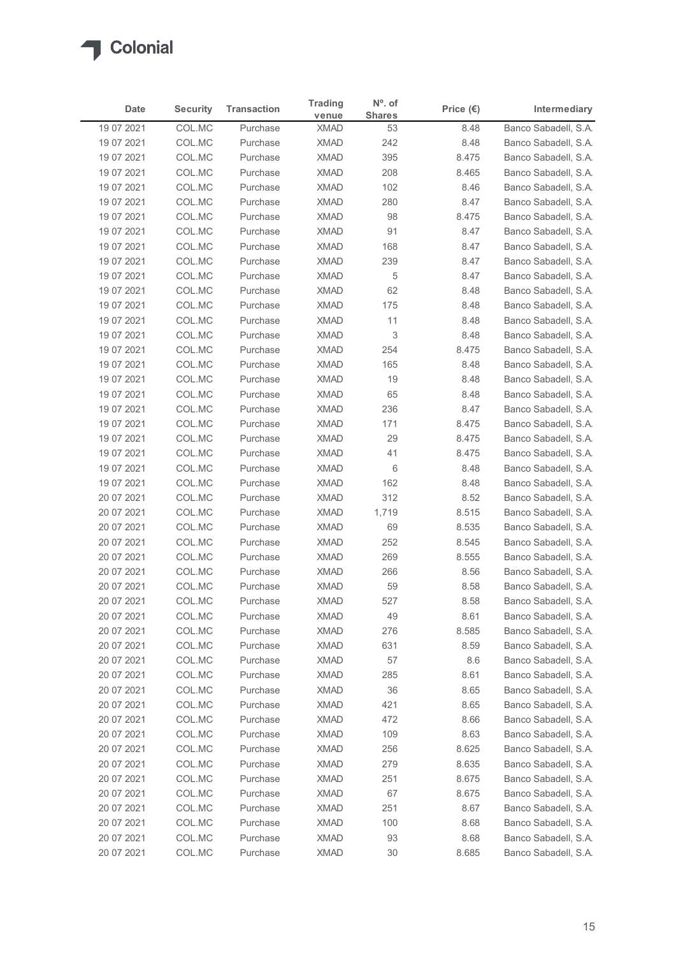

|                          |                  |                      | <b>Trading</b>             | $No$ . of     |                    |                                              |
|--------------------------|------------------|----------------------|----------------------------|---------------|--------------------|----------------------------------------------|
| Date                     | <b>Security</b>  | <b>Transaction</b>   | venue                      | <b>Shares</b> | Price $(\epsilon)$ | Intermediary                                 |
| 19 07 2021<br>19 07 2021 | COL.MC<br>COL.MC | Purchase<br>Purchase | <b>XMAD</b><br><b>XMAD</b> | 53<br>242     | 8.48<br>8.48       | Banco Sabadell, S.A.<br>Banco Sabadell, S.A. |
| 19 07 2021               | COL.MC           | Purchase             | <b>XMAD</b>                | 395           | 8.475              | Banco Sabadell, S.A.                         |
| 19 07 2021               | COL.MC           | Purchase             | <b>XMAD</b>                | 208           | 8.465              | Banco Sabadell, S.A.                         |
| 19 07 2021               | COL.MC           | Purchase             | <b>XMAD</b>                | 102           | 8.46               | Banco Sabadell, S.A.                         |
| 19 07 2021               | COL.MC           | Purchase             | <b>XMAD</b>                | 280           | 8.47               | Banco Sabadell, S.A.                         |
| 19 07 2021               | COL.MC           | Purchase             | <b>XMAD</b>                | 98            | 8.475              | Banco Sabadell, S.A.                         |
| 19 07 2021               | COL.MC           | Purchase             | <b>XMAD</b>                | 91            | 8.47               | Banco Sabadell, S.A.                         |
| 19 07 2021               | COL.MC           | Purchase             | <b>XMAD</b>                | 168           | 8.47               | Banco Sabadell, S.A.                         |
| 19 07 2021<br>19 07 2021 | COL.MC<br>COL.MC | Purchase<br>Purchase | <b>XMAD</b><br><b>XMAD</b> | 239<br>5      | 8.47<br>8.47       | Banco Sabadell, S.A.<br>Banco Sabadell, S.A. |
| 19 07 2021               | COL.MC           | Purchase             | <b>XMAD</b>                | 62            | 8.48               | Banco Sabadell, S.A.                         |
| 19 07 2021               | COL.MC           | Purchase             | <b>XMAD</b>                | 175           | 8.48               | Banco Sabadell, S.A.                         |
| 19 07 2021               | COL.MC           | Purchase             | XMAD                       | 11            | 8.48               | Banco Sabadell, S.A.                         |
| 19 07 2021               | COL.MC           | Purchase             | <b>XMAD</b>                | 3             | 8.48               | Banco Sabadell, S.A.                         |
| 19 07 2021               | COL.MC           | Purchase             | <b>XMAD</b>                | 254           | 8.475              | Banco Sabadell, S.A.                         |
| 19 07 2021               | COL.MC           | Purchase             | <b>XMAD</b>                | 165           | 8.48               | Banco Sabadell, S.A.                         |
| 19 07 2021               | COL.MC           | Purchase             | <b>XMAD</b>                | 19            | 8.48               | Banco Sabadell, S.A.                         |
| 19 07 2021               | COL.MC           | Purchase             | <b>XMAD</b>                | 65            | 8.48               | Banco Sabadell, S.A.                         |
| 19 07 2021<br>19 07 2021 | COL.MC<br>COL.MC | Purchase<br>Purchase | <b>XMAD</b><br><b>XMAD</b> | 236<br>171    | 8.47<br>8.475      | Banco Sabadell, S.A.<br>Banco Sabadell, S.A. |
| 19 07 2021               | COL.MC           | Purchase             | XMAD                       | 29            | 8.475              | Banco Sabadell, S.A.                         |
| 19 07 2021               | COL.MC           | Purchase             | <b>XMAD</b>                | 41            | 8.475              | Banco Sabadell, S.A.                         |
| 19 07 2021               | COL.MC           | Purchase             | <b>XMAD</b>                | 6             | 8.48               | Banco Sabadell, S.A.                         |
| 19 07 2021               | COL.MC           | Purchase             | XMAD                       | 162           | 8.48               | Banco Sabadell, S.A.                         |
| 20 07 2021               | COL.MC           | Purchase             | <b>XMAD</b>                | 312           | 8.52               | Banco Sabadell, S.A.                         |
| 20 07 2021               | COL.MC           | Purchase             | <b>XMAD</b>                | 1,719         | 8.515              | Banco Sabadell, S.A.                         |
| 20 07 2021               | COL.MC           | Purchase             | <b>XMAD</b>                | 69            | 8.535              | Banco Sabadell, S.A.                         |
| 20 07 2021               | COL.MC           | Purchase             | <b>XMAD</b>                | 252           | 8.545              | Banco Sabadell, S.A.                         |
| 20 07 2021               | COL.MC           | Purchase<br>Purchase | <b>XMAD</b><br><b>XMAD</b> | 269<br>266    | 8.555<br>8.56      | Banco Sabadell, S.A.<br>Banco Sabadell, S.A. |
| 20 07 2021<br>20 07 2021 | COL.MC<br>COL.MC | Purchase             | <b>XMAD</b>                | 59            | 8.58               | Banco Sabadell, S.A.                         |
| 20 07 2021               | COL.MC           | Purchase             | <b>XMAD</b>                | 527           | 8.58               | Banco Sabadell, S.A.                         |
| 20 07 2021               | COL.MC           | Purchase             | <b>XMAD</b>                | 49            | 8.61               | Banco Sabadell, S.A.                         |
| 20 07 2021               | COL.MC           | Purchase             | <b>XMAD</b>                | 276           | 8.585              | Banco Sabadell, S.A.                         |
| 20 07 2021               | COL.MC           | Purchase             | <b>XMAD</b>                | 631           | 8.59               | Banco Sabadell, S.A.                         |
| 20 07 2021               | COL.MC           | Purchase             | <b>XMAD</b>                | 57            | 8.6                | Banco Sabadell, S.A.                         |
| 20 07 2021               | COL.MC           | Purchase             | <b>XMAD</b>                | 285           | 8.61               | Banco Sabadell, S.A.                         |
| 20 07 2021               | COL.MC           | Purchase             | <b>XMAD</b>                | 36            | 8.65               | Banco Sabadell, S.A.                         |
| 20 07 2021               | COL.MC           | Purchase             | XMAD                       | 421           | 8.65               | Banco Sabadell, S.A.                         |
| 20 07 2021               | COL.MC           | Purchase<br>Purchase | <b>XMAD</b><br><b>XMAD</b> | 472<br>109    | 8.66               | Banco Sabadell, S.A.<br>Banco Sabadell, S.A. |
| 20 07 2021<br>20 07 2021 | COL.MC<br>COL.MC | Purchase             | <b>XMAD</b>                | 256           | 8.63<br>8.625      | Banco Sabadell, S.A.                         |
| 20 07 2021               | COL.MC           | Purchase             | <b>XMAD</b>                | 279           | 8.635              | Banco Sabadell, S.A.                         |
| 20 07 2021               | COL.MC           | Purchase             | <b>XMAD</b>                | 251           | 8.675              | Banco Sabadell, S.A.                         |
| 20 07 2021               | COL.MC           | Purchase             | <b>XMAD</b>                | 67            | 8.675              | Banco Sabadell, S.A.                         |
| 20 07 2021               | COL.MC           | Purchase             | <b>XMAD</b>                | 251           | 8.67               | Banco Sabadell, S.A.                         |
| 20 07 2021               | COL.MC           | Purchase             | <b>XMAD</b>                | 100           | 8.68               | Banco Sabadell, S.A.                         |
| 20 07 2021               | COL.MC<br>COL.MC | Purchase             | <b>XMAD</b>                | 93            | 8.68               | Banco Sabadell, S.A.                         |
| 20 07 2021               |                  | Purchase             | <b>XMAD</b>                | 30            | 8.685              | Banco Sabadell, S.A.                         |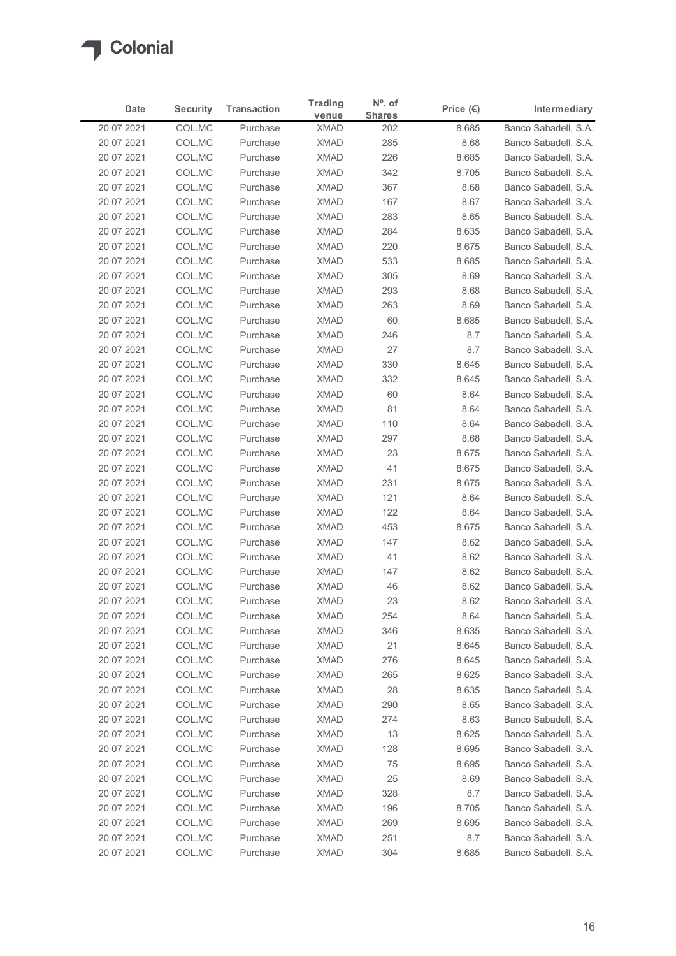

|                          |                  |                      | <b>Trading</b>             | $No$ . of     |                    |                                              |
|--------------------------|------------------|----------------------|----------------------------|---------------|--------------------|----------------------------------------------|
| Date                     | <b>Security</b>  | <b>Transaction</b>   | venue                      | <b>Shares</b> | Price $(\epsilon)$ | Intermediary                                 |
| 20 07 2021<br>20 07 2021 | COL.MC<br>COL.MC | Purchase<br>Purchase | <b>XMAD</b><br><b>XMAD</b> | 202<br>285    | 8.685<br>8.68      | Banco Sabadell, S.A.<br>Banco Sabadell, S.A. |
| 20 07 2021               | COL.MC           | Purchase             | <b>XMAD</b>                | 226           | 8.685              | Banco Sabadell, S.A.                         |
| 20 07 2021               | COL.MC           | Purchase             | <b>XMAD</b>                | 342           | 8.705              | Banco Sabadell, S.A.                         |
| 20 07 2021               | COL.MC           | Purchase             | <b>XMAD</b>                | 367           | 8.68               | Banco Sabadell, S.A.                         |
| 20 07 2021               | COL.MC           | Purchase             | <b>XMAD</b>                | 167           | 8.67               | Banco Sabadell, S.A.                         |
| 20 07 2021               | COL.MC           | Purchase             | <b>XMAD</b>                | 283           | 8.65               | Banco Sabadell, S.A.                         |
| 20 07 2021               | COL.MC           | Purchase             | <b>XMAD</b>                | 284           | 8.635              | Banco Sabadell, S.A.                         |
| 20 07 2021<br>20 07 2021 | COL.MC<br>COL.MC | Purchase<br>Purchase | <b>XMAD</b><br><b>XMAD</b> | 220<br>533    | 8.675<br>8.685     | Banco Sabadell, S.A.<br>Banco Sabadell, S.A. |
| 20 07 2021               | COL.MC           | Purchase             | <b>XMAD</b>                | 305           | 8.69               | Banco Sabadell, S.A.                         |
| 20 07 2021               | COL.MC           | Purchase             | <b>XMAD</b>                | 293           | 8.68               | Banco Sabadell, S.A.                         |
| 20 07 2021               | COL.MC           | Purchase             | <b>XMAD</b>                | 263           | 8.69               | Banco Sabadell, S.A.                         |
| 20 07 2021               | COL.MC           | Purchase             | XMAD                       | 60            | 8.685              | Banco Sabadell, S.A.                         |
| 20 07 2021               | COL.MC           | Purchase             | <b>XMAD</b>                | 246           | 8.7                | Banco Sabadell, S.A.                         |
| 20 07 2021               | COL.MC           | Purchase             | XMAD                       | 27            | 8.7                | Banco Sabadell, S.A.                         |
| 20 07 2021               | COL.MC           | Purchase             | <b>XMAD</b>                | 330           | 8.645              | Banco Sabadell, S.A.                         |
| 20 07 2021<br>20 07 2021 | COL.MC<br>COL.MC | Purchase<br>Purchase | <b>XMAD</b><br><b>XMAD</b> | 332<br>60     | 8.645<br>8.64      | Banco Sabadell, S.A.<br>Banco Sabadell, S.A. |
| 20 07 2021               | COL.MC           | Purchase             | <b>XMAD</b>                | 81            | 8.64               | Banco Sabadell, S.A.                         |
| 20 07 2021               | COL.MC           | Purchase             | <b>XMAD</b>                | 110           | 8.64               | Banco Sabadell, S.A.                         |
| 20 07 2021               | COL.MC           | Purchase             | <b>XMAD</b>                | 297           | 8.68               | Banco Sabadell, S.A.                         |
| 20 07 2021               | COL.MC           | Purchase             | <b>XMAD</b>                | 23            | 8.675              | Banco Sabadell, S.A.                         |
| 20 07 2021               | COL.MC           | Purchase             | <b>XMAD</b>                | 41            | 8.675              | Banco Sabadell, S.A.                         |
| 20 07 2021               | COL.MC           | Purchase             | <b>XMAD</b>                | 231           | 8.675              | Banco Sabadell, S.A.                         |
| 20 07 2021               | COL.MC           | Purchase             | <b>XMAD</b>                | 121           | 8.64               | Banco Sabadell, S.A.                         |
| 20 07 2021               | COL.MC           | Purchase             | <b>XMAD</b>                | 122           | 8.64               | Banco Sabadell, S.A.                         |
| 20 07 2021<br>20 07 2021 | COL.MC<br>COL.MC | Purchase<br>Purchase | <b>XMAD</b><br><b>XMAD</b> | 453<br>147    | 8.675<br>8.62      | Banco Sabadell, S.A.<br>Banco Sabadell, S.A. |
| 20 07 2021               | COL.MC           | Purchase             | <b>XMAD</b>                | 41            | 8.62               | Banco Sabadell, S.A.                         |
| 20 07 2021               | COL.MC           | Purchase             | <b>XMAD</b>                | 147           | 8.62               | Banco Sabadell, S.A.                         |
| 20 07 2021               | COL.MC           | Purchase             | <b>XMAD</b>                | 46            | 8.62               | Banco Sabadell, S.A.                         |
| 20 07 2021               | COL.MC           | Purchase             | <b>XMAD</b>                | 23            | 8.62               | Banco Sabadell, S.A.                         |
| 20 07 2021               | COL.MC           | Purchase             | <b>XMAD</b>                | 254           | 8.64               | Banco Sabadell, S.A.                         |
| 20 07 2021               | COL.MC           | Purchase             | XMAD                       | 346           | 8.635              | Banco Sabadell, S.A.                         |
| 20 07 2021               | COL.MC           | Purchase             | XMAD                       | 21            | 8.645              | Banco Sabadell, S.A.                         |
| 20 07 2021               | COL.MC           | Purchase             | <b>XMAD</b>                | 276           | 8.645              | Banco Sabadell, S.A.                         |
| 20 07 2021<br>20 07 2021 | COL.MC<br>COL.MC | Purchase<br>Purchase | <b>XMAD</b><br>XMAD        | 265<br>28     | 8.625<br>8.635     | Banco Sabadell, S.A.<br>Banco Sabadell, S.A. |
| 20 07 2021               | COL.MC           | Purchase             | <b>XMAD</b>                | 290           | 8.65               | Banco Sabadell, S.A.                         |
| 20 07 2021               | COL.MC           | Purchase             | <b>XMAD</b>                | 274           | 8.63               | Banco Sabadell, S.A.                         |
| 20 07 2021               | COL.MC           | Purchase             | <b>XMAD</b>                | 13            | 8.625              | Banco Sabadell, S.A.                         |
| 20 07 2021               | COL.MC           | Purchase             | <b>XMAD</b>                | 128           | 8.695              | Banco Sabadell, S.A.                         |
| 20 07 2021               | COL.MC           | Purchase             | <b>XMAD</b>                | 75            | 8.695              | Banco Sabadell, S.A.                         |
| 20 07 2021               | COL.MC           | Purchase             | XMAD                       | 25            | 8.69               | Banco Sabadell, S.A.                         |
| 20 07 2021               | COL.MC           | Purchase             | <b>XMAD</b>                | 328           | 8.7                | Banco Sabadell, S.A.                         |
| 20 07 2021               | COL.MC           | Purchase             | <b>XMAD</b>                | 196           | 8.705              | Banco Sabadell, S.A.                         |
| 20 07 2021               | COL.MC<br>COL.MC | Purchase<br>Purchase | <b>XMAD</b><br><b>XMAD</b> | 269<br>251    | 8.695<br>$8.7\,$   | Banco Sabadell, S.A.<br>Banco Sabadell, S.A. |
| 20 07 2021               |                  |                      |                            |               |                    |                                              |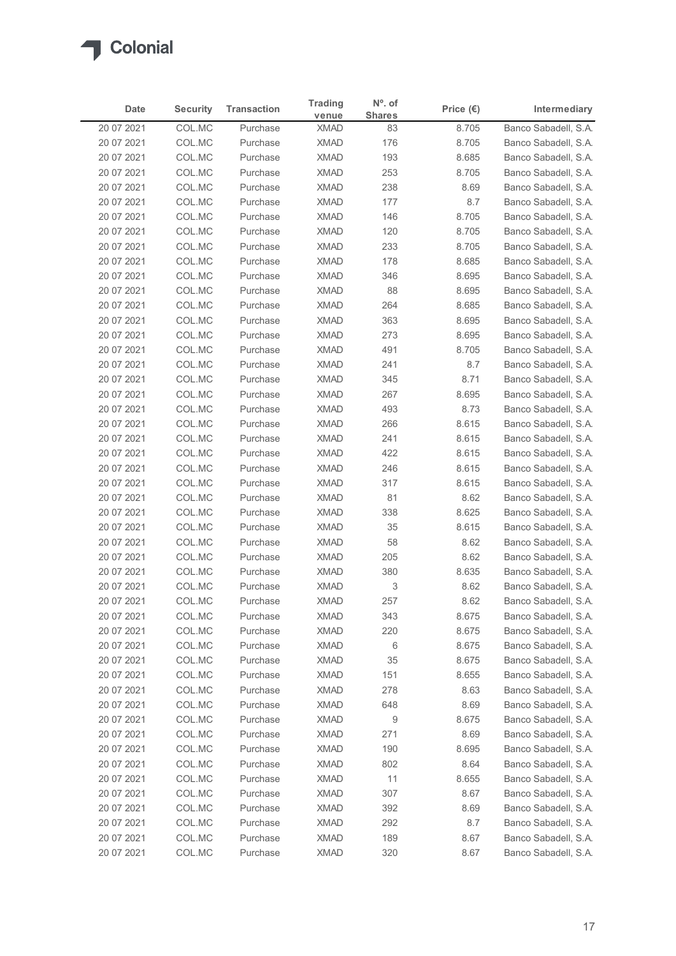

| <b>Security</b><br><b>Transaction</b><br>Intermediary<br>Date<br>Price $(\epsilon)$<br><b>Shares</b><br>venue<br>Banco Sabadell, S.A.<br>20 07 2021<br>COL.MC<br><b>XMAD</b><br>8.705<br>Purchase<br>83<br>20 07 2021<br>COL.MC<br><b>XMAD</b><br>176<br>8.705<br>Banco Sabadell, S.A.<br>Purchase<br>COL.MC<br><b>XMAD</b><br>193<br>Banco Sabadell, S.A.<br>20 07 2021<br>Purchase<br>8.685<br><b>XMAD</b><br>20 07 2021<br>COL.MC<br>Purchase<br>253<br>8.705<br>Banco Sabadell, S.A.<br>COL.MC<br><b>XMAD</b><br>238<br>20 07 2021<br>Purchase<br>8.69<br>Banco Sabadell, S.A.<br>20 07 2021<br>COL.MC<br><b>XMAD</b><br>177<br>Banco Sabadell, S.A.<br>Purchase<br>8.7<br>20 07 2021<br>COL.MC<br><b>XMAD</b><br>Banco Sabadell, S.A.<br>Purchase<br>146<br>8.705<br>20 07 2021<br>COL.MC<br>Purchase<br><b>XMAD</b><br>120<br>8.705<br>Banco Sabadell, S.A.<br>COL.MC<br>233<br>20 07 2021<br><b>XMAD</b><br>8.705<br>Banco Sabadell, S.A.<br>Purchase<br>COL.MC<br><b>XMAD</b><br>178<br>20 07 2021<br>Purchase<br>8.685<br>Banco Sabadell, S.A.<br>COL.MC<br><b>XMAD</b><br>20 07 2021<br>Purchase<br>346<br>8.695<br>Banco Sabadell, S.A.<br>20 07 2021<br>COL.MC<br><b>XMAD</b><br>88<br>8.695<br>Banco Sabadell, S.A.<br>Purchase<br><b>XMAD</b><br>8.685<br>20 07 2021<br>COL.MC<br>Purchase<br>264<br>Banco Sabadell, S.A.<br>363<br>8.695<br>20 07 2021<br>COL.MC<br>XMAD<br>Banco Sabadell, S.A.<br>Purchase<br>273<br>8.695<br>Banco Sabadell, S.A.<br>20 07 2021<br>COL.MC<br>Purchase<br><b>XMAD</b><br>XMAD<br>8.705<br>20 07 2021<br>COL.MC<br>Purchase<br>491<br>Banco Sabadell, S.A.<br><b>XMAD</b><br>20 07 2021<br>COL.MC<br>Purchase<br>241<br>8.7<br>Banco Sabadell, S.A.<br>COL.MC<br><b>XMAD</b><br>20 07 2021<br>Purchase<br>345<br>8.71<br>Banco Sabadell, S.A.<br><b>XMAD</b><br>Banco Sabadell, S.A.<br>20 07 2021<br>COL.MC<br>Purchase<br>267<br>8.695<br>8.73<br>20 07 2021<br>COL.MC<br>Purchase<br><b>XMAD</b><br>493<br>Banco Sabadell, S.A.<br>8.615<br>20 07 2021<br>COL.MC<br><b>XMAD</b><br>266<br>Banco Sabadell, S.A.<br>Purchase<br>XMAD<br>241<br>8.615<br>Banco Sabadell, S.A.<br>20 07 2021<br>COL.MC<br>Purchase<br>20 07 2021<br>COL.MC<br>Purchase<br>XMAD<br>422<br>8.615<br>Banco Sabadell, S.A.<br>20 07 2021<br>COL.MC<br>Purchase<br><b>XMAD</b><br>246<br>8.615<br>Banco Sabadell, S.A.<br>317<br>Banco Sabadell, S.A.<br>20 07 2021<br>COL.MC<br>Purchase<br><b>XMAD</b><br>8.615<br>COL.MC<br>20 07 2021<br><b>XMAD</b><br>81<br>8.62<br>Banco Sabadell, S.A.<br>Purchase<br>338<br>8.625<br>20 07 2021<br>COL.MC<br><b>XMAD</b><br>Banco Sabadell, S.A.<br>Purchase<br><b>XMAD</b><br>8.615<br>20 07 2021<br>COL.MC<br>35<br>Banco Sabadell, S.A.<br>Purchase<br>XMAD<br>58<br>Banco Sabadell, S.A.<br>20 07 2021<br>COL.MC<br>Purchase<br>8.62<br>COL.MC<br><b>XMAD</b><br>20 07 2021<br>Purchase<br>205<br>8.62<br>Banco Sabadell, S.A.<br><b>XMAD</b><br>20 07 2021<br>COL.MC<br>Purchase<br>380<br>8.635<br>Banco Sabadell, S.A.<br>3<br>20 07 2021<br>COL.MC<br><b>XMAD</b><br>8.62<br>Banco Sabadell, S.A.<br>Purchase<br><b>XMAD</b><br>20 07 2021<br>COL.MC<br>Purchase<br>257<br>8.62<br>Banco Sabadell, S.A.<br><b>XMAD</b><br>343<br>8.675<br>20 07 2021<br>COL.MC<br>Purchase<br>Banco Sabadell, S.A.<br>20 07 2021<br>COL.MC<br>Purchase<br>XMAD<br>220<br>8.675<br>Banco Sabadell, S.A.<br>20 07 2021<br>COL.MC<br>Purchase<br><b>XMAD</b><br>6<br>8.675<br>Banco Sabadell, S.A.<br>20 07 2021<br>COL.MC<br>Purchase<br><b>XMAD</b><br>35<br>8.675<br>Banco Sabadell, S.A.<br>COL.MC<br>20 07 2021<br><b>XMAD</b><br>151<br>8.655<br>Banco Sabadell, S.A.<br>Purchase<br>XMAD<br>20 07 2021<br>COL.MC<br>278<br>8.63<br>Banco Sabadell, S.A.<br>Purchase<br><b>XMAD</b><br>648<br>20 07 2021<br>COL.MC<br>Purchase<br>8.69<br>Banco Sabadell, S.A.<br>COL.MC<br><b>XMAD</b><br>9<br>8.675<br>Banco Sabadell, S.A.<br>20 07 2021<br>Purchase<br>20 07 2021<br>COL.MC<br>Purchase<br><b>XMAD</b><br>271<br>8.69<br>Banco Sabadell, S.A.<br>20 07 2021<br>COL.MC<br>Purchase<br><b>XMAD</b><br>190<br>8.695<br>Banco Sabadell, S.A. |
|------------------------------------------------------------------------------------------------------------------------------------------------------------------------------------------------------------------------------------------------------------------------------------------------------------------------------------------------------------------------------------------------------------------------------------------------------------------------------------------------------------------------------------------------------------------------------------------------------------------------------------------------------------------------------------------------------------------------------------------------------------------------------------------------------------------------------------------------------------------------------------------------------------------------------------------------------------------------------------------------------------------------------------------------------------------------------------------------------------------------------------------------------------------------------------------------------------------------------------------------------------------------------------------------------------------------------------------------------------------------------------------------------------------------------------------------------------------------------------------------------------------------------------------------------------------------------------------------------------------------------------------------------------------------------------------------------------------------------------------------------------------------------------------------------------------------------------------------------------------------------------------------------------------------------------------------------------------------------------------------------------------------------------------------------------------------------------------------------------------------------------------------------------------------------------------------------------------------------------------------------------------------------------------------------------------------------------------------------------------------------------------------------------------------------------------------------------------------------------------------------------------------------------------------------------------------------------------------------------------------------------------------------------------------------------------------------------------------------------------------------------------------------------------------------------------------------------------------------------------------------------------------------------------------------------------------------------------------------------------------------------------------------------------------------------------------------------------------------------------------------------------------------------------------------------------------------------------------------------------------------------------------------------------------------------------------------------------------------------------------------------------------------------------------------------------------------------------------------------------------------------------------------------------------------------------------------------------------------------------------------------------------------------------------------------------------------------------------------------------------------------------------------------------------------------------------------------------------------------------------------------------------------------------------------------------------------------------------------------------------------------------------------------------------------------------------------------------------------------|
|                                                                                                                                                                                                                                                                                                                                                                                                                                                                                                                                                                                                                                                                                                                                                                                                                                                                                                                                                                                                                                                                                                                                                                                                                                                                                                                                                                                                                                                                                                                                                                                                                                                                                                                                                                                                                                                                                                                                                                                                                                                                                                                                                                                                                                                                                                                                                                                                                                                                                                                                                                                                                                                                                                                                                                                                                                                                                                                                                                                                                                                                                                                                                                                                                                                                                                                                                                                                                                                                                                                                                                                                                                                                                                                                                                                                                                                                                                                                                                                                                                                                                                            |
|                                                                                                                                                                                                                                                                                                                                                                                                                                                                                                                                                                                                                                                                                                                                                                                                                                                                                                                                                                                                                                                                                                                                                                                                                                                                                                                                                                                                                                                                                                                                                                                                                                                                                                                                                                                                                                                                                                                                                                                                                                                                                                                                                                                                                                                                                                                                                                                                                                                                                                                                                                                                                                                                                                                                                                                                                                                                                                                                                                                                                                                                                                                                                                                                                                                                                                                                                                                                                                                                                                                                                                                                                                                                                                                                                                                                                                                                                                                                                                                                                                                                                                            |
|                                                                                                                                                                                                                                                                                                                                                                                                                                                                                                                                                                                                                                                                                                                                                                                                                                                                                                                                                                                                                                                                                                                                                                                                                                                                                                                                                                                                                                                                                                                                                                                                                                                                                                                                                                                                                                                                                                                                                                                                                                                                                                                                                                                                                                                                                                                                                                                                                                                                                                                                                                                                                                                                                                                                                                                                                                                                                                                                                                                                                                                                                                                                                                                                                                                                                                                                                                                                                                                                                                                                                                                                                                                                                                                                                                                                                                                                                                                                                                                                                                                                                                            |
|                                                                                                                                                                                                                                                                                                                                                                                                                                                                                                                                                                                                                                                                                                                                                                                                                                                                                                                                                                                                                                                                                                                                                                                                                                                                                                                                                                                                                                                                                                                                                                                                                                                                                                                                                                                                                                                                                                                                                                                                                                                                                                                                                                                                                                                                                                                                                                                                                                                                                                                                                                                                                                                                                                                                                                                                                                                                                                                                                                                                                                                                                                                                                                                                                                                                                                                                                                                                                                                                                                                                                                                                                                                                                                                                                                                                                                                                                                                                                                                                                                                                                                            |
|                                                                                                                                                                                                                                                                                                                                                                                                                                                                                                                                                                                                                                                                                                                                                                                                                                                                                                                                                                                                                                                                                                                                                                                                                                                                                                                                                                                                                                                                                                                                                                                                                                                                                                                                                                                                                                                                                                                                                                                                                                                                                                                                                                                                                                                                                                                                                                                                                                                                                                                                                                                                                                                                                                                                                                                                                                                                                                                                                                                                                                                                                                                                                                                                                                                                                                                                                                                                                                                                                                                                                                                                                                                                                                                                                                                                                                                                                                                                                                                                                                                                                                            |
|                                                                                                                                                                                                                                                                                                                                                                                                                                                                                                                                                                                                                                                                                                                                                                                                                                                                                                                                                                                                                                                                                                                                                                                                                                                                                                                                                                                                                                                                                                                                                                                                                                                                                                                                                                                                                                                                                                                                                                                                                                                                                                                                                                                                                                                                                                                                                                                                                                                                                                                                                                                                                                                                                                                                                                                                                                                                                                                                                                                                                                                                                                                                                                                                                                                                                                                                                                                                                                                                                                                                                                                                                                                                                                                                                                                                                                                                                                                                                                                                                                                                                                            |
|                                                                                                                                                                                                                                                                                                                                                                                                                                                                                                                                                                                                                                                                                                                                                                                                                                                                                                                                                                                                                                                                                                                                                                                                                                                                                                                                                                                                                                                                                                                                                                                                                                                                                                                                                                                                                                                                                                                                                                                                                                                                                                                                                                                                                                                                                                                                                                                                                                                                                                                                                                                                                                                                                                                                                                                                                                                                                                                                                                                                                                                                                                                                                                                                                                                                                                                                                                                                                                                                                                                                                                                                                                                                                                                                                                                                                                                                                                                                                                                                                                                                                                            |
|                                                                                                                                                                                                                                                                                                                                                                                                                                                                                                                                                                                                                                                                                                                                                                                                                                                                                                                                                                                                                                                                                                                                                                                                                                                                                                                                                                                                                                                                                                                                                                                                                                                                                                                                                                                                                                                                                                                                                                                                                                                                                                                                                                                                                                                                                                                                                                                                                                                                                                                                                                                                                                                                                                                                                                                                                                                                                                                                                                                                                                                                                                                                                                                                                                                                                                                                                                                                                                                                                                                                                                                                                                                                                                                                                                                                                                                                                                                                                                                                                                                                                                            |
|                                                                                                                                                                                                                                                                                                                                                                                                                                                                                                                                                                                                                                                                                                                                                                                                                                                                                                                                                                                                                                                                                                                                                                                                                                                                                                                                                                                                                                                                                                                                                                                                                                                                                                                                                                                                                                                                                                                                                                                                                                                                                                                                                                                                                                                                                                                                                                                                                                                                                                                                                                                                                                                                                                                                                                                                                                                                                                                                                                                                                                                                                                                                                                                                                                                                                                                                                                                                                                                                                                                                                                                                                                                                                                                                                                                                                                                                                                                                                                                                                                                                                                            |
|                                                                                                                                                                                                                                                                                                                                                                                                                                                                                                                                                                                                                                                                                                                                                                                                                                                                                                                                                                                                                                                                                                                                                                                                                                                                                                                                                                                                                                                                                                                                                                                                                                                                                                                                                                                                                                                                                                                                                                                                                                                                                                                                                                                                                                                                                                                                                                                                                                                                                                                                                                                                                                                                                                                                                                                                                                                                                                                                                                                                                                                                                                                                                                                                                                                                                                                                                                                                                                                                                                                                                                                                                                                                                                                                                                                                                                                                                                                                                                                                                                                                                                            |
|                                                                                                                                                                                                                                                                                                                                                                                                                                                                                                                                                                                                                                                                                                                                                                                                                                                                                                                                                                                                                                                                                                                                                                                                                                                                                                                                                                                                                                                                                                                                                                                                                                                                                                                                                                                                                                                                                                                                                                                                                                                                                                                                                                                                                                                                                                                                                                                                                                                                                                                                                                                                                                                                                                                                                                                                                                                                                                                                                                                                                                                                                                                                                                                                                                                                                                                                                                                                                                                                                                                                                                                                                                                                                                                                                                                                                                                                                                                                                                                                                                                                                                            |
|                                                                                                                                                                                                                                                                                                                                                                                                                                                                                                                                                                                                                                                                                                                                                                                                                                                                                                                                                                                                                                                                                                                                                                                                                                                                                                                                                                                                                                                                                                                                                                                                                                                                                                                                                                                                                                                                                                                                                                                                                                                                                                                                                                                                                                                                                                                                                                                                                                                                                                                                                                                                                                                                                                                                                                                                                                                                                                                                                                                                                                                                                                                                                                                                                                                                                                                                                                                                                                                                                                                                                                                                                                                                                                                                                                                                                                                                                                                                                                                                                                                                                                            |
|                                                                                                                                                                                                                                                                                                                                                                                                                                                                                                                                                                                                                                                                                                                                                                                                                                                                                                                                                                                                                                                                                                                                                                                                                                                                                                                                                                                                                                                                                                                                                                                                                                                                                                                                                                                                                                                                                                                                                                                                                                                                                                                                                                                                                                                                                                                                                                                                                                                                                                                                                                                                                                                                                                                                                                                                                                                                                                                                                                                                                                                                                                                                                                                                                                                                                                                                                                                                                                                                                                                                                                                                                                                                                                                                                                                                                                                                                                                                                                                                                                                                                                            |
|                                                                                                                                                                                                                                                                                                                                                                                                                                                                                                                                                                                                                                                                                                                                                                                                                                                                                                                                                                                                                                                                                                                                                                                                                                                                                                                                                                                                                                                                                                                                                                                                                                                                                                                                                                                                                                                                                                                                                                                                                                                                                                                                                                                                                                                                                                                                                                                                                                                                                                                                                                                                                                                                                                                                                                                                                                                                                                                                                                                                                                                                                                                                                                                                                                                                                                                                                                                                                                                                                                                                                                                                                                                                                                                                                                                                                                                                                                                                                                                                                                                                                                            |
|                                                                                                                                                                                                                                                                                                                                                                                                                                                                                                                                                                                                                                                                                                                                                                                                                                                                                                                                                                                                                                                                                                                                                                                                                                                                                                                                                                                                                                                                                                                                                                                                                                                                                                                                                                                                                                                                                                                                                                                                                                                                                                                                                                                                                                                                                                                                                                                                                                                                                                                                                                                                                                                                                                                                                                                                                                                                                                                                                                                                                                                                                                                                                                                                                                                                                                                                                                                                                                                                                                                                                                                                                                                                                                                                                                                                                                                                                                                                                                                                                                                                                                            |
|                                                                                                                                                                                                                                                                                                                                                                                                                                                                                                                                                                                                                                                                                                                                                                                                                                                                                                                                                                                                                                                                                                                                                                                                                                                                                                                                                                                                                                                                                                                                                                                                                                                                                                                                                                                                                                                                                                                                                                                                                                                                                                                                                                                                                                                                                                                                                                                                                                                                                                                                                                                                                                                                                                                                                                                                                                                                                                                                                                                                                                                                                                                                                                                                                                                                                                                                                                                                                                                                                                                                                                                                                                                                                                                                                                                                                                                                                                                                                                                                                                                                                                            |
|                                                                                                                                                                                                                                                                                                                                                                                                                                                                                                                                                                                                                                                                                                                                                                                                                                                                                                                                                                                                                                                                                                                                                                                                                                                                                                                                                                                                                                                                                                                                                                                                                                                                                                                                                                                                                                                                                                                                                                                                                                                                                                                                                                                                                                                                                                                                                                                                                                                                                                                                                                                                                                                                                                                                                                                                                                                                                                                                                                                                                                                                                                                                                                                                                                                                                                                                                                                                                                                                                                                                                                                                                                                                                                                                                                                                                                                                                                                                                                                                                                                                                                            |
|                                                                                                                                                                                                                                                                                                                                                                                                                                                                                                                                                                                                                                                                                                                                                                                                                                                                                                                                                                                                                                                                                                                                                                                                                                                                                                                                                                                                                                                                                                                                                                                                                                                                                                                                                                                                                                                                                                                                                                                                                                                                                                                                                                                                                                                                                                                                                                                                                                                                                                                                                                                                                                                                                                                                                                                                                                                                                                                                                                                                                                                                                                                                                                                                                                                                                                                                                                                                                                                                                                                                                                                                                                                                                                                                                                                                                                                                                                                                                                                                                                                                                                            |
|                                                                                                                                                                                                                                                                                                                                                                                                                                                                                                                                                                                                                                                                                                                                                                                                                                                                                                                                                                                                                                                                                                                                                                                                                                                                                                                                                                                                                                                                                                                                                                                                                                                                                                                                                                                                                                                                                                                                                                                                                                                                                                                                                                                                                                                                                                                                                                                                                                                                                                                                                                                                                                                                                                                                                                                                                                                                                                                                                                                                                                                                                                                                                                                                                                                                                                                                                                                                                                                                                                                                                                                                                                                                                                                                                                                                                                                                                                                                                                                                                                                                                                            |
|                                                                                                                                                                                                                                                                                                                                                                                                                                                                                                                                                                                                                                                                                                                                                                                                                                                                                                                                                                                                                                                                                                                                                                                                                                                                                                                                                                                                                                                                                                                                                                                                                                                                                                                                                                                                                                                                                                                                                                                                                                                                                                                                                                                                                                                                                                                                                                                                                                                                                                                                                                                                                                                                                                                                                                                                                                                                                                                                                                                                                                                                                                                                                                                                                                                                                                                                                                                                                                                                                                                                                                                                                                                                                                                                                                                                                                                                                                                                                                                                                                                                                                            |
|                                                                                                                                                                                                                                                                                                                                                                                                                                                                                                                                                                                                                                                                                                                                                                                                                                                                                                                                                                                                                                                                                                                                                                                                                                                                                                                                                                                                                                                                                                                                                                                                                                                                                                                                                                                                                                                                                                                                                                                                                                                                                                                                                                                                                                                                                                                                                                                                                                                                                                                                                                                                                                                                                                                                                                                                                                                                                                                                                                                                                                                                                                                                                                                                                                                                                                                                                                                                                                                                                                                                                                                                                                                                                                                                                                                                                                                                                                                                                                                                                                                                                                            |
|                                                                                                                                                                                                                                                                                                                                                                                                                                                                                                                                                                                                                                                                                                                                                                                                                                                                                                                                                                                                                                                                                                                                                                                                                                                                                                                                                                                                                                                                                                                                                                                                                                                                                                                                                                                                                                                                                                                                                                                                                                                                                                                                                                                                                                                                                                                                                                                                                                                                                                                                                                                                                                                                                                                                                                                                                                                                                                                                                                                                                                                                                                                                                                                                                                                                                                                                                                                                                                                                                                                                                                                                                                                                                                                                                                                                                                                                                                                                                                                                                                                                                                            |
|                                                                                                                                                                                                                                                                                                                                                                                                                                                                                                                                                                                                                                                                                                                                                                                                                                                                                                                                                                                                                                                                                                                                                                                                                                                                                                                                                                                                                                                                                                                                                                                                                                                                                                                                                                                                                                                                                                                                                                                                                                                                                                                                                                                                                                                                                                                                                                                                                                                                                                                                                                                                                                                                                                                                                                                                                                                                                                                                                                                                                                                                                                                                                                                                                                                                                                                                                                                                                                                                                                                                                                                                                                                                                                                                                                                                                                                                                                                                                                                                                                                                                                            |
|                                                                                                                                                                                                                                                                                                                                                                                                                                                                                                                                                                                                                                                                                                                                                                                                                                                                                                                                                                                                                                                                                                                                                                                                                                                                                                                                                                                                                                                                                                                                                                                                                                                                                                                                                                                                                                                                                                                                                                                                                                                                                                                                                                                                                                                                                                                                                                                                                                                                                                                                                                                                                                                                                                                                                                                                                                                                                                                                                                                                                                                                                                                                                                                                                                                                                                                                                                                                                                                                                                                                                                                                                                                                                                                                                                                                                                                                                                                                                                                                                                                                                                            |
|                                                                                                                                                                                                                                                                                                                                                                                                                                                                                                                                                                                                                                                                                                                                                                                                                                                                                                                                                                                                                                                                                                                                                                                                                                                                                                                                                                                                                                                                                                                                                                                                                                                                                                                                                                                                                                                                                                                                                                                                                                                                                                                                                                                                                                                                                                                                                                                                                                                                                                                                                                                                                                                                                                                                                                                                                                                                                                                                                                                                                                                                                                                                                                                                                                                                                                                                                                                                                                                                                                                                                                                                                                                                                                                                                                                                                                                                                                                                                                                                                                                                                                            |
|                                                                                                                                                                                                                                                                                                                                                                                                                                                                                                                                                                                                                                                                                                                                                                                                                                                                                                                                                                                                                                                                                                                                                                                                                                                                                                                                                                                                                                                                                                                                                                                                                                                                                                                                                                                                                                                                                                                                                                                                                                                                                                                                                                                                                                                                                                                                                                                                                                                                                                                                                                                                                                                                                                                                                                                                                                                                                                                                                                                                                                                                                                                                                                                                                                                                                                                                                                                                                                                                                                                                                                                                                                                                                                                                                                                                                                                                                                                                                                                                                                                                                                            |
|                                                                                                                                                                                                                                                                                                                                                                                                                                                                                                                                                                                                                                                                                                                                                                                                                                                                                                                                                                                                                                                                                                                                                                                                                                                                                                                                                                                                                                                                                                                                                                                                                                                                                                                                                                                                                                                                                                                                                                                                                                                                                                                                                                                                                                                                                                                                                                                                                                                                                                                                                                                                                                                                                                                                                                                                                                                                                                                                                                                                                                                                                                                                                                                                                                                                                                                                                                                                                                                                                                                                                                                                                                                                                                                                                                                                                                                                                                                                                                                                                                                                                                            |
|                                                                                                                                                                                                                                                                                                                                                                                                                                                                                                                                                                                                                                                                                                                                                                                                                                                                                                                                                                                                                                                                                                                                                                                                                                                                                                                                                                                                                                                                                                                                                                                                                                                                                                                                                                                                                                                                                                                                                                                                                                                                                                                                                                                                                                                                                                                                                                                                                                                                                                                                                                                                                                                                                                                                                                                                                                                                                                                                                                                                                                                                                                                                                                                                                                                                                                                                                                                                                                                                                                                                                                                                                                                                                                                                                                                                                                                                                                                                                                                                                                                                                                            |
|                                                                                                                                                                                                                                                                                                                                                                                                                                                                                                                                                                                                                                                                                                                                                                                                                                                                                                                                                                                                                                                                                                                                                                                                                                                                                                                                                                                                                                                                                                                                                                                                                                                                                                                                                                                                                                                                                                                                                                                                                                                                                                                                                                                                                                                                                                                                                                                                                                                                                                                                                                                                                                                                                                                                                                                                                                                                                                                                                                                                                                                                                                                                                                                                                                                                                                                                                                                                                                                                                                                                                                                                                                                                                                                                                                                                                                                                                                                                                                                                                                                                                                            |
|                                                                                                                                                                                                                                                                                                                                                                                                                                                                                                                                                                                                                                                                                                                                                                                                                                                                                                                                                                                                                                                                                                                                                                                                                                                                                                                                                                                                                                                                                                                                                                                                                                                                                                                                                                                                                                                                                                                                                                                                                                                                                                                                                                                                                                                                                                                                                                                                                                                                                                                                                                                                                                                                                                                                                                                                                                                                                                                                                                                                                                                                                                                                                                                                                                                                                                                                                                                                                                                                                                                                                                                                                                                                                                                                                                                                                                                                                                                                                                                                                                                                                                            |
|                                                                                                                                                                                                                                                                                                                                                                                                                                                                                                                                                                                                                                                                                                                                                                                                                                                                                                                                                                                                                                                                                                                                                                                                                                                                                                                                                                                                                                                                                                                                                                                                                                                                                                                                                                                                                                                                                                                                                                                                                                                                                                                                                                                                                                                                                                                                                                                                                                                                                                                                                                                                                                                                                                                                                                                                                                                                                                                                                                                                                                                                                                                                                                                                                                                                                                                                                                                                                                                                                                                                                                                                                                                                                                                                                                                                                                                                                                                                                                                                                                                                                                            |
|                                                                                                                                                                                                                                                                                                                                                                                                                                                                                                                                                                                                                                                                                                                                                                                                                                                                                                                                                                                                                                                                                                                                                                                                                                                                                                                                                                                                                                                                                                                                                                                                                                                                                                                                                                                                                                                                                                                                                                                                                                                                                                                                                                                                                                                                                                                                                                                                                                                                                                                                                                                                                                                                                                                                                                                                                                                                                                                                                                                                                                                                                                                                                                                                                                                                                                                                                                                                                                                                                                                                                                                                                                                                                                                                                                                                                                                                                                                                                                                                                                                                                                            |
|                                                                                                                                                                                                                                                                                                                                                                                                                                                                                                                                                                                                                                                                                                                                                                                                                                                                                                                                                                                                                                                                                                                                                                                                                                                                                                                                                                                                                                                                                                                                                                                                                                                                                                                                                                                                                                                                                                                                                                                                                                                                                                                                                                                                                                                                                                                                                                                                                                                                                                                                                                                                                                                                                                                                                                                                                                                                                                                                                                                                                                                                                                                                                                                                                                                                                                                                                                                                                                                                                                                                                                                                                                                                                                                                                                                                                                                                                                                                                                                                                                                                                                            |
|                                                                                                                                                                                                                                                                                                                                                                                                                                                                                                                                                                                                                                                                                                                                                                                                                                                                                                                                                                                                                                                                                                                                                                                                                                                                                                                                                                                                                                                                                                                                                                                                                                                                                                                                                                                                                                                                                                                                                                                                                                                                                                                                                                                                                                                                                                                                                                                                                                                                                                                                                                                                                                                                                                                                                                                                                                                                                                                                                                                                                                                                                                                                                                                                                                                                                                                                                                                                                                                                                                                                                                                                                                                                                                                                                                                                                                                                                                                                                                                                                                                                                                            |
|                                                                                                                                                                                                                                                                                                                                                                                                                                                                                                                                                                                                                                                                                                                                                                                                                                                                                                                                                                                                                                                                                                                                                                                                                                                                                                                                                                                                                                                                                                                                                                                                                                                                                                                                                                                                                                                                                                                                                                                                                                                                                                                                                                                                                                                                                                                                                                                                                                                                                                                                                                                                                                                                                                                                                                                                                                                                                                                                                                                                                                                                                                                                                                                                                                                                                                                                                                                                                                                                                                                                                                                                                                                                                                                                                                                                                                                                                                                                                                                                                                                                                                            |
|                                                                                                                                                                                                                                                                                                                                                                                                                                                                                                                                                                                                                                                                                                                                                                                                                                                                                                                                                                                                                                                                                                                                                                                                                                                                                                                                                                                                                                                                                                                                                                                                                                                                                                                                                                                                                                                                                                                                                                                                                                                                                                                                                                                                                                                                                                                                                                                                                                                                                                                                                                                                                                                                                                                                                                                                                                                                                                                                                                                                                                                                                                                                                                                                                                                                                                                                                                                                                                                                                                                                                                                                                                                                                                                                                                                                                                                                                                                                                                                                                                                                                                            |
|                                                                                                                                                                                                                                                                                                                                                                                                                                                                                                                                                                                                                                                                                                                                                                                                                                                                                                                                                                                                                                                                                                                                                                                                                                                                                                                                                                                                                                                                                                                                                                                                                                                                                                                                                                                                                                                                                                                                                                                                                                                                                                                                                                                                                                                                                                                                                                                                                                                                                                                                                                                                                                                                                                                                                                                                                                                                                                                                                                                                                                                                                                                                                                                                                                                                                                                                                                                                                                                                                                                                                                                                                                                                                                                                                                                                                                                                                                                                                                                                                                                                                                            |
|                                                                                                                                                                                                                                                                                                                                                                                                                                                                                                                                                                                                                                                                                                                                                                                                                                                                                                                                                                                                                                                                                                                                                                                                                                                                                                                                                                                                                                                                                                                                                                                                                                                                                                                                                                                                                                                                                                                                                                                                                                                                                                                                                                                                                                                                                                                                                                                                                                                                                                                                                                                                                                                                                                                                                                                                                                                                                                                                                                                                                                                                                                                                                                                                                                                                                                                                                                                                                                                                                                                                                                                                                                                                                                                                                                                                                                                                                                                                                                                                                                                                                                            |
|                                                                                                                                                                                                                                                                                                                                                                                                                                                                                                                                                                                                                                                                                                                                                                                                                                                                                                                                                                                                                                                                                                                                                                                                                                                                                                                                                                                                                                                                                                                                                                                                                                                                                                                                                                                                                                                                                                                                                                                                                                                                                                                                                                                                                                                                                                                                                                                                                                                                                                                                                                                                                                                                                                                                                                                                                                                                                                                                                                                                                                                                                                                                                                                                                                                                                                                                                                                                                                                                                                                                                                                                                                                                                                                                                                                                                                                                                                                                                                                                                                                                                                            |
| 802<br>Banco Sabadell, S.A.<br>20 07 2021<br>COL.MC<br><b>XMAD</b><br>8.64<br>Purchase                                                                                                                                                                                                                                                                                                                                                                                                                                                                                                                                                                                                                                                                                                                                                                                                                                                                                                                                                                                                                                                                                                                                                                                                                                                                                                                                                                                                                                                                                                                                                                                                                                                                                                                                                                                                                                                                                                                                                                                                                                                                                                                                                                                                                                                                                                                                                                                                                                                                                                                                                                                                                                                                                                                                                                                                                                                                                                                                                                                                                                                                                                                                                                                                                                                                                                                                                                                                                                                                                                                                                                                                                                                                                                                                                                                                                                                                                                                                                                                                                     |
| XMAD<br>11<br>20 07 2021<br>COL.MC<br>Purchase<br>8.655<br>Banco Sabadell, S.A.                                                                                                                                                                                                                                                                                                                                                                                                                                                                                                                                                                                                                                                                                                                                                                                                                                                                                                                                                                                                                                                                                                                                                                                                                                                                                                                                                                                                                                                                                                                                                                                                                                                                                                                                                                                                                                                                                                                                                                                                                                                                                                                                                                                                                                                                                                                                                                                                                                                                                                                                                                                                                                                                                                                                                                                                                                                                                                                                                                                                                                                                                                                                                                                                                                                                                                                                                                                                                                                                                                                                                                                                                                                                                                                                                                                                                                                                                                                                                                                                                            |
| 20 07 2021<br>COL.MC<br>XMAD<br>307<br>8.67<br>Banco Sabadell, S.A.<br>Purchase                                                                                                                                                                                                                                                                                                                                                                                                                                                                                                                                                                                                                                                                                                                                                                                                                                                                                                                                                                                                                                                                                                                                                                                                                                                                                                                                                                                                                                                                                                                                                                                                                                                                                                                                                                                                                                                                                                                                                                                                                                                                                                                                                                                                                                                                                                                                                                                                                                                                                                                                                                                                                                                                                                                                                                                                                                                                                                                                                                                                                                                                                                                                                                                                                                                                                                                                                                                                                                                                                                                                                                                                                                                                                                                                                                                                                                                                                                                                                                                                                            |
| 20 07 2021<br>COL.MC<br>Purchase<br><b>XMAD</b><br>392<br>8.69<br>Banco Sabadell, S.A.                                                                                                                                                                                                                                                                                                                                                                                                                                                                                                                                                                                                                                                                                                                                                                                                                                                                                                                                                                                                                                                                                                                                                                                                                                                                                                                                                                                                                                                                                                                                                                                                                                                                                                                                                                                                                                                                                                                                                                                                                                                                                                                                                                                                                                                                                                                                                                                                                                                                                                                                                                                                                                                                                                                                                                                                                                                                                                                                                                                                                                                                                                                                                                                                                                                                                                                                                                                                                                                                                                                                                                                                                                                                                                                                                                                                                                                                                                                                                                                                                     |
| <b>XMAD</b><br>292<br>20 07 2021<br>COL.MC<br>Purchase<br>8.7<br>Banco Sabadell, S.A.                                                                                                                                                                                                                                                                                                                                                                                                                                                                                                                                                                                                                                                                                                                                                                                                                                                                                                                                                                                                                                                                                                                                                                                                                                                                                                                                                                                                                                                                                                                                                                                                                                                                                                                                                                                                                                                                                                                                                                                                                                                                                                                                                                                                                                                                                                                                                                                                                                                                                                                                                                                                                                                                                                                                                                                                                                                                                                                                                                                                                                                                                                                                                                                                                                                                                                                                                                                                                                                                                                                                                                                                                                                                                                                                                                                                                                                                                                                                                                                                                      |
| 20 07 2021<br>COL.MC<br>Purchase<br><b>XMAD</b><br>189<br>8.67<br>Banco Sabadell, S.A.<br>20 07 2021<br>COL.MC<br><b>XMAD</b><br>320<br>8.67<br>Banco Sabadell, S.A.<br>Purchase                                                                                                                                                                                                                                                                                                                                                                                                                                                                                                                                                                                                                                                                                                                                                                                                                                                                                                                                                                                                                                                                                                                                                                                                                                                                                                                                                                                                                                                                                                                                                                                                                                                                                                                                                                                                                                                                                                                                                                                                                                                                                                                                                                                                                                                                                                                                                                                                                                                                                                                                                                                                                                                                                                                                                                                                                                                                                                                                                                                                                                                                                                                                                                                                                                                                                                                                                                                                                                                                                                                                                                                                                                                                                                                                                                                                                                                                                                                           |